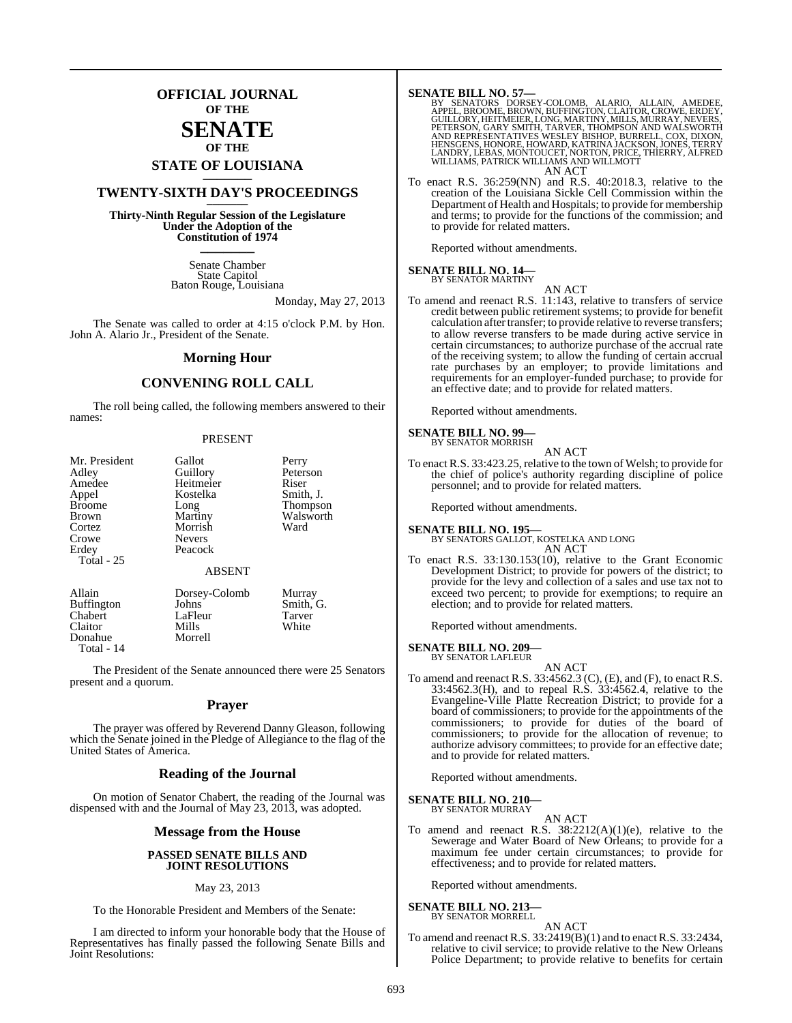## **OFFICIAL JOURNAL OF THE**

## **SENATE OF THE**

# **STATE OF LOUISIANA \_\_\_\_\_\_\_**

## **TWENTY-SIXTH DAY'S PROCEEDINGS \_\_\_\_\_\_\_**

**Thirty-Ninth Regular Session of the Legislature Under the Adoption of the Constitution of 1974 \_\_\_\_\_\_\_**

> Senate Chamber State Capitol Baton Rouge, Louisiana

> > Monday, May 27, 2013

The Senate was called to order at 4:15 o'clock P.M. by Hon. John A. Alario Jr., President of the Senate.

#### **Morning Hour**

### **CONVENING ROLL CALL**

The roll being called, the following members answered to their names:

#### PRESENT

| Mr. President     | Gallot        | Perry           |  |
|-------------------|---------------|-----------------|--|
| Adley             | Guillory      | Peterson        |  |
| Amedee            | Heitmeier     | Riser           |  |
| Appel             | Kostelka      | Smith, J.       |  |
| <b>Broome</b>     | Long          | <b>Thompson</b> |  |
| Brown             | Martiny       | Walsworth       |  |
| Cortez            | Morrish       | Ward            |  |
| Crowe             | <b>Nevers</b> |                 |  |
| Erdey             | Peacock       |                 |  |
| Total - 25        |               |                 |  |
|                   | <b>ABSENT</b> |                 |  |
| Allain            | Dorsey-Colomb | Murray          |  |
| <b>Buffington</b> | Johns         | Smith, G.       |  |

Chabert LaFleur Tarver Claitor Mills<br>
Donahue Morrell Donahue Total - 14

The President of the Senate announced there were 25 Senators present and a quorum.

#### **Prayer**

The prayer was offered by Reverend Danny Gleason, following which the Senate joined in the Pledge of Allegiance to the flag of the United States of America.

#### **Reading of the Journal**

On motion of Senator Chabert, the reading of the Journal was dispensed with and the Journal of May 23, 2013, was adopted.

#### **Message from the House**

#### **PASSED SENATE BILLS AND JOINT RESOLUTIONS**

#### May 23, 2013

To the Honorable President and Members of the Senate:

I am directed to inform your honorable body that the House of Representatives has finally passed the following Senate Bills and Joint Resolutions:

**SENATE BILL NO. 57—**<br>BY SENATORS DORSEY-COLOMB, ALARIO, ALLAIN, AMEDEE,<br>APPEL, BROOME, BROWN, BUFFINGTON, CLAITOR, CROWE, ERDEY,<br>GUILLORY, HEITMEIER, LONG, MARTINY, MILLS, MURRAY, NEVERS,<br>PETERSON, GARY SMITH, TARVER, THO LANDRY, LEBAS, MONTOUCET, NORTON, PRICE, THIERRY, ALFRED WILLIAMS, PATRICK WILLIAMS AND WILLMOTT AN ACT

To enact R.S. 36:259(NN) and R.S. 40:2018.3, relative to the creation of the Louisiana Sickle Cell Commission within the Department of Health and Hospitals; to provide for membership and terms; to provide for the functions of the commission; and to provide for related matters.

Reported without amendments.

#### **SENATE BILL NO. 14—** BY SENATOR MARTINY

AN ACT

To amend and reenact R.S. 11:143, relative to transfers of service credit between public retirement systems; to provide for benefit calculation after transfer; to provide relative to reverse transfers; to allow reverse transfers to be made during active service in certain circumstances; to authorize purchase of the accrual rate of the receiving system; to allow the funding of certain accrual rate purchases by an employer; to provide limitations and requirements for an employer-funded purchase; to provide for an effective date; and to provide for related matters.

Reported without amendments.

#### **SENATE BILL NO. 99—** BY SENATOR MORRISH

AN ACT

To enact R.S. 33:423.25, relative to the town of Welsh; to provide for the chief of police's authority regarding discipline of police personnel; and to provide for related matters.

Reported without amendments.

#### **SENATE BILL NO. 195—** BY SENATORS GALLOT, KOSTELKA AND LONG AN ACT

To enact R.S. 33:130.153(10), relative to the Grant Economic Development District; to provide for powers of the district; to provide for the levy and collection of a sales and use tax not to exceed two percent; to provide for exemptions; to require an election; and to provide for related matters.

Reported without amendments.

**SENATE BILL NO. 209—**

BY SENATOR LAFLEUR

AN ACT To amend and reenact R.S. 33:4562.3 (C), (E), and (F), to enact R.S. 33:4562.3(H), and to repeal R.S. 33:4562.4, relative to the Evangeline-Ville Platte Recreation District; to provide for a board of commissioners; to provide for the appointments of the commissioners; to provide for duties of the board of commissioners; to provide for the allocation of revenue; to authorize advisory committees; to provide for an effective date; and to provide for related matters.

Reported without amendments.

#### **SENATE BILL NO. 210—** BY SENATOR MURRAY

AN ACT

To amend and reenact R.S.  $38:2212(A)(1)(e)$ , relative to the Sewerage and Water Board of New Orleans; to provide for a maximum fee under certain circumstances; to provide for effectiveness; and to provide for related matters.

Reported without amendments.

#### **SENATE BILL NO. 213—** BY SENATOR MORRELL

AN ACT

To amend and reenact R.S. 33:2419(B)(1) and to enact R.S. 33:2434, relative to civil service; to provide relative to the New Orleans Police Department; to provide relative to benefits for certain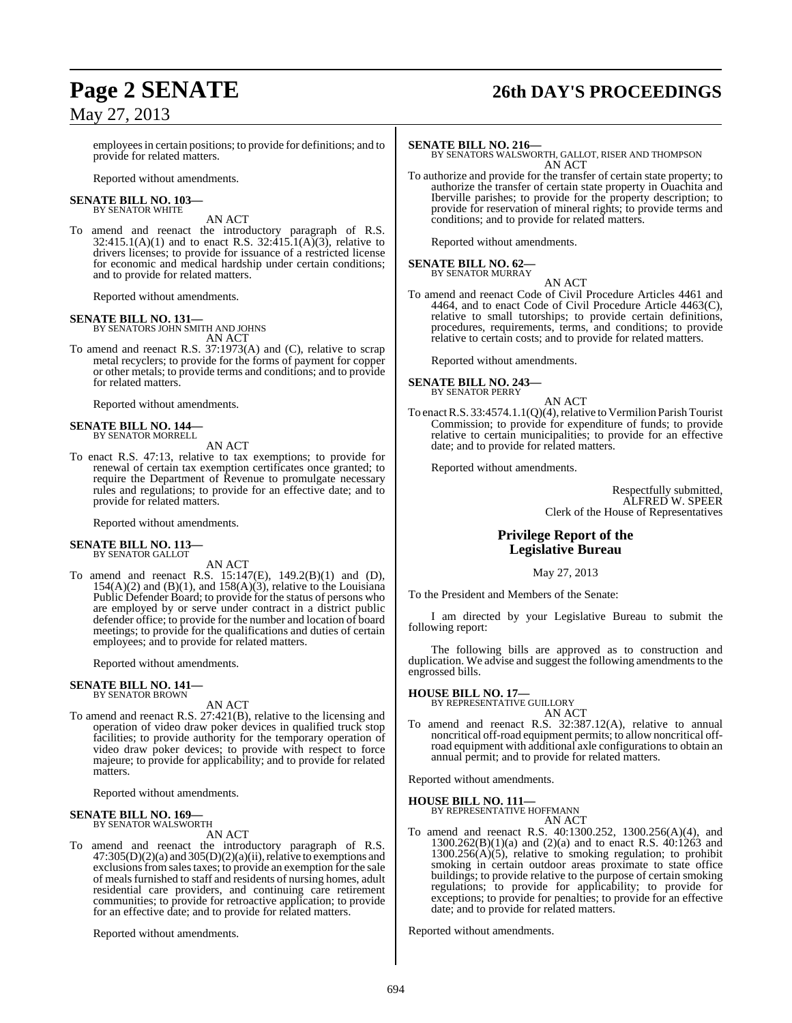# **Page 2 SENATE 26th DAY'S PROCEEDINGS**

employees in certain positions; to provide for definitions; and to provide for related matters.

Reported without amendments.

#### **SENATE BILL NO. 103—** BY SENATOR WHITE

AN ACT

To amend and reenact the introductory paragraph of R.S. 32:415.1(A)(1) and to enact R.S. 32:415.1(A)(3), relative to drivers licenses; to provide for issuance of a restricted license for economic and medical hardship under certain conditions; and to provide for related matters.

Reported without amendments.

**SENATE BILL NO. 131—** BY SENATORS JOHN SMITH AND JOHNS AN ACT

To amend and reenact R.S. 37:1973(A) and (C), relative to scrap metal recyclers; to provide for the forms of payment for copper or other metals; to provide terms and conditions; and to provide for related matters.

Reported without amendments.

#### **SENATE BILL NO. 144—** BY SENATOR MORRELL

AN ACT

To enact R.S. 47:13, relative to tax exemptions; to provide for renewal of certain tax exemption certificates once granted; to require the Department of Revenue to promulgate necessary rules and regulations; to provide for an effective date; and to provide for related matters.

Reported without amendments.

#### **SENATE BILL NO. 113—** BY SENATOR GALLOT

AN ACT

To amend and reenact R.S. 15:147(E), 149.2(B)(1) and (D),  $154(A)(2)$  and  $(B)(1)$ , and  $158(A)(3)$ , relative to the Louisiana Public Defender Board; to provide for the status of persons who are employed by or serve under contract in a district public defender office; to provide for the number and location of board meetings; to provide for the qualifications and duties of certain employees; and to provide for related matters.

Reported without amendments.

#### **SENATE BILL NO. 141—** BY SENATOR BROWN

AN ACT

To amend and reenact R.S. 27:421(B), relative to the licensing and operation of video draw poker devices in qualified truck stop facilities; to provide authority for the temporary operation of video draw poker devices; to provide with respect to force majeure; to provide for applicability; and to provide for related matters.

Reported without amendments.

#### **SENATE BILL NO. 169—** BY SENATOR WALSWORTH

AN ACT

To amend and reenact the introductory paragraph of R.S.  $47:305(D)(2)(a)$  and  $305(D)(2)(a)(ii)$ , relative to exemptions and exclusions from sales taxes; to provide an exemption for the sale of meals furnished to staff and residents of nursing homes, adult residential care providers, and continuing care retirement communities; to provide for retroactive application; to provide for an effective date; and to provide for related matters.

Reported without amendments.

**SENATE BILL NO. 216—** BY SENATORS WALSWORTH, GALLOT, RISER AND THOMPSON AN ACT

To authorize and provide for the transfer of certain state property; to authorize the transfer of certain state property in Ouachita and Iberville parishes; to provide for the property description; to provide for reservation of mineral rights; to provide terms and conditions; and to provide for related matters.

Reported without amendments.

# **SENATE BILL NO. 62—** BY SENATOR MURRAY

AN ACT To amend and reenact Code of Civil Procedure Articles 4461 and 4464, and to enact Code of Civil Procedure Article 4463(C), relative to small tutorships; to provide certain definitions, procedures, requirements, terms, and conditions; to provide relative to certain costs; and to provide for related matters.

Reported without amendments.

**SENATE BILL NO. 243—**

BY SENATOR PERRY AN ACT

To enact R.S. 33:4574.1.1(Q)(4), relative to Vermilion Parish Tourist Commission; to provide for expenditure of funds; to provide relative to certain municipalities; to provide for an effective date; and to provide for related matters.

Reported without amendments.

Respectfully submitted, ALFRED W. SPEER Clerk of the House of Representatives

### **Privilege Report of the Legislative Bureau**

May 27, 2013

To the President and Members of the Senate:

I am directed by your Legislative Bureau to submit the following report:

The following bills are approved as to construction and duplication. We advise and suggest the following amendments to the engrossed bills.

**HOUSE BILL NO. 17—** BY REPRESENTATIVE GUILLORY

AN ACT

To amend and reenact R.S. 32:387.12(A), relative to annual noncritical off-road equipment permits; to allow noncritical offroad equipment with additional axle configurations to obtain an annual permit; and to provide for related matters.

Reported without amendments.

**HOUSE BILL NO. 111—**

BY REPRESENTATIVE HOFFMANN AN ACT

To amend and reenact R.S. 40:1300.252, 1300.256(A)(4), and 1300.262(B)(1)(a) and (2)(a) and to enact R.S.  $40:1263$  and  $1300.256(A)(5)$ , relative to smoking regulation; to prohibit smoking in certain outdoor areas proximate to state office buildings; to provide relative to the purpose of certain smoking regulations; to provide for applicability; to provide for exceptions; to provide for penalties; to provide for an effective date; and to provide for related matters.

Reported without amendments.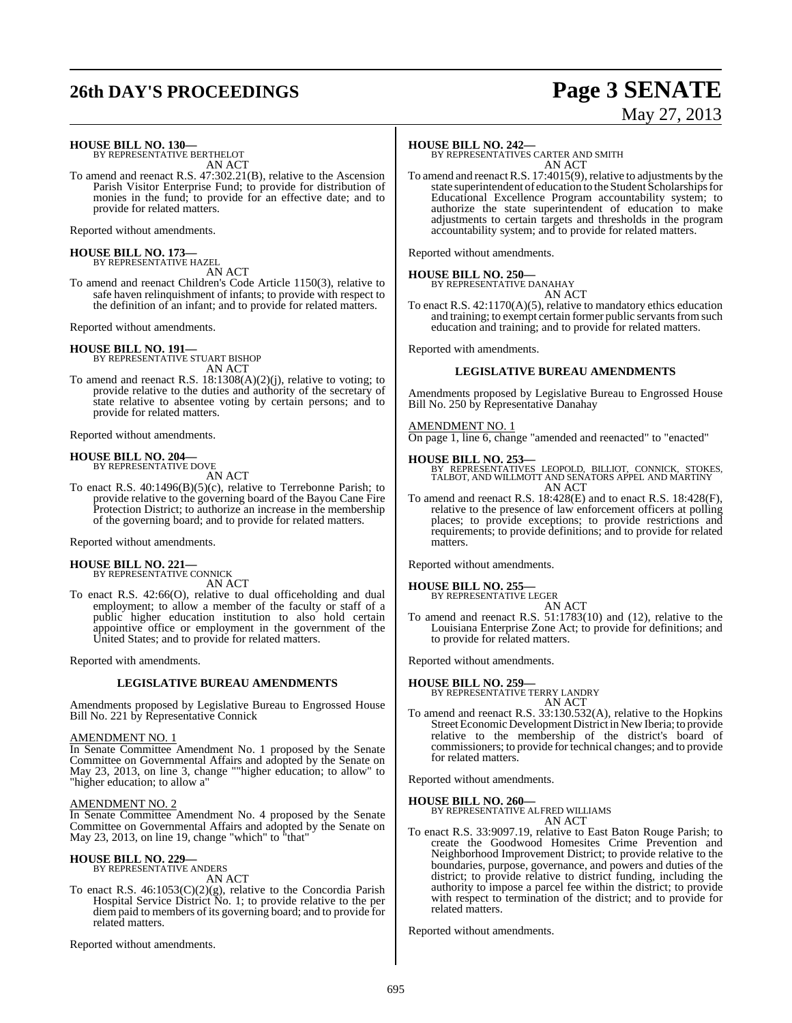# **26th DAY'S PROCEEDINGS Page 3 SENATE**

# May 27, 2013

**HOUSE BILL NO. 130—** BY REPRESENTATIVE BERTHELOT

AN ACT

To amend and reenact R.S. 47:302.21(B), relative to the Ascension Parish Visitor Enterprise Fund; to provide for distribution of monies in the fund; to provide for an effective date; and to provide for related matters.

Reported without amendments.

**HOUSE BILL NO. 173—** BY REPRESENTATIVE HAZEL

AN ACT To amend and reenact Children's Code Article 1150(3), relative to

safe haven relinquishment of infants; to provide with respect to the definition of an infant; and to provide for related matters.

Reported without amendments.

**HOUSE BILL NO. 191—** BY REPRESENTATIVE STUART BISHOP AN ACT

To amend and reenact R.S. 18:1308(A)(2)(j), relative to voting; to provide relative to the duties and authority of the secretary of state relative to absentee voting by certain persons; and to provide for related matters.

Reported without amendments.

# **HOUSE BILL NO. 204—** BY REPRESENTATIVE DOVE

AN ACT

To enact R.S. 40:1496(B)(5)(c), relative to Terrebonne Parish; to provide relative to the governing board of the Bayou Cane Fire Protection District; to authorize an increase in the membership of the governing board; and to provide for related matters.

Reported without amendments.

# **HOUSE BILL NO. 221—** BY REPRESENTATIVE CONNICK

AN ACT

To enact R.S. 42:66(O), relative to dual officeholding and dual employment; to allow a member of the faculty or staff of a public higher education institution to also hold certain appointive office or employment in the government of the United States; and to provide for related matters.

Reported with amendments.

#### **LEGISLATIVE BUREAU AMENDMENTS**

Amendments proposed by Legislative Bureau to Engrossed House Bill No. 221 by Representative Connick

#### AMENDMENT NO. 1

In Senate Committee Amendment No. 1 proposed by the Senate Committee on Governmental Affairs and adopted by the Senate on May 23, 2013, on line 3, change ""higher education; to allow" to "higher education; to allow a"

#### AMENDMENT NO. 2

In Senate Committee Amendment No. 4 proposed by the Senate Committee on Governmental Affairs and adopted by the Senate on May 23, 2013, on line 19, change "which" to "that"

#### **HOUSE BILL NO. 229—**

BY REPRESENTATIVE ANDERS AN ACT

To enact R.S. 46:1053(C)(2)(g), relative to the Concordia Parish Hospital Service District No. 1; to provide relative to the per diem paid to members of its governing board; and to provide for related matters.

Reported without amendments.

#### **HOUSE BILL NO. 242—**

BY REPRESENTATIVES CARTER AND SMITH AN ACT

To amend and reenactR.S. 17:4015(9), relative to adjustments by the state superintendent of education to the Student Scholarships for Educational Excellence Program accountability system; to authorize the state superintendent of education to make adjustments to certain targets and thresholds in the program accountability system; and to provide for related matters.

Reported without amendments.

#### **HOUSE BILL NO. 250—**

BY REPRESENTATIVE DANAHAY AN ACT

To enact R.S. 42:1170(A)(5), relative to mandatory ethics education and training; to exempt certain former public servants from such education and training; and to provide for related matters.

Reported with amendments.

#### **LEGISLATIVE BUREAU AMENDMENTS**

Amendments proposed by Legislative Bureau to Engrossed House Bill No. 250 by Representative Danahay

#### AMENDMENT NO. 1

On page 1, line 6, change "amended and reenacted" to "enacted"

#### **HOUSE BILL NO. 253—**

- BY REPRESENTATIVES LEOPOLD, BILLIOT, CONNICK, STOKES, TALBOT, AND WILLMOTT AND SENATORS APPEL AND MARTINY AN ACT
- To amend and reenact R.S. 18:428(E) and to enact R.S. 18:428(F), relative to the presence of law enforcement officers at polling places; to provide exceptions; to provide restrictions and requirements; to provide definitions; and to provide for related matters.

Reported without amendments.

#### **HOUSE BILL NO. 255—** BY REPRESENTATIVE LEGER

- AN ACT
- To amend and reenact R.S. 51:1783(10) and (12), relative to the Louisiana Enterprise Zone Act; to provide for definitions; and to provide for related matters.

Reported without amendments.

**HOUSE BILL NO. 259—**

BY REPRESENTATIVE TERRY LANDRY AN ACT

To amend and reenact R.S. 33:130.532(A), relative to the Hopkins Street Economic Development District in New Iberia; to provide relative to the membership of the district's board of commissioners; to provide for technical changes; and to provide for related matters.

Reported without amendments.

#### **HOUSE BILL NO. 260—**

BY REPRESENTATIVE ALFRED WILLIAMS

AN ACT To enact R.S. 33:9097.19, relative to East Baton Rouge Parish; to create the Goodwood Homesites Crime Prevention and Neighborhood Improvement District; to provide relative to the boundaries, purpose, governance, and powers and duties of the district; to provide relative to district funding, including the authority to impose a parcel fee within the district; to provide with respect to termination of the district; and to provide for related matters.

Reported without amendments.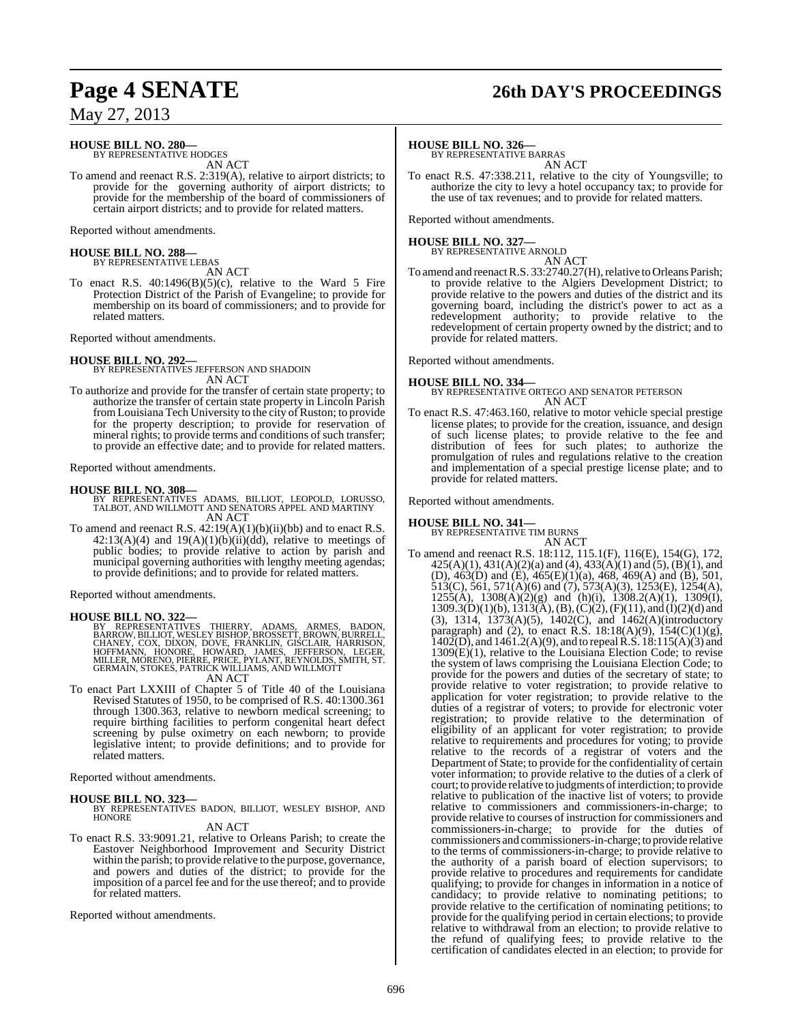# **Page 4 SENATE 26th DAY'S PROCEEDINGS**

May 27, 2013

### **HOUSE BILL NO. 280—**

BY REPRESENTATIVE HODGES AN ACT

To amend and reenact R.S. 2:319(A), relative to airport districts; to provide for the governing authority of airport districts; to provide for the membership of the board of commissioners of certain airport districts; and to provide for related matters.

Reported without amendments.

#### **HOUSE BILL NO. 288—** BY REPRESENTATIVE LEBAS

AN ACT

To enact R.S.  $40:1496(B)(5)(c)$ , relative to the Ward 5 Fire Protection District of the Parish of Evangeline; to provide for membership on its board of commissioners; and to provide for related matters.

Reported without amendments.

**HOUSE BILL NO. 292—** BY REPRESENTATIVES JEFFERSON AND SHADOIN

AN ACT

To authorize and provide for the transfer of certain state property; to authorize the transfer of certain state property in Lincoln Parish from Louisiana Tech University to the city of Ruston; to provide for the property description; to provide for reservation of mineral rights; to provide terms and conditions of such transfer; to provide an effective date; and to provide for related matters.

Reported without amendments.

#### **HOUSE BILL NO. 308—**

- BY REPRESENTATIVES ADAMS, BILLIOT, LEOPOLD, LORUSSO, TALBOT, AND WILLMOTT AND SENATORS APPEL AND MARTINY AN ACT
- To amend and reenact R.S.  $42:19(A)(1)(b)(ii)(bb)$  and to enact R.S.  $42:13(A)(4)$  and  $19(A)(1)(b)(ii)(dd)$ , relative to meetings of public bodies; to provide relative to action by parish and municipal governing authorities with lengthy meeting agendas; to provide definitions; and to provide for related matters.

Reported without amendments.

**HOUSE BILL NO. 322—**<br>BY REPRESENTATIVES THIERRY, ADAMS, ARMES, BADON,<br>BARROW, BILLIOT, WESLEY BISHOP, BROSSETT, BROWN, BURRELL,<br>CHANEY, COX, DIXON, DOVE, FRANKLIN, GISCLAIR, HARRISON,<br>HOFFMANN, HONORE, HOWARD, JAMES, JEFF

#### AN ACT

To enact Part LXXIII of Chapter 5 of Title 40 of the Louisiana Revised Statutes of 1950, to be comprised of R.S. 40:1300.361 through 1300.363, relative to newborn medical screening; to require birthing facilities to perform congenital heart defect screening by pulse oximetry on each newborn; to provide legislative intent; to provide definitions; and to provide for related matters.

Reported without amendments.

#### **HOUSE BILL NO. 323—**

BY REPRESENTATIVES BADON, BILLIOT, WESLEY BISHOP, AND **HONORE** 

#### AN ACT

To enact R.S. 33:9091.21, relative to Orleans Parish; to create the Eastover Neighborhood Improvement and Security District within the parish; to provide relative to the purpose, governance, and powers and duties of the district; to provide for the imposition of a parcel fee and for the use thereof; and to provide for related matters.

Reported without amendments.

#### **HOUSE BILL NO. 326—**

BY REPRESENTATIVE BARRAS AN ACT

To enact R.S. 47:338.211, relative to the city of Youngsville; to authorize the city to levy a hotel occupancy tax; to provide for the use of tax revenues; and to provide for related matters.

Reported without amendments.

#### **HOUSE BILL NO. 327—**

BY REPRESENTATIVE ARNOLD

AN ACT To amend and reenact R.S. 33:2740.27(H), relative to Orleans Parish; to provide relative to the Algiers Development District; to provide relative to the powers and duties of the district and its governing board, including the district's power to act as a redevelopment authority; to provide relative to the redevelopment of certain property owned by the district; and to provide for related matters.

Reported without amendments.

#### **HOUSE BILL NO. 334—** BY REPRESENTATIVE ORTEGO AND SENATOR PETERSON AN ACT

To enact R.S. 47:463.160, relative to motor vehicle special prestige license plates; to provide for the creation, issuance, and design of such license plates; to provide relative to the fee and distribution of fees for such plates; to authorize the promulgation of rules and regulations relative to the creation and implementation of a special prestige license plate; and to provide for related matters.

Reported without amendments.

#### **HOUSE BILL NO. 341—**

BY REPRESENTATIVE TIM BURNS AN ACT

To amend and reenact R.S. 18:112, 115.1(F), 116(E), 154(G), 172,  $425(A)(1)$ ,  $431(A)(2)(a)$  and  $(4)$ ,  $433(A)(1)$  and  $(5)$ ,  $(B)(1)$ , and (D), 463(D) and (E), 465(E)(1)(a), 468, 469(A) and (B), 501, 513(C), 561, 571(A)(6) and (7), 573(A)(3), 1253(E), 1254(A),  $1255(A)$ ,  $1308(A)(2)(g)$  and  $(h)(i)$ ,  $1308.2(A)(1)$ ,  $1309(I)$ ,  $1309.3(D)(1)(b)$ ,  $1313(A)$ ,  $(B)$ ,  $(C)(2)$ ,  $(F)(11)$ , and  $(I)(2)(d)$  and (3), 1314, 1373(A)(5), 1402(C), and 1462(A)(introductory paragraph) and (2), to enact R.S.  $18:18(A)(9)$ ,  $154(C)(1)(g)$ , 1402(D), and  $1461.2(A)(9)$ , and to repeal R.S.  $18:115(A)(3)$  and 1309(E)(1), relative to the Louisiana Election Code; to revise the system of laws comprising the Louisiana Election Code; to provide for the powers and duties of the secretary of state; to provide relative to voter registration; to provide relative to application for voter registration; to provide relative to the duties of a registrar of voters; to provide for electronic voter registration; to provide relative to the determination of eligibility of an applicant for voter registration; to provide relative to requirements and procedures for voting; to provide relative to the records of a registrar of voters and the Department of State; to provide for the confidentiality of certain voter information; to provide relative to the duties of a clerk of court; to provide relative to judgments of interdiction; to provide relative to publication of the inactive list of voters; to provide relative to commissioners and commissioners-in-charge; to provide relative to courses of instruction for commissioners and commissioners-in-charge; to provide for the duties of commissioners and commissioners-in-charge; to provide relative to the terms of commissioners-in-charge; to provide relative to the authority of a parish board of election supervisors; to provide relative to procedures and requirements for candidate qualifying; to provide for changes in information in a notice of candidacy; to provide relative to nominating petitions; to provide relative to the certification of nominating petitions; to provide for the qualifying period in certain elections; to provide relative to withdrawal from an election; to provide relative to the refund of qualifying fees; to provide relative to the certification of candidates elected in an election; to provide for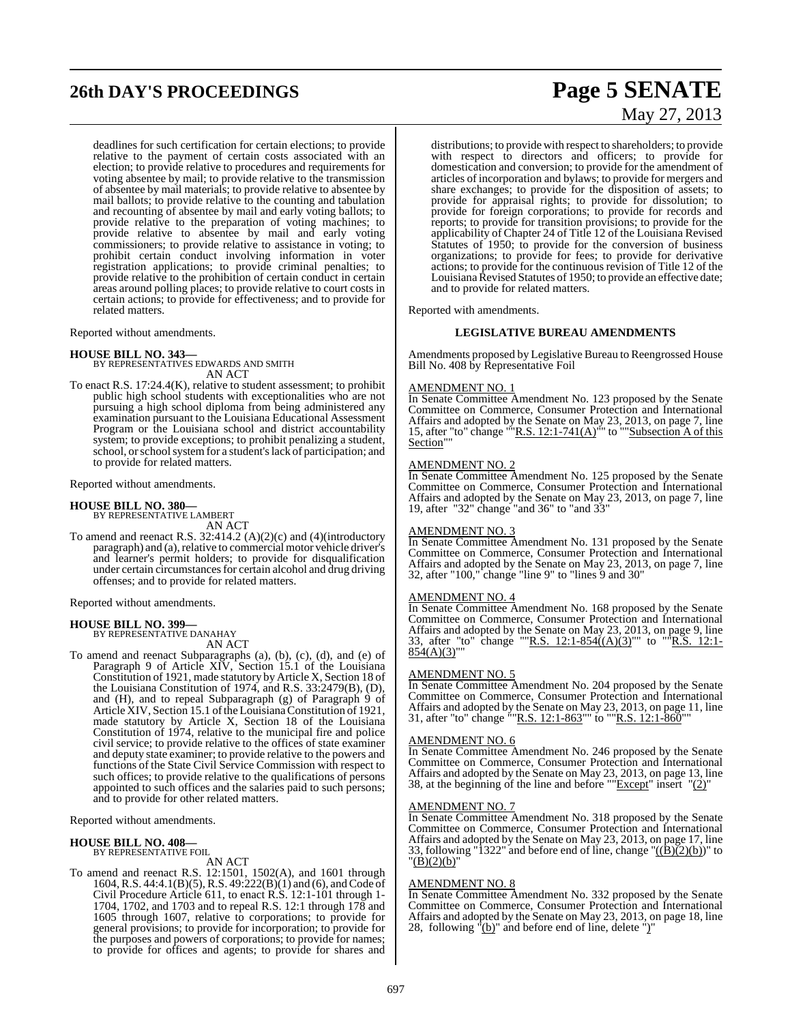# **26th DAY'S PROCEEDINGS Page 5 SENATE**

deadlines for such certification for certain elections; to provide relative to the payment of certain costs associated with an election; to provide relative to procedures and requirements for voting absentee by mail; to provide relative to the transmission of absentee by mail materials; to provide relative to absentee by mail ballots; to provide relative to the counting and tabulation and recounting of absentee by mail and early voting ballots; to provide relative to the preparation of voting machines; to provide relative to absentee by mail and early voting commissioners; to provide relative to assistance in voting; to prohibit certain conduct involving information in voter registration applications; to provide criminal penalties; to provide relative to the prohibition of certain conduct in certain areas around polling places; to provide relative to court costs in certain actions; to provide for effectiveness; and to provide for related matters.

Reported without amendments.

#### **HOUSE BILL NO. 343—**

BY REPRESENTATIVES EDWARDS AND SMITH AN ACT

To enact R.S. 17:24.4(K), relative to student assessment; to prohibit public high school students with exceptionalities who are not pursuing a high school diploma from being administered any examination pursuant to the Louisiana Educational Assessment Program or the Louisiana school and district accountability system; to provide exceptions; to prohibit penalizing a student, school, or school system for a student's lack of participation; and to provide for related matters.

Reported without amendments.

# **HOUSE BILL NO. 380—** BY REPRESENTATIVE LAMBERT

AN ACT

To amend and reenact R.S. 32:414.2 (A)(2)(c) and (4)(introductory paragraph) and (a), relative to commercial motor vehicle driver's and learner's permit holders; to provide for disqualification under certain circumstances for certain alcohol and drug driving offenses; and to provide for related matters.

Reported without amendments.

#### **HOUSE BILL NO. 399—**

BY REPRESENTATIVE DANAHAY AN ACT

To amend and reenact Subparagraphs (a), (b), (c), (d), and (e) of Paragraph 9 of Article XIV, Section 15.1 of the Louisiana Constitution of 1921, made statutory by Article X, Section 18 of the Louisiana Constitution of 1974, and R.S. 33:2479(B), (D), and (H), and to repeal Subparagraph (g) of Paragraph 9 of Article XIV, Section 15.1 of the Louisiana Constitution of 1921, made statutory by Article X, Section 18 of the Louisiana Constitution of 1974, relative to the municipal fire and police civil service; to provide relative to the offices of state examiner and deputy state examiner; to provide relative to the powers and functions of the State Civil Service Commission with respect to such offices; to provide relative to the qualifications of persons appointed to such offices and the salaries paid to such persons; and to provide for other related matters.

Reported without amendments.

#### **HOUSE BILL NO. 408—** BY REPRESENTATIVE FOIL

AN ACT

To amend and reenact R.S. 12:1501, 1502(A), and 1601 through 1604, R.S. 44:4.1(B)(5), R.S. 49:222(B)(1) and (6), and Code of Civil Procedure Article 611, to enact R.S. 12:1-101 through 1- 1704, 1702, and 1703 and to repeal R.S. 12:1 through 178 and 1605 through 1607, relative to corporations; to provide for general provisions; to provide for incorporation; to provide for the purposes and powers of corporations; to provide for names; to provide for offices and agents; to provide for shares and

# May 27, 2013

distributions; to provide with respect to shareholders; to provide with respect to directors and officers; to provide for domestication and conversion; to provide for the amendment of articles of incorporation and bylaws; to provide for mergers and share exchanges; to provide for the disposition of assets; to provide for appraisal rights; to provide for dissolution; to provide for foreign corporations; to provide for records and reports; to provide for transition provisions; to provide for the applicability of Chapter 24 of Title 12 of the Louisiana Revised Statutes of 1950; to provide for the conversion of business organizations; to provide for fees; to provide for derivative actions; to provide for the continuous revision of Title 12 of the Louisiana Revised Statutes of 1950; to provide an effective date; and to provide for related matters.

Reported with amendments.

#### **LEGISLATIVE BUREAU AMENDMENTS**

Amendments proposed by Legislative Bureau to Reengrossed House Bill No. 408 by Representative Foil

#### AMENDMENT NO. 1

In Senate Committee Amendment No. 123 proposed by the Senate Committee on Commerce, Consumer Protection and International Affairs and adopted by the Senate on May 23, 2013, on page 7, line 15, after "to" change "" $R.S. 12:1-741(A)$ " to ""Subsection A of this Section""

#### AMENDMENT NO. 2

In Senate Committee Amendment No. 125 proposed by the Senate Committee on Commerce, Consumer Protection and International Affairs and adopted by the Senate on May 23, 2013, on page 7, line 19, after "32" change "and 36" to "and 33"

#### AMENDMENT NO. 3

In Senate Committee Amendment No. 131 proposed by the Senate Committee on Commerce, Consumer Protection and International Affairs and adopted by the Senate on May 23, 2013, on page 7, line 32, after "100," change "line 9" to "lines 9 and 30"

#### AMENDMENT NO. 4

In Senate Committee Amendment No. 168 proposed by the Senate Committee on Commerce, Consumer Protection and International Affairs and adopted by the Senate on May 23, 2013, on page 9, line 33, after "to" change ""R.S. 12:1-854((A)(3)"" to ""R.S. 12:1-33, after "to" change ""R.S. 12:1-854((A)(3)"" to ""R.S. 12:1- $854(A)(3)$ ""

#### AMENDMENT NO. 5

In Senate Committee Amendment No. 204 proposed by the Senate Committee on Commerce, Consumer Protection and International Affairs and adopted by the Senate on May 23, 2013, on page 11, line 31, after "to" change ""R.S. 12:1-863"" to ""R.S. 12:1-860""

#### AMENDMENT NO. 6

In Senate Committee Amendment No. 246 proposed by the Senate Committee on Commerce, Consumer Protection and International Affairs and adopted by the Senate on May 23, 2013, on page 13, line 38, at the beginning of the line and before "" $\frac{Except}{Except}$ " insert "(2)"

#### <u>AMENDMENT NO. 7</u>

In Senate Committee Amendment No. 318 proposed by the Senate Committee on Commerce, Consumer Protection and International Affairs and adopted by the Senate on May 23, 2013, on page 17, line 33, following "1322" and before end of line, change " $((\overline{B})(2)(b))$ " to "(B)(2)(b)"

#### AMENDMENT NO. 8

In Senate Committee Amendment No. 332 proposed by the Senate Committee on Commerce, Consumer Protection and International Affairs and adopted by the Senate on May 23, 2013, on page 18, line 28, following  $\sqrt[n]{(b)}$  and before end of line, delete ")"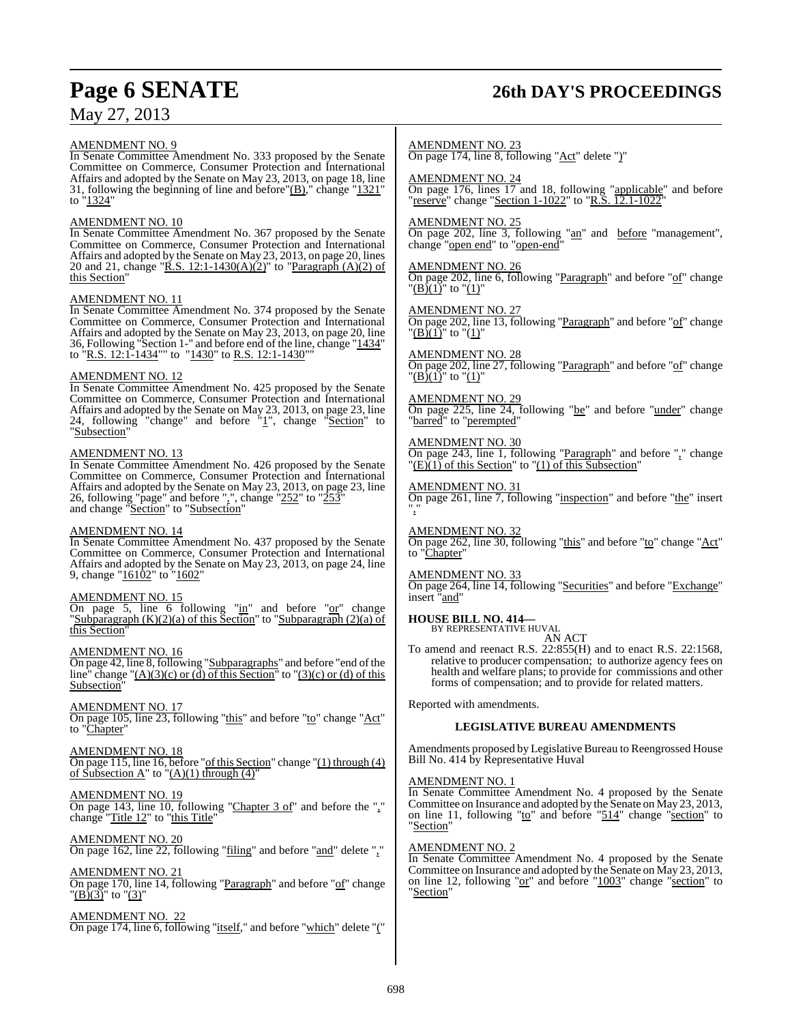# **Page 6 SENATE 26th DAY'S PROCEEDINGS**

AMENDMENT NO. 9

In Senate Committee Amendment No. 333 proposed by the Senate Committee on Commerce, Consumer Protection and International Affairs and adopted by the Senate on May 23, 2013, on page 18, line 31, following the beginning of line and before" $(B)$ ," change " $1321$ " to "1324"

#### AMENDMENT NO. 10

In Senate Committee Amendment No. 367 proposed by the Senate Committee on Commerce, Consumer Protection and International Affairs and adopted by the Senate on May 23, 2013, on page 20, lines 20 and 21, change " $R.S. 12:1-1430(A)(2)$ " to "Paragraph (A)(2) of this Section

#### AMENDMENT NO. 11

In Senate Committee Amendment No. 374 proposed by the Senate Committee on Commerce, Consumer Protection and International Affairs and adopted by the Senate on May 23, 2013, on page 20, line 36, Following "Section 1-" and before end of the line, change "1434" to "R.S. 12:1-1434"" to "1430" to R.S. 12:1-1430"

#### AMENDMENT NO. 12

In Senate Committee Amendment No. 425 proposed by the Senate Committee on Commerce, Consumer Protection and International Affairs and adopted by the Senate on May 23, 2013, on page 23, line 24, following "change" and before "1", change "Section" to "Subsection"

#### AMENDMENT NO. 13

In Senate Committee Amendment No. 426 proposed by the Senate Committee on Commerce, Consumer Protection and International Affairs and adopted by the Senate on May 23, 2013, on page 23, line 26, following "page" and before ",", change " $252$ " to " $253$ " and change "Section" to "Subsection"

#### AMENDMENT NO. 14

In Senate Committee Amendment No. 437 proposed by the Senate Committee on Commerce, Consumer Protection and International Affairs and adopted by the Senate on May 23, 2013, on page 24, line 9, change "16102" to "1602"

#### AMENDMENT NO. 15

On page 5, line 6 following " $\text{in}$ " and before " $\text{or}$ " change "Subparagraph  $(K)(2)(a)$  of this Section" to "Subparagraph  $(2)(a)$  of this Section"

AMENDMENT NO. 16 On page 42, line 8, following "Subparagraphs" and before "end of the line" change " $(A)(3)(c)$  or (d) of this Section" to " $(3)(c)$  or (d) of this Subsection"

#### AMENDMENT NO. 17

On page 105, line 23, following "this" and before "to" change "Act" to "Chapter"

#### AMENDMENT NO. 18

On page 115, line 16, before "of this Section" change "(1) through (4) of Subsection A" to " $(A)(1)$  through  $(4)$ "

#### AMENDMENT NO. 19

On page 143, line 10, following "Chapter 3 of" and before the "," change "Title 12" to "this Title"

#### AMENDMENT NO. 20

On page 162, line 22, following "filing" and before "and" delete ","

#### AMENDMENT NO. 21

On page 170, line 14, following "Paragraph" and before "of" change  $\frac{1}{2}$ (B)(3)" to "(3)"

AMENDMENT NO. 22 On page 174, line 6, following "itself," and before "which" delete "("

#### AMENDMENT NO. 23

On page 174, line 8, following "Act" delete ")"

#### AMENDMENT NO. 24

On page 176, lines 17 and 18, following "applicable" and before "reserve" change "Section 1-1022" to "R.S. 12.1-1022"

#### AMENDMENT NO. 25

On page 202, line 3, following "an" and before "management", change "open end" to "open-end"

#### AMENDMENT NO. 26

On page 202, line 6, following "Paragraph" and before "of" change  $"({\rm B})\,(1)"$  to  $"({\rm 1})"$ 

#### AMENDMENT NO. 27

On page 202, line 13, following "Paragraph" and before "of" change  $"(\underline{B})(1)"$  to  $"(\underline{1})"$ 

AMENDMENT NO. 28 On page 202, line 27, following "Paragraph" and before "of" change  $\Gamma(B)(1)$ " to  $\Gamma(1)$ "

#### AMENDMENT NO. 29

On page 225, line 24, following "be" and before "under" change "barred" to "perempted"

AMENDMENT NO. 30

On page 243, line 1, following "Paragraph" and before "," change "(E)(1) of this Section" to "(1) of this Subsection"

AMENDMENT NO. 31 On page 261, line 7, following "inspection" and before "the" insert ","

AMENDMENT NO. 32 On page 262, line 30, following "this" and before "to" change "Act" to "Chapter"

## AMENDMENT NO. 33

On page 264, line 14, following "Securities" and before "Exchange" insert "and"

### **HOUSE BILL NO. 414—**

BY REPRESENTATIVE HUVAL AN ACT

To amend and reenact R.S. 22:855(H) and to enact R.S. 22:1568, relative to producer compensation; to authorize agency fees on health and welfare plans; to provide for commissions and other forms of compensation; and to provide for related matters.

Reported with amendments.

#### **LEGISLATIVE BUREAU AMENDMENTS**

Amendments proposed by Legislative Bureau to Reengrossed House Bill No. 414 by Representative Huval

#### AMENDMENT NO. 1

In Senate Committee Amendment No. 4 proposed by the Senate Committee on Insurance and adopted by the Senate on May 23, 2013, on line 11, following " $\text{to}$ " and before " $\frac{514}{10}$ " change "section" to "Section"

#### AMENDMENT NO. 2

In Senate Committee Amendment No. 4 proposed by the Senate Committee on Insurance and adopted by the Senate on May 23, 2013, on line 12, following "or" and before "1003" change "section" to "Section"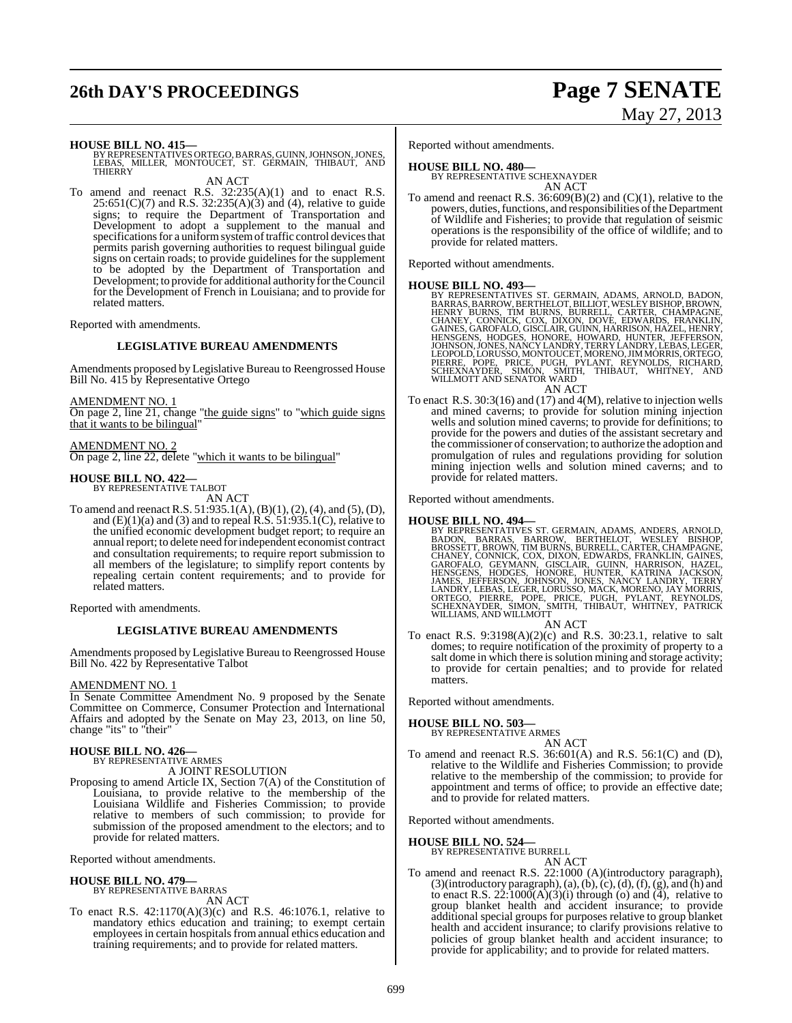# **26th DAY'S PROCEEDINGS Page 7 SENATE**

# May 27, 2013

**HOUSE BILL NO. 415—** BY REPRESENTATIVES ORTEGO,BARRAS, GUINN,JOHNSON,JONES, LEBAS, MILLER, MONTOUCET, ST. GERMAIN, THIBAUT, AND THIERRY

AN ACT

To amend and reenact R.S.  $32:235(A)(1)$  and to enact R.S.  $25:651(C)(7)$  and R.S.  $32:235(A)(3)$  and (4), relative to guide signs; to require the Department of Transportation and Development to adopt a supplement to the manual and specifications for a uniform system of traffic control devices that permits parish governing authorities to request bilingual guide signs on certain roads; to provide guidelines for the supplement to be adopted by the Department of Transportation and Development; to provide for additional authority for the Council for the Development of French in Louisiana; and to provide for related matters.

Reported with amendments.

#### **LEGISLATIVE BUREAU AMENDMENTS**

Amendments proposed by Legislative Bureau to Reengrossed House Bill No. 415 by Representative Ortego

AMENDMENT NO. 1

On page 2, line 21, change "the guide signs" to "which guide signs" that it wants to be bilingual"

AMENDMENT NO. 2 On page 2, line 22, delete "which it wants to be bilingual"

# **HOUSE BILL NO. 422—** BY REPRESENTATIVE TALBOT

AN ACT

To amend and reenact R.S. 51:935.1(A), (B)(1), (2), (4), and (5), (D), and  $(E)(1)(a)$  and  $(3)$  and to repeal R.S. 51:935.1(C), relative to the unified economic development budget report; to require an annual report; to delete need for independent economist contract and consultation requirements; to require report submission to all members of the legislature; to simplify report contents by repealing certain content requirements; and to provide for related matters.

Reported with amendments.

#### **LEGISLATIVE BUREAU AMENDMENTS**

Amendments proposed by Legislative Bureau to Reengrossed House Bill No. 422 by Representative Talbot

#### AMENDMENT NO. 1

In Senate Committee Amendment No. 9 proposed by the Senate Committee on Commerce, Consumer Protection and International Affairs and adopted by the Senate on May 23, 2013, on line 50, change "its" to "their"

# **HOUSE BILL NO. 426—** BY REPRESENTATIVE ARMES

A JOINT RESOLUTION

Proposing to amend Article IX, Section 7(A) of the Constitution of Louisiana, to provide relative to the membership of the Louisiana Wildlife and Fisheries Commission; to provide relative to members of such commission; to provide for submission of the proposed amendment to the electors; and to provide for related matters.

Reported without amendments.

# **HOUSE BILL NO. 479—** BY REPRESENTATIVE BARRAS

AN ACT

To enact R.S. 42:1170(A)(3)(c) and R.S. 46:1076.1, relative to mandatory ethics education and training; to exempt certain employees in certain hospitals from annual ethics education and training requirements; and to provide for related matters.

Reported without amendments.

#### **HOUSE BILL NO. 480—**

BY REPRESENTATIVE SCHEXNAYDER AN ACT

To amend and reenact R.S. 36:609(B)(2) and (C)(1), relative to the powers, duties, functions, and responsibilities of the Department of Wildlife and Fisheries; to provide that regulation of seismic operations is the responsibility of the office of wildlife; and to provide for related matters.

Reported without amendments.

- **HOUSE BILL NO. 493—**<br>BY REPRESENTATIVES ST. GERMAIN, ADAMS, ARNOLD, BADON,<br>BARRAS, BARROW, BERTHELOT, BILLIOT, WESLEY BISHOP, BROWN,<br>HENRY BURNS, TIM BURNS, BURRELL, CARTER, CHAMPAGNE,<br>CHANEY, CONNICK, COX, DIXON, DOVE, E AN ACT
- To enact R.S. 30:3(16) and (17) and 4(M), relative to injection wells and mined caverns; to provide for solution mining injection wells and solution mined caverns; to provide for definitions; to provide for the powers and duties of the assistant secretary and the commissioner of conservation; to authorize the adoption and promulgation of rules and regulations providing for solution mining injection wells and solution mined caverns; and to provide for related matters.

Reported without amendments.

**HOUSE BILL NO. 494—**<br>BY REPRESENTATIVES ST. GERMAIN, ADAMS, ANDERS, ARNOLD,<br>BADON, BARRAS, BARROW, BERTHELOT, WESLEY BISHOP,<br>BROSSETT, BROWN, TIM BURNS, BURRELL, CARTER, CHAMPAGNE,<br>CHANEY, CONNICK, COX, DIXON, EDWARDS, FR

AN ACT

To enact R.S. 9:3198(A)(2)(c) and R.S. 30:23.1, relative to salt domes; to require notification of the proximity of property to a salt dome in which there is solution mining and storage activity; to provide for certain penalties; and to provide for related matters.

Reported without amendments.

# **HOUSE BILL NO. 503—** BY REPRESENTATIVE ARMES

AN ACT

To amend and reenact R.S. 36:601(A) and R.S. 56:1(C) and (D), relative to the Wildlife and Fisheries Commission; to provide relative to the membership of the commission; to provide for appointment and terms of office; to provide an effective date; and to provide for related matters.

Reported without amendments.

#### **HOUSE BILL NO. 524—**

BY REPRESENTATIVE BURRELL AN ACT

To amend and reenact R.S. 22:1000 (A)(introductory paragraph), (3)(introductory paragraph), (a), (b), (c), (d), (f), (g), and (h) and to enact R.S.  $22:1000(A)(3)(i)$  through (o) and (4), relative to group blanket health and accident insurance; to provide additional special groups for purposes relative to group blanket health and accident insurance; to clarify provisions relative to policies of group blanket health and accident insurance; to provide for applicability; and to provide for related matters.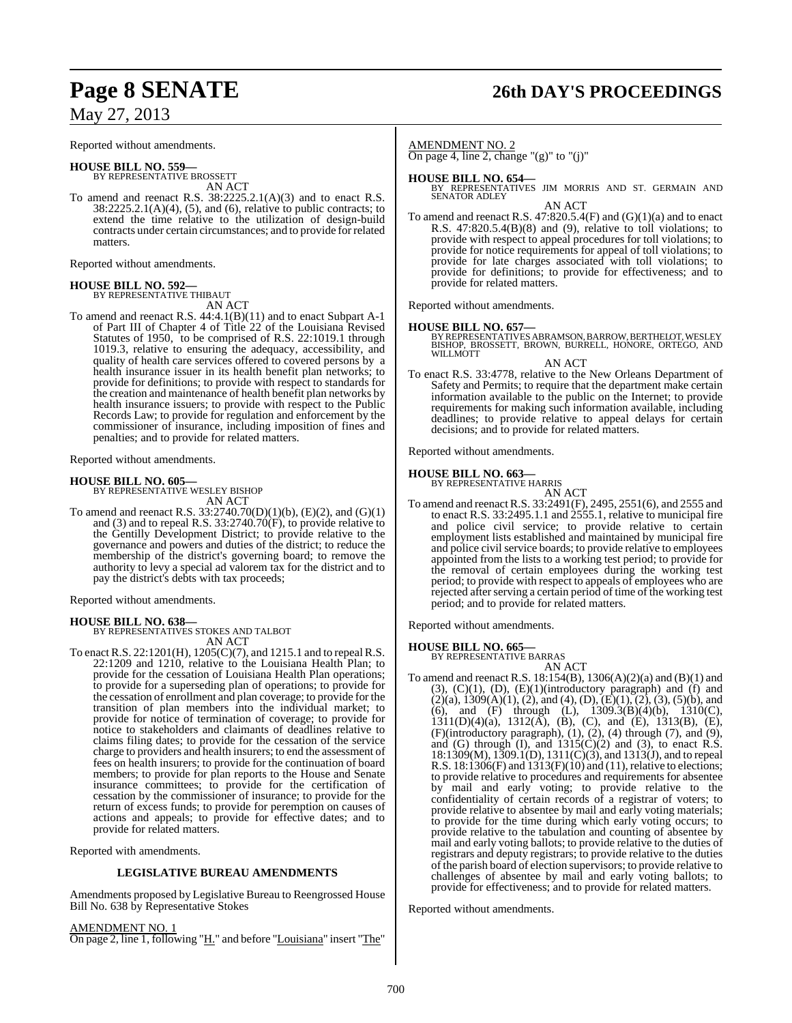Reported without amendments.

#### **HOUSE BILL NO. 559—**

BY REPRESENTATIVE BROSSETT AN ACT

To amend and reenact R.S.  $38:2225.2.1(A)(3)$  and to enact R.S.  $38:2225.2.1(A)(4)$ ,  $(5)$ , and  $(6)$ , relative to public contracts; to extend the time relative to the utilization of design-build contracts under certain circumstances; and to provide for related matters.

Reported without amendments.

# **HOUSE BILL NO. 592—** BY REPRESENTATIVE THIBAUT

AN ACT

To amend and reenact R.S. 44:4.1(B)(11) and to enact Subpart A-1 of Part III of Chapter 4 of Title 22 of the Louisiana Revised Statutes of 1950, to be comprised of R.S. 22:1019.1 through 1019.3, relative to ensuring the adequacy, accessibility, and quality of health care services offered to covered persons by a health insurance issuer in its health benefit plan networks; to provide for definitions; to provide with respect to standards for the creation and maintenance of health benefit plan networks by health insurance issuers; to provide with respect to the Public Records Law; to provide for regulation and enforcement by the commissioner of insurance, including imposition of fines and penalties; and to provide for related matters.

Reported without amendments.

# **HOUSE BILL NO. 605—** BY REPRESENTATIVE WESLEY BISHOP

AN ACT

To amend and reenact R.S. 33:2740.70(D)(1)(b), (E)(2), and (G)(1) and (3) and to repeal R.S. 33:2740.70(F), to provide relative to the Gentilly Development District; to provide relative to the governance and powers and duties of the district; to reduce the membership of the district's governing board; to remove the authority to levy a special ad valorem tax for the district and to pay the district's debts with tax proceeds;

Reported without amendments.

## **HOUSE BILL NO. 638—**

BY REPRESENTATIVES STOKES AND TALBOT AN ACT

To enact R.S. 22:1201(H), 1205(C)(7), and 1215.1 and to repeal R.S. 22:1209 and 1210, relative to the Louisiana Health Plan; to provide for the cessation of Louisiana Health Plan operations; to provide for a superseding plan of operations; to provide for the cessation of enrollment and plan coverage; to provide for the transition of plan members into the individual market; to provide for notice of termination of coverage; to provide for notice to stakeholders and claimants of deadlines relative to claims filing dates; to provide for the cessation of the service charge to providers and health insurers; to end the assessment of fees on health insurers; to provide for the continuation of board members; to provide for plan reports to the House and Senate insurance committees; to provide for the certification of cessation by the commissioner of insurance; to provide for the return of excess funds; to provide for peremption on causes of actions and appeals; to provide for effective dates; and to provide for related matters.

Reported with amendments.

#### **LEGISLATIVE BUREAU AMENDMENTS**

Amendments proposed by Legislative Bureau to Reengrossed House Bill No. 638 by Representative Stokes

AMENDMENT NO. 1 On page 2, line 1, following "H." and before "Louisiana" insert "The"

# **Page 8 SENATE 26th DAY'S PROCEEDINGS**

AMENDMENT NO. 2

On page 4, line 2, change " $(g)$ " to " $(j)$ "

**HOUSE BILL NO. 654—** BY REPRESENTATIVES JIM MORRIS AND ST. GERMAIN AND SENATOR ADLEY AN ACT

To amend and reenact R.S.  $47:820.5.4(F)$  and  $(G)(1)(a)$  and to enact R.S. 47:820.5.4(B)(8) and (9), relative to toll violations; to provide with respect to appeal procedures for toll violations; to provide for notice requirements for appeal of toll violations; to provide for late charges associated with toll violations; to provide for definitions; to provide for effectiveness; and to provide for related matters.

Reported without amendments.

#### **HOUSE BILL NO. 657—**

BY REPRESENTATIVES ABRAMSON, BARROW, BERTHELOT, WESLEY<br>BISHOP, BROSSETT, BROWN, BURRELL, HONORE, ORTEGO, AND WILLMOTT

AN ACT

To enact R.S. 33:4778, relative to the New Orleans Department of Safety and Permits; to require that the department make certain information available to the public on the Internet; to provide requirements for making such information available, including deadlines; to provide relative to appeal delays for certain decisions; and to provide for related matters.

Reported without amendments.

**HOUSE BILL NO. 663—**

BY REPRESENTATIVE HARRIS

AN ACT To amend and reenact R.S. 33:2491(F), 2495, 2551(6), and 2555 and to enact R.S. 33:2495.1.1 and 2555.1, relative to municipal fire and police civil service; to provide relative to certain employment lists established and maintained by municipal fire and police civil service boards; to provide relative to employees appointed from the lists to a working test period; to provide for the removal of certain employees during the working test period; to provide with respect to appeals of employees who are rejected after serving a certain period of time of the working test period; and to provide for related matters.

Reported without amendments.

#### **HOUSE BILL NO. 665—**

BY REPRESENTATIVE BARRAS

AN ACT To amend and reenact R.S. 18:154(B), 1306(A)(2)(a) and (B)(1) and  $(3)$ ,  $(C)(1)$ ,  $(D)$ ,  $(E)(1)$ (introductory paragraph) and  $(f)$  and  $(2)(a)$ ,  $1309(A)(1)$ ,  $(2)$ , and  $(4)$ ,  $(D)$ ,  $(E)(1)$ ,  $(2)$ ,  $(3)$ ,  $(5)(b)$ , and (6), and (F) through (L), 1309.3(B)(4)(b), 1310(C),  $1311(D)(4)(a)$ ,  $1312(A)$ ,  $(B)$ ,  $(C)$ , and  $(E)$ ,  $1313(B)$ ,  $(E)$ , (F)(introductory paragraph), (1), (2), (4) through (7), and (9), and (G) through  $(I)$ , and  $1315(C)(2)$  and  $(3)$ , to enact R.S. 18:1309(M), 1309.1(D), 1311(C)(3), and 1313(J), and to repeal R.S.  $18:1306(F)$  and  $1313(F)(10)$  and  $(11)$ , relative to elections; to provide relative to procedures and requirements for absentee by mail and early voting; to provide relative to the confidentiality of certain records of a registrar of voters; to provide relative to absentee by mail and early voting materials; to provide for the time during which early voting occurs; to provide relative to the tabulation and counting of absentee by mail and early voting ballots; to provide relative to the duties of registrars and deputy registrars; to provide relative to the duties of the parish board of election supervisors; to provide relative to challenges of absentee by mail and early voting ballots; to provide for effectiveness; and to provide for related matters.

Reported without amendments.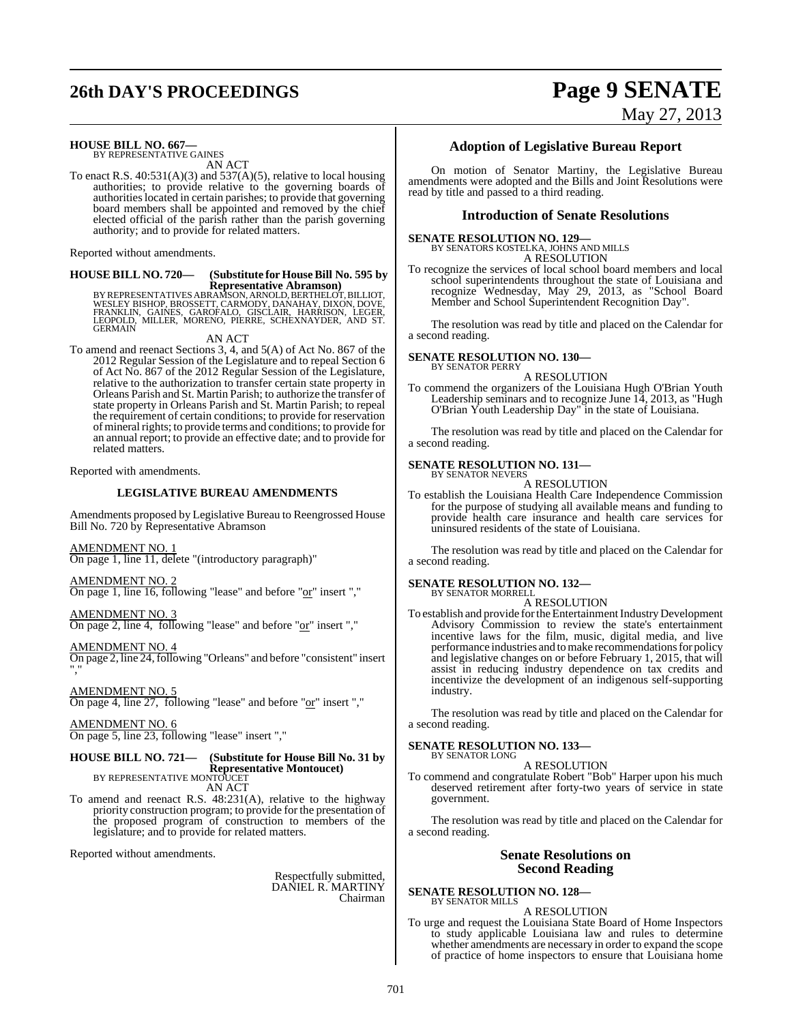# **26th DAY'S PROCEEDINGS Page 9 SENATE**

# May 27, 2013

# **HOUSE BILL NO. 667—** BY REPRESENTATIVE GAINES

AN ACT

To enact R.S. 40:531(A)(3) and 537(A)(5), relative to local housing authorities; to provide relative to the governing boards of authoritieslocated in certain parishes; to provide that governing board members shall be appointed and removed by the chief elected official of the parish rather than the parish governing authority; and to provide for related matters.

Reported without amendments.

# **HOUSE BILL NO. 720—** (Substitute for House Bill No. 595 by<br>Representative Abramson)

**Representative Abramson)**<br>WESLEY BISHOP, BROSSETT, CARNOLD, BERTHELOT, BULLOT,<br>WESLEY BISHOP, BROSSETT, CARMODY, DANAHAY, DIXON, DOVE,<br>LEOPOLD, MILLER, MORENO, PIERRE, SCHEXNAYDER, AND ST.<br>GERMAIN

AN ACT

To amend and reenact Sections 3, 4, and 5(A) of Act No. 867 of the 2012 Regular Session of the Legislature and to repeal Section 6 of Act No. 867 of the 2012 Regular Session of the Legislature, relative to the authorization to transfer certain state property in Orleans Parish and St. Martin Parish; to authorize the transfer of state property in Orleans Parish and St. Martin Parish; to repeal the requirement of certain conditions; to provide for reservation of mineral rights; to provide terms and conditions; to provide for an annual report; to provide an effective date; and to provide for related matters.

Reported with amendments.

#### **LEGISLATIVE BUREAU AMENDMENTS**

Amendments proposed by Legislative Bureau to Reengrossed House Bill No. 720 by Representative Abramson

AMENDMENT NO. 1 On page 1, line 11, delete "(introductory paragraph)"

## AMENDMENT NO. 2

On page 1, line 16, following "lease" and before "or" insert ","

AMENDMENT NO. 3

On page 2, line 4, following "lease" and before "or" insert ","

AMENDMENT NO. 4

On page 2, line 24,following "Orleans" and before "consistent" insert ","

AMENDMENT NO. 5

On page 4, line 27, following "lease" and before "or" insert ","

AMENDMENT NO. 6 On page 5, line 23, following "lease" insert ","

## **HOUSE BILL NO. 721— (Substitute for House Bill No. 31 by Representative Montoucet)** BY REPRESENTATIVE MONTOUCET

AN ACT

To amend and reenact R.S. 48:231(A), relative to the highway priority construction program; to provide for the presentation of the proposed program of construction to members of the legislature; and to provide for related matters.

Reported without amendments.

Respectfully submitted, DANIEL R. MARTINY Chairman

### **Adoption of Legislative Bureau Report**

On motion of Senator Martiny, the Legislative Bureau amendments were adopted and the Bills and Joint Resolutions were read by title and passed to a third reading.

#### **Introduction of Senate Resolutions**

### **SENATE RESOLUTION NO. 129—**

BY SENATORS KOSTELKA, JOHNS AND MILLS A RESOLUTION

To recognize the services of local school board members and local school superintendents throughout the state of Louisiana and recognize Wednesday, May 29, 2013, as "School Board Member and School Superintendent Recognition Day".

The resolution was read by title and placed on the Calendar for a second reading.

#### **SENATE RESOLUTION NO. 130—** BY SENATOR PERRY

A RESOLUTION

To commend the organizers of the Louisiana Hugh O'Brian Youth Leadership seminars and to recognize June 14, 2013, as "Hugh O'Brian Youth Leadership Day" in the state of Louisiana.

The resolution was read by title and placed on the Calendar for a second reading.

#### **SENATE RESOLUTION NO. 131—** BY SENATOR NEVERS

A RESOLUTION

To establish the Louisiana Health Care Independence Commission for the purpose of studying all available means and funding to provide health care insurance and health care services for uninsured residents of the state of Louisiana.

The resolution was read by title and placed on the Calendar for a second reading.

#### **SENATE RESOLUTION NO. 132—** BY SENATOR MORRELL

A RESOLUTION

To establish and provide for the Entertainment Industry Development Advisory Commission to review the state's entertainment incentive laws for the film, music, digital media, and live performance industries and to make recommendations for policy and legislative changes on or before February 1, 2015, that will assist in reducing industry dependence on tax credits and incentivize the development of an indigenous self-supporting industry.

The resolution was read by title and placed on the Calendar for a second reading.

#### **SENATE RESOLUTION NO. 133—** BY SENATOR LONG

#### A RESOLUTION

To commend and congratulate Robert "Bob" Harper upon his much deserved retirement after forty-two years of service in state government.

The resolution was read by title and placed on the Calendar for a second reading.

#### **Senate Resolutions on Second Reading**

**SENATE RESOLUTION NO. 128—** BY SENATOR MILLS

#### A RESOLUTION

To urge and request the Louisiana State Board of Home Inspectors to study applicable Louisiana law and rules to determine whether amendments are necessary in order to expand the scope of practice of home inspectors to ensure that Louisiana home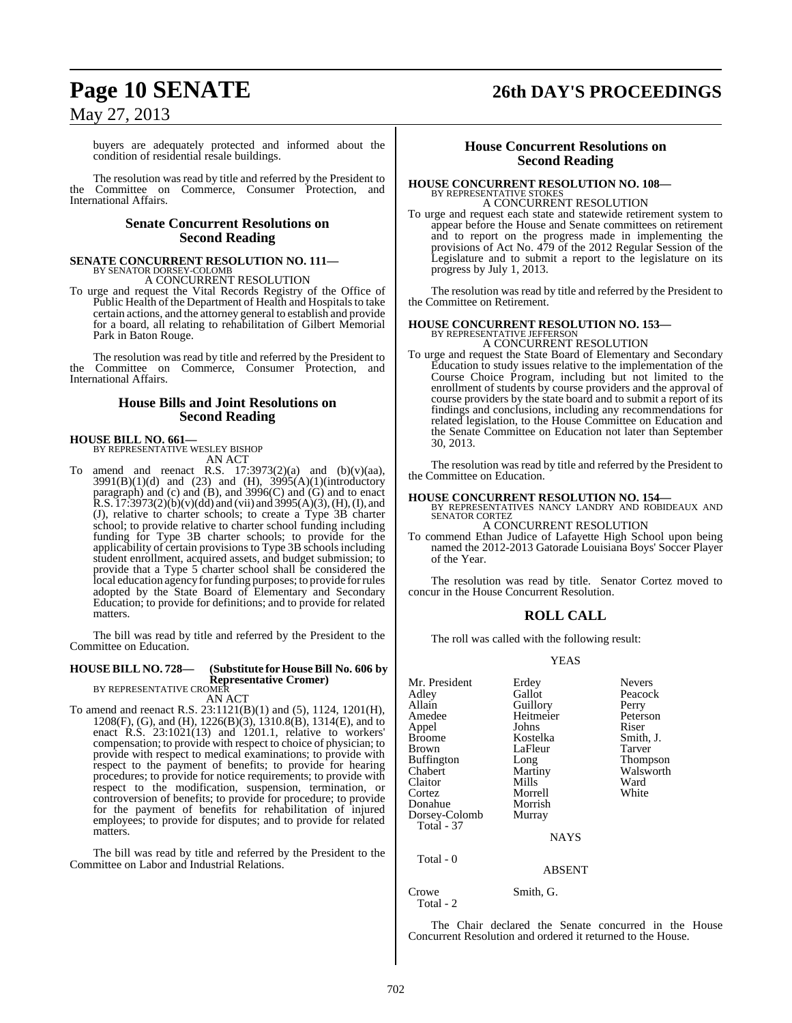# **Page 10 SENATE 26th DAY'S PROCEEDINGS**

## May 27, 2013

buyers are adequately protected and informed about the condition of residential resale buildings.

The resolution was read by title and referred by the President to the Committee on Commerce, Consumer Protection, and International Affairs.

#### **Senate Concurrent Resolutions on Second Reading**

# **SENATE CONCURRENT RESOLUTION NO. 111—** BY SENATOR DORSEY-COLOMB

A CONCURRENT RESOLUTION

To urge and request the Vital Records Registry of the Office of Public Health of the Department of Health and Hospitals to take certain actions, and the attorney general to establish and provide for a board, all relating to rehabilitation of Gilbert Memorial Park in Baton Rouge.

The resolution was read by title and referred by the President to the Committee on Commerce, Consumer Protection, and International Affairs.

### **House Bills and Joint Resolutions on Second Reading**

#### **HOUSE BILL NO. 661—**

BY REPRESENTATIVE WESLEY BISHOP AN ACT

To amend and reenact R.S.  $17:3973(2)(a)$  and  $(b)(v)(aa)$ ,  $3991(B)(1)(d)$  and  $(23)$  and  $(H)$ ,  $3995(A)(1)(introducing$ paragraph) and (c) and (B), and 3996(C) and (G) and to enact  $R.S. I 7:3973(2)(b)(v)(dd)$  and (vii) and  $3995(A)(3)$ , (H), (I), and (J), relative to charter schools; to create a Type 3B charter school; to provide relative to charter school funding including funding for Type 3B charter schools; to provide for the applicability of certain provisions to Type 3B schools including student enrollment, acquired assets, and budget submission; to provide that a Type 5 charter school shall be considered the local education agency for funding purposes; to provide for rules adopted by the State Board of Elementary and Secondary Education; to provide for definitions; and to provide for related matters.

The bill was read by title and referred by the President to the Committee on Education.

#### **HOUSE BILL NO. 728— (Substitute for HouseBill No. 606 by Representative Cromer)**

BY REPRESENTATIVE CROMER AN ACT

To amend and reenact R.S. 23:1121(B)(1) and (5), 1124, 1201(H), 1208(F), (G), and (H), 1226(B)(3), 1310.8(B), 1314(E), and to enact R.S. 23:1021(13) and 1201.1, relative to workers' compensation; to provide with respect to choice of physician; to provide with respect to medical examinations; to provide with respect to the payment of benefits; to provide for hearing procedures; to provide for notice requirements; to provide with respect to the modification, suspension, termination, or controversion of benefits; to provide for procedure; to provide for the payment of benefits for rehabilitation of injured employees; to provide for disputes; and to provide for related matters.

The bill was read by title and referred by the President to the Committee on Labor and Industrial Relations.

#### **House Concurrent Resolutions on Second Reading**

## **HOUSE CONCURRENT RESOLUTION NO. 108—** BY REPRESENTATIVE STOKES A CONCURRENT RESOLUTION

To urge and request each state and statewide retirement system to appear before the House and Senate committees on retirement and to report on the progress made in implementing the provisions of Act No. 479 of the 2012 Regular Session of the Legislature and to submit a report to the legislature on its progress by July 1, 2013.

The resolution was read by title and referred by the President to the Committee on Retirement.

#### **HOUSE CONCURRENT RESOLUTION NO. 153—**

BY REPRESENTATIVE JEFFERSON A CONCURRENT RESOLUTION

To urge and request the State Board of Elementary and Secondary Education to study issues relative to the implementation of the Course Choice Program, including but not limited to the enrollment of students by course providers and the approval of course providers by the state board and to submit a report of its findings and conclusions, including any recommendations for related legislation, to the House Committee on Education and the Senate Committee on Education not later than September 30, 2013.

The resolution was read by title and referred by the President to the Committee on Education.

**HOUSE CONCURRENT RESOLUTION NO. 154—** BY REPRESENTATIVES NANCY LANDRY AND ROBIDEAUX AND SENATOR CORTEZ

A CONCURRENT RESOLUTION

To commend Ethan Judice of Lafayette High School upon being named the 2012-2013 Gatorade Louisiana Boys' Soccer Player of the Year.

The resolution was read by title. Senator Cortez moved to concur in the House Concurrent Resolution.

#### **ROLL CALL**

The roll was called with the following result:

#### **YEAS**

| Mr. President<br>Adley<br>Allain<br>Amedee<br>Appel<br>Broome<br>Brown<br>Buffington<br>Chabert<br>Claitor<br>Cortez<br>Donahue<br>Dorsey-Colomb<br><b>Total - 37</b> | Erdey<br>Gallot<br>Guillory<br>Heitmeier<br>Johns<br>Kostelka<br>LaFleur<br>Long<br>Martiny<br>Mills<br>Morrell<br>Morrish<br>Murray<br><b>NAYS</b> | <b>Nevers</b><br>Peacock<br>Perry<br>Peterson<br>Riser<br>Smith, J.<br>Tarver<br>Thompson<br>Walsworth<br>Ward<br>White |
|-----------------------------------------------------------------------------------------------------------------------------------------------------------------------|-----------------------------------------------------------------------------------------------------------------------------------------------------|-------------------------------------------------------------------------------------------------------------------------|
| Total - 0                                                                                                                                                             | <b>ABSENT</b>                                                                                                                                       |                                                                                                                         |

Crowe Smith, G. Total - 2

The Chair declared the Senate concurred in the House Concurrent Resolution and ordered it returned to the House.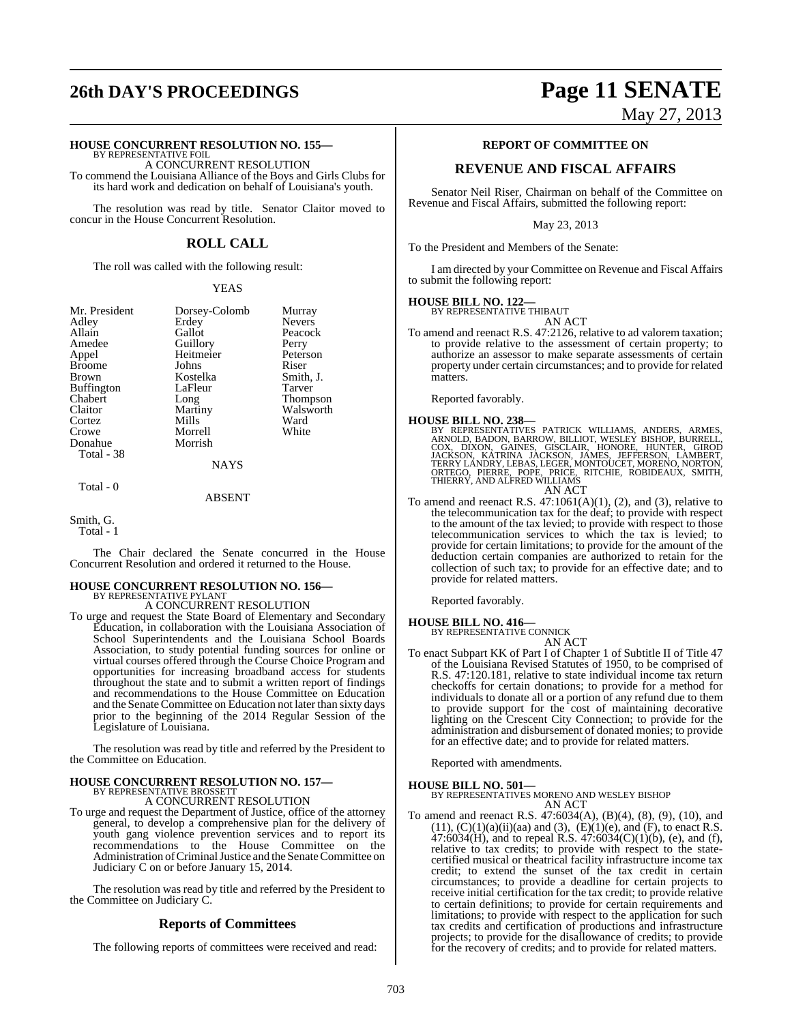# **26th DAY'S PROCEEDINGS Page 11 SENATE**

#### **HOUSE CONCURRENT RESOLUTION NO. 155—**

BY REPRESENTATIVE FOIL A CONCURRENT RESOLUTION To commend the Louisiana Alliance of the Boys and Girls Clubs for its hard work and dedication on behalf of Louisiana's youth.

The resolution was read by title. Senator Claitor moved to concur in the House Concurrent Resolution.

### **ROLL CALL**

The roll was called with the following result:

#### YEAS

| Mr. President | Dorsey-Colomb | Murray          |
|---------------|---------------|-----------------|
| Adley         | Erdey         | <b>Nevers</b>   |
| Allain        | Gallot        | Peacock         |
| Amedee        | Guillory      | Perry           |
| Appel         | Heitmeier     | Peterson        |
| <b>Broome</b> | Johns         | Riser           |
| Brown         | Kostelka      | Smith, J.       |
| Buffington    | LaFleur       | Tarver          |
| Chabert       | Long          | <b>Thompson</b> |
| Claitor       | Martiny       | Walsworth       |
| Cortez        | Mills         | Ward            |
| Crowe         | Morrell       | White           |
| Donahue       | Morrish       |                 |
| Total - 38    |               |                 |
|               | <b>NAYS</b>   |                 |

Total - 0

#### ABSENT

Smith, G.

Total - 1

The Chair declared the Senate concurred in the House Concurrent Resolution and ordered it returned to the House.

#### **HOUSE CONCURRENT RESOLUTION NO. 156—** BY REPRESENTATIVE PYLANT

A CONCURRENT RESOLUTION

To urge and request the State Board of Elementary and Secondary Education, in collaboration with the Louisiana Association of School Superintendents and the Louisiana School Boards Association, to study potential funding sources for online or virtual courses offered through the Course Choice Program and opportunities for increasing broadband access for students throughout the state and to submit a written report of findings and recommendations to the House Committee on Education and the Senate Committee on Education not later than sixty days prior to the beginning of the 2014 Regular Session of the Legislature of Louisiana.

The resolution was read by title and referred by the President to the Committee on Education.

# **HOUSE CONCURRENT RESOLUTION NO. 157—** BY REPRESENTATIVE BROSSETT

A CONCURRENT RESOLUTION

To urge and request the Department of Justice, office of the attorney general, to develop a comprehensive plan for the delivery of youth gang violence prevention services and to report its recommendations to the House Committee on the Administration of Criminal Justice and the Senate Committee on Judiciary C on or before January 15, 2014.

The resolution was read by title and referred by the President to the Committee on Judiciary C.

### **Reports of Committees**

The following reports of committees were received and read:

May 27, 2013

#### **REPORT OF COMMITTEE ON**

## **REVENUE AND FISCAL AFFAIRS**

Senator Neil Riser, Chairman on behalf of the Committee on Revenue and Fiscal Affairs, submitted the following report:

May 23, 2013

To the President and Members of the Senate:

I am directed by your Committee on Revenue and Fiscal Affairs to submit the following report:

#### **HOUSE BILL NO. 122—**

BY REPRESENTATIVE THIBAUT AN ACT

To amend and reenact R.S. 47:2126, relative to ad valorem taxation; to provide relative to the assessment of certain property; to authorize an assessor to make separate assessments of certain property under certain circumstances; and to provide for related matters.

Reported favorably.

**HOUSE BILL NO. 238—**<br>BY REPRESENTATIVES PATRICK WILLIAMS, ANDERS, ARMES,<br>ARNOLD, BADON, BARROW, BILLIOT, WESLEY BISHOP, BURRELL,<br>COX, DIXON, GAINES, GISCLAIR, HONORE, HUNTER, GIROD<br>JACKSON, KATRINA JACKSON, JAMES, JEFFERS

AN ACT

To amend and reenact R.S.  $47:1061(A)(1)$ , (2), and (3), relative to the telecommunication tax for the deaf; to provide with respect to the amount of the tax levied; to provide with respect to those telecommunication services to which the tax is levied; to provide for certain limitations; to provide for the amount of the deduction certain companies are authorized to retain for the collection of such tax; to provide for an effective date; and to provide for related matters.

Reported favorably.

**HOUSE BILL NO. 416—** BY REPRESENTATIVE CONNICK

AN ACT

To enact Subpart KK of Part I of Chapter 1 of Subtitle II of Title 47 of the Louisiana Revised Statutes of 1950, to be comprised of R.S. 47:120.181, relative to state individual income tax return checkoffs for certain donations; to provide for a method for individuals to donate all or a portion of any refund due to them to provide support for the cost of maintaining decorative lighting on the Crescent City Connection; to provide for the administration and disbursement of donated monies; to provide for an effective date; and to provide for related matters.

Reported with amendments.

## **HOUSE BILL NO. 501—** BY REPRESENTATIVES MORENO AND WESLEY BISHOP AN ACT

To amend and reenact R.S. 47:6034(A), (B)(4), (8), (9), (10), and  $(11)$ ,  $(C)(1)(a)(ii)(aa)$  and  $(3)$ ,  $(E)(1)(e)$ , and  $(F)$ , to enact R.S. 47:6034(H), and to repeal R.S. 47:6034(C)(1)(b), (e), and (f), relative to tax credits; to provide with respect to the statecertified musical or theatrical facility infrastructure income tax credit; to extend the sunset of the tax credit in certain circumstances; to provide a deadline for certain projects to receive initial certification for the tax credit; to provide relative to certain definitions; to provide for certain requirements and limitations; to provide with respect to the application for such tax credits and certification of productions and infrastructure projects; to provide for the disallowance of credits; to provide for the recovery of credits; and to provide for related matters.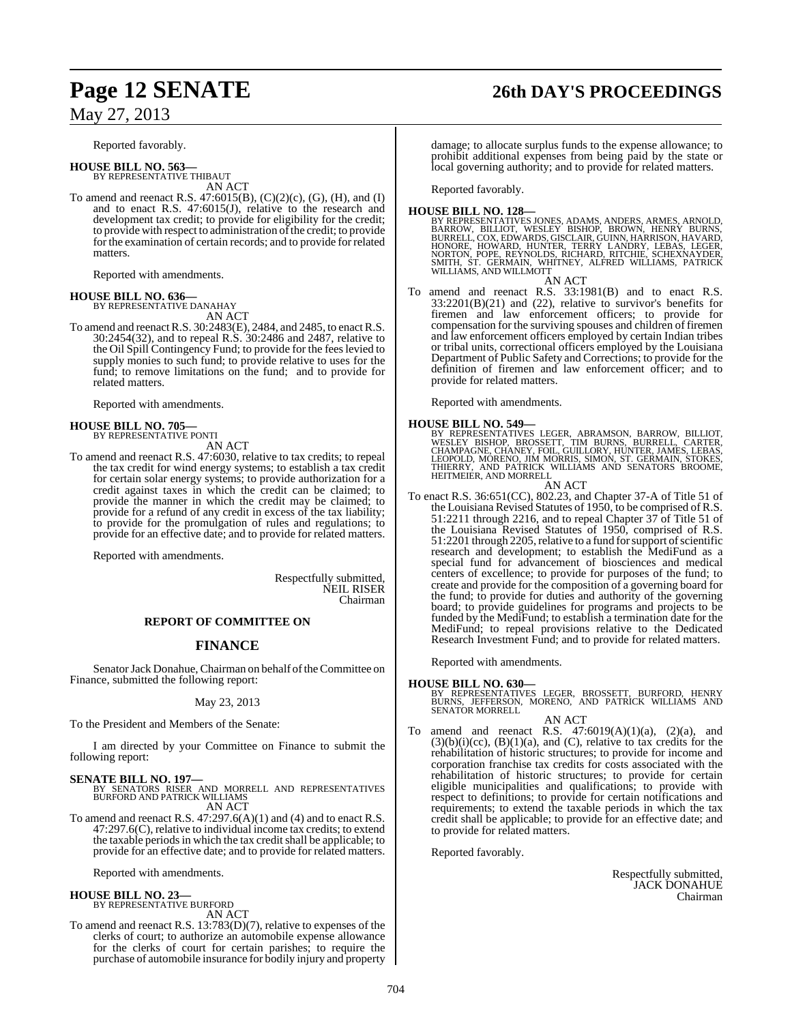Reported favorably.

**HOUSE BILL NO. 563—** BY REPRESENTATIVE THIBAUT AN ACT

To amend and reenact R.S. 47:6015(B), (C)(2)(c), (G), (H), and (I) and to enact R.S. 47:6015(J), relative to the research and development tax credit; to provide for eligibility for the credit; to provide with respect to administration of the credit; to provide for the examination of certain records; and to provide for related matters.

Reported with amendments.

**HOUSE BILL NO. 636—** BY REPRESENTATIVE DANAHAY

AN ACT

To amend and reenactR.S. 30:2483(E), 2484, and 2485, to enactR.S. 30:2454(32), and to repeal R.S. 30:2486 and 2487, relative to the Oil Spill Contingency Fund; to provide for the feeslevied to supply monies to such fund; to provide relative to uses for the fund; to remove limitations on the fund; and to provide for related matters.

Reported with amendments.

#### **HOUSE BILL NO. 705—** BY REPRESENTATIVE PONTI

AN ACT

To amend and reenact R.S. 47:6030, relative to tax credits; to repeal the tax credit for wind energy systems; to establish a tax credit for certain solar energy systems; to provide authorization for a credit against taxes in which the credit can be claimed; to provide the manner in which the credit may be claimed; to provide for a refund of any credit in excess of the tax liability; to provide for the promulgation of rules and regulations; to provide for an effective date; and to provide for related matters.

Reported with amendments.

Respectfully submitted, NEIL RISER Chairman

#### **REPORT OF COMMITTEE ON**

## **FINANCE**

Senator Jack Donahue, Chairman on behalf of the Committee on Finance, submitted the following report:

#### May 23, 2013

To the President and Members of the Senate:

I am directed by your Committee on Finance to submit the following report:

**SENATE BILL NO. 197—**<br>BY SENATORS RISER AND MORRELL AND REPRESENTATIVES<br>BURFORD AND PATRICK WILLIAMS AN ACT

To amend and reenact R.S. 47:297.6(A)(1) and (4) and to enact R.S. 47:297.6(C), relative to individual income tax credits; to extend the taxable periods in which the tax credit shall be applicable; to provide for an effective date; and to provide for related matters.

Reported with amendments.

# **HOUSE BILL NO. 23—** BY REPRESENTATIVE BURFORD

AN ACT

To amend and reenact R.S. 13:783(D)(7), relative to expenses of the clerks of court; to authorize an automobile expense allowance for the clerks of court for certain parishes; to require the purchase of automobile insurance for bodily injury and property

# **Page 12 SENATE 26th DAY'S PROCEEDINGS**

damage; to allocate surplus funds to the expense allowance; to prohibit additional expenses from being paid by the state or local governing authority; and to provide for related matters.

Reported favorably.

#### **HOUSE BILL NO. 128—**

BY REPRESENTATIVES JONES, ADAMS, ANDERS, ARMES, ARNOLD,<br>BARROW, BILLIOT, WESLEY BISHOP, BROWN, HENRY BURNS,<br>BURRELL, COX, EDWARDS, GISCLAIR, GUINN, HARRISON, HAVARD,<br>HONORE, HOWARD, HUNTER, TERRY LANDRY, LEBAS, LEGER,<br>NORT WILLIAMS, AND WILLMOTT

AN ACT

To amend and reenact R.S. 33:1981(B) and to enact R.S. 33:2201(B)(21) and (22), relative to survivor's benefits for firemen and law enforcement officers; to provide for compensation for the surviving spouses and children of firemen and law enforcement officers employed by certain Indian tribes or tribal units, correctional officers employed by the Louisiana Department of Public Safety and Corrections; to provide for the definition of firemen and law enforcement officer; and to provide for related matters.

Reported with amendments.

**HOUSE BILL NO. 549—**<br>BY REPRESENTATIVES LEGER, ABRAMSON, BARROW, BILLIOT,<br>WESLEY BISHOP, BROSSETT, TIM BURNS, BURRELL, CARTER,<br>CHAMPAGNE, CHANEY, FOIL, GUILLORY, HUNTER, JAMES, LEBAS,<br>LEOPOLD, MORENO, JIM MORRIS, SIMON, S HEITMEIER, AND MORRELL

- AN ACT
- To enact R.S. 36:651(CC), 802.23, and Chapter 37-A of Title 51 of the Louisiana Revised Statutes of 1950, to be comprised of R.S. 51:2211 through 2216, and to repeal Chapter 37 of Title 51 of the Louisiana Revised Statutes of 1950, comprised of R.S. 51:2201 through 2205, relative to a fund for support of scientific research and development; to establish the MediFund as a special fund for advancement of biosciences and medical centers of excellence; to provide for purposes of the fund; to create and provide for the composition of a governing board for the fund; to provide for duties and authority of the governing board; to provide guidelines for programs and projects to be funded by the MediFund; to establish a termination date for the MediFund; to repeal provisions relative to the Dedicated Research Investment Fund; and to provide for related matters.

Reported with amendments.

**HOUSE BILL NO. 630—** BY REPRESENTATIVES LEGER, BROSSETT, BURFORD, HENRY BURNS, JEFFERSON, MORENO, AND PATRICK WILLIAMS AND SENATOR MORRELL

AN ACT To amend and reenact R.S.  $47:6019(A)(1)(a)$ ,  $(2)(a)$ , and  $(3)(b)(i)(c)$ ,  $(B)(1)(a)$ , and  $(C)$ , relative to tax credits for the rehabilitation of historic structures; to provide for income and corporation franchise tax credits for costs associated with the rehabilitation of historic structures; to provide for certain eligible municipalities and qualifications; to provide with respect to definitions; to provide for certain notifications and requirements; to extend the taxable periods in which the tax credit shall be applicable; to provide for an effective date; and to provide for related matters.

Reported favorably.

Respectfully submitted, JACK DONAHUE Chairman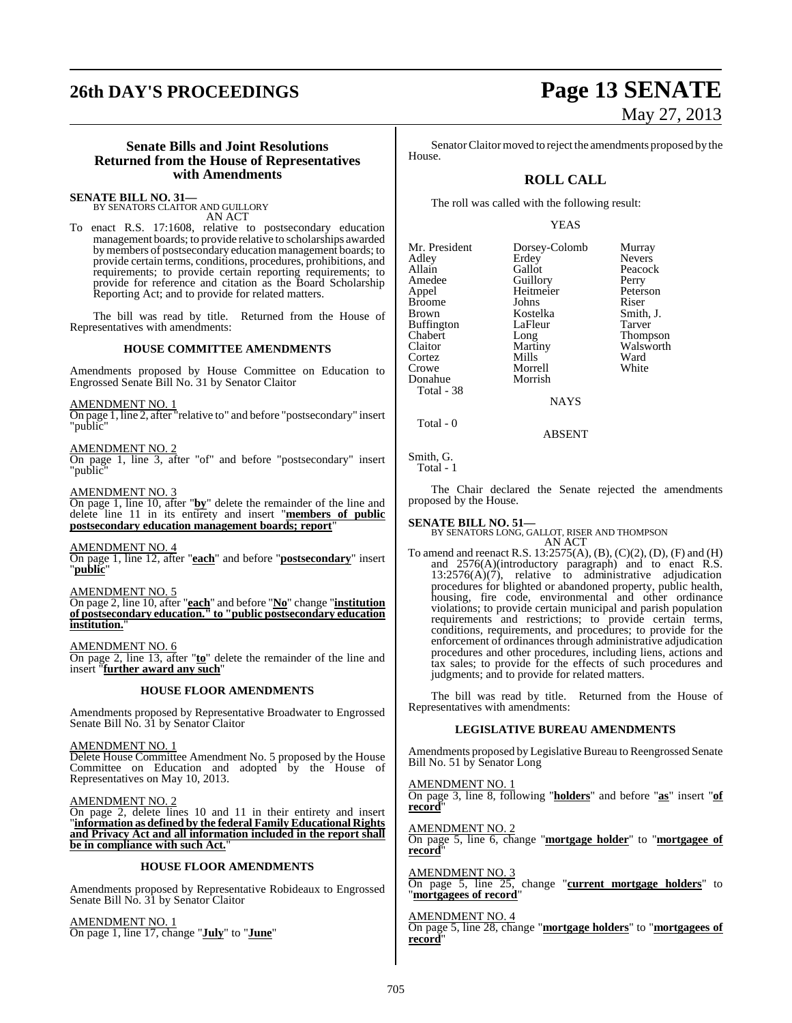# **26th DAY'S PROCEEDINGS Page 13 SENATE**

# May 27, 2013

#### **Senate Bills and Joint Resolutions Returned from the House of Representatives with Amendments**

# **SENATE BILL NO. 31—** BY SENATORS CLAITOR AND GUILLORY

AN ACT

To enact R.S. 17:1608, relative to postsecondary education management boards; to provide relative to scholarships awarded bymembers of postsecondary education management boards; to provide certain terms, conditions, procedures, prohibitions, and requirements; to provide certain reporting requirements; to provide for reference and citation as the Board Scholarship Reporting Act; and to provide for related matters.

The bill was read by title. Returned from the House of Representatives with amendments:

#### **HOUSE COMMITTEE AMENDMENTS**

Amendments proposed by House Committee on Education to Engrossed Senate Bill No. 31 by Senator Claitor

AMENDMENT NO. 1

On page 1, line 2, after "relative to" and before "postsecondary" insert "public"

AMENDMENT NO. 2

On page 1, line 3, after "of" and before "postsecondary" insert "public"

AMENDMENT NO. 3

On page 1, line 10, after "**by**" delete the remainder of the line and delete line 11 in its entirety and insert "**members of public postsecondary education management boards; report**"

#### AMENDMENT NO. 4

On page 1, line 12, after "**each**" and before "**postsecondary**" insert "**public**"

#### AMENDMENT NO. 5

On page 2, line 10, after "**each**" and before "**No**" change "**institution of postsecondary education." to "public postsecondary education institution.**"

AMENDMENT NO. 6 On page 2, line 13, after "**to**" delete the remainder of the line and insert "**further award any such**"

#### **HOUSE FLOOR AMENDMENTS**

Amendments proposed by Representative Broadwater to Engrossed Senate Bill No. 31 by Senator Claitor

AMENDMENT NO. 1

Delete House Committee Amendment No. 5 proposed by the House Committee on Education and adopted by the House of Representatives on May 10, 2013.

AMENDMENT NO. 2

On page 2, delete lines 10 and 11 in their entirety and insert "**information as defined by the federal Family Educational Rights and Privacy Act and all information included in the report shall be in compliance with such Act.**"

#### **HOUSE FLOOR AMENDMENTS**

Amendments proposed by Representative Robideaux to Engrossed Senate Bill No. 31 by Senator Claitor

AMENDMENT NO. 1 On page 1, line 17, change "**July**" to "**June**"

Senator Claitor moved to reject the amendments proposed by the House.

## **ROLL CALL**

The roll was called with the following result:

#### YEAS

Mr. President Dorsey-Colomb Murray<br>Adley Erdey Nevers Adley Erdey Nevers<br>
Allain Gallot Peacoc Allain Callot Peacock<br>Amedee Guillory Perry Appel Heitmeier Peters<br>Broome Johns Riser Broome Johns Riser<br>Brown Kostelka Smith, J. Buffington LaFle<br>Chabert Long Enabert Long Thompson<br>Claitor Martiny Walsworth Cortez Mills Ward<br>Crowe Morrell White Donahue Total - 38

Amedeu<br> **Amedee Guillory**<br>
Peterson<br>
Peterson Kostelka Smith,<br>LaFleur Tarver Martiny Walsworth<br>
Mills Ward

**NAYS** 

Morrell<br>Morrish

#### ABSENT

Smith, G. Total - 1

Total - 0

The Chair declared the Senate rejected the amendments proposed by the House.

### **SENATE BILL NO. 51—**

BY SENATORS LONG, GALLOT, RISER AND THOMPSON AN ACT

To amend and reenact R.S. 13:2575(A), (B), (C)(2), (D), (F) and (H) and 2576(A)(introductory paragraph) and to enact R.S. 13:2576(A)(7), relative to administrative adjudication procedures for blighted or abandoned property, public health, housing, fire code, environmental and other ordinance violations; to provide certain municipal and parish population requirements and restrictions; to provide certain terms, conditions, requirements, and procedures; to provide for the enforcement of ordinances through administrative adjudication procedures and other procedures, including liens, actions and tax sales; to provide for the effects of such procedures and judgments; and to provide for related matters.

The bill was read by title. Returned from the House of Representatives with amendments:

### **LEGISLATIVE BUREAU AMENDMENTS**

Amendments proposed by Legislative Bureau to Reengrossed Senate Bill No. 51 by Senator Long

AMENDMENT NO. 1 On page 3, line 8, following "**holders**" and before "**as**" insert "**of record**"

AMENDMENT NO. 2 On page 5, line 6, change "**mortgage holder**" to "**mortgagee of record**"

**AMENDMENT NO.** On page 5, line 25, change "**current mortgage holders**" to "**mortgagees of record**"

AMENDMENT NO. 4 On page 5, line 28, change "**mortgage holders**" to "**mortgagees of record**"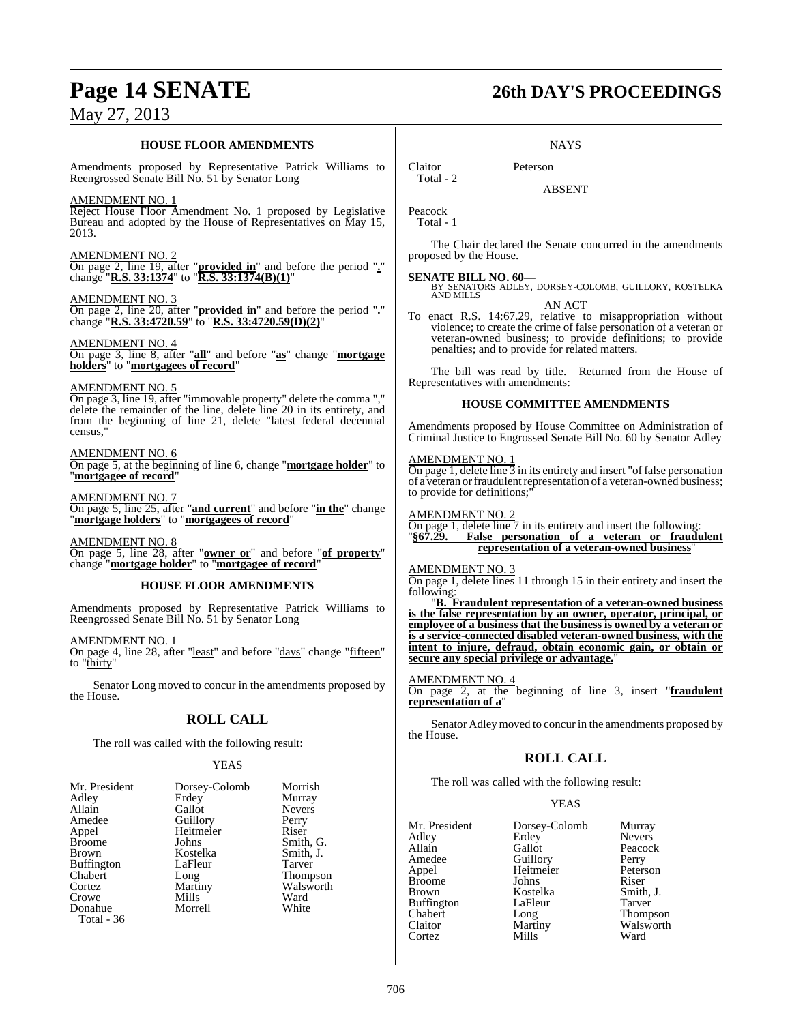#### **HOUSE FLOOR AMENDMENTS**

Amendments proposed by Representative Patrick Williams to Reengrossed Senate Bill No. 51 by Senator Long

AMENDMENT NO. 1

Reject House Floor Amendment No. 1 proposed by Legislative Bureau and adopted by the House of Representatives on May 15, 2013.

#### AMENDMENT NO. 2

On page 2, line 19, after "**provided in**" and before the period "**.**" change "**R.S. 33:1374**" to "**R.S. 33:1374(B)(1)**"

AMENDMENT NO. 3 On page 2, line 20, after "**provided in**" and before the period "**.**" change "**R.S. 33:4720.59**" to "**R.S. 33:4720.59(D)(2)**"

#### AMENDMENT NO. 4

On page 3, line 8, after "**all**" and before "**as**" change "**mortgage holders**" to "**mortgagees of record**"

#### AMENDMENT NO. 5

On page 3, line 19, after "immovable property" delete the comma "," delete the remainder of the line, delete line 20 in its entirety, and from the beginning of line 21, delete "latest federal decennial census,"

#### AMENDMENT NO. 6

On page 5, at the beginning of line 6, change "**mortgage holder**" to "**mortgagee of record**"

#### AMENDMENT NO. 7

On page 5, line 25, after "**and current**" and before "**in the**" change "**mortgage holders**" to "**mortgagees of record**"

AMENDMENT NO. 8 On page 5, line 28, after "**owner or**" and before "**of property**" change "**mortgage holder**" to "**mortgagee of record**"

#### **HOUSE FLOOR AMENDMENTS**

Amendments proposed by Representative Patrick Williams to Reengrossed Senate Bill No. 51 by Senator Long

AMENDMENT NO. 1 On page 4, line 28, after "least" and before "days" change "fifteen" to "thirty"

Senator Long moved to concur in the amendments proposed by the House.

## **ROLL CALL**

The roll was called with the following result:

#### YEAS

| Mr. President     | Dorsey-Colomb | Morrish       |
|-------------------|---------------|---------------|
| Adley             | Erdey         | Murray        |
| Allain            | Gallot        | <b>Nevers</b> |
| Amedee            | Guillory      | Perry         |
| Appel             | Heitmeier     | Riser         |
| <b>Broome</b>     | Johns         | Smith, G.     |
| <b>Brown</b>      | Kostelka      | Smith, J.     |
| <b>Buffington</b> | LaFleur       | Tarver        |
| Chabert           | Long          | Thompson      |
| Cortez            | Martiny       | Walsworth     |
| Crowe             | Mills         | Ward          |
| Donahue           | Morrell       | White         |
| Total - 36        |               |               |

# **Page 14 SENATE 26th DAY'S PROCEEDINGS**

#### **NAYS**

Claitor Peterson

ABSENT

| Peacock |  |
|---------|--|
| Fotal   |  |

Total - 2

The Chair declared the Senate concurred in the amendments proposed by the House.

**SENATE BILL NO. 60—**<br>BY SENATORS ADLEY, DORSEY-COLOMB, GUILLORY, KOSTELKA<br>AND MILLS AN ACT

To enact R.S. 14:67.29, relative to misappropriation without violence; to create the crime of false personation of a veteran or veteran-owned business; to provide definitions; to provide penalties; and to provide for related matters.

The bill was read by title. Returned from the House of Representatives with amendments:

#### **HOUSE COMMITTEE AMENDMENTS**

Amendments proposed by House Committee on Administration of Criminal Justice to Engrossed Senate Bill No. 60 by Senator Adley

#### AMENDMENT NO. 1

On page 1, delete line 3 in its entirety and insert "of false personation of a veteran orfraudulent representation of a veteran-owned business; to provide for definitions;

#### AMENDMENT NO. 2

On page 1, delete line 7 in its entirety and insert the following: "**§67.29. False personation of a veteran or fraudulent representation of a veteran-owned business**"

#### AMENDMENT NO. 3

On page 1, delete lines 11 through 15 in their entirety and insert the following:

"**B. Fraudulent representation of a veteran-owned business is the false representation by an owner, operator, principal, or employee of a business that the business is owned by a veteran or is a service-connected disabled veteran-owned business, with the intent to injure, defraud, obtain economic gain, or obtain or secure any special privilege or advantage.**"

AMENDMENT NO. 4 On page 2, at the beginning of line 3, insert "**fraudulent representation of a**"

Senator Adley moved to concur in the amendments proposed by the House.

### **ROLL CALL**

The roll was called with the following result:

#### YEAS

| Mr. President | Dorsey-Colomb         | Murray          |
|---------------|-----------------------|-----------------|
| Adlev         | Erdey                 | <b>Nevers</b>   |
| Allain        | Gallot                | Peacock         |
| Amedee        |                       | Perry           |
| Appel         | Guillory<br>Heitmeier | Peterson        |
| Broome        | Johns                 | Riser           |
| Brown         | Kostelka              | Smith, J.       |
| Buffington    | LaFleur               | Tarver          |
| Chabert       | Long                  | <b>Thompson</b> |
| Claitor       | Martiny               | Walsworth       |
| Cortez        | Mills                 | Ward            |
|               |                       |                 |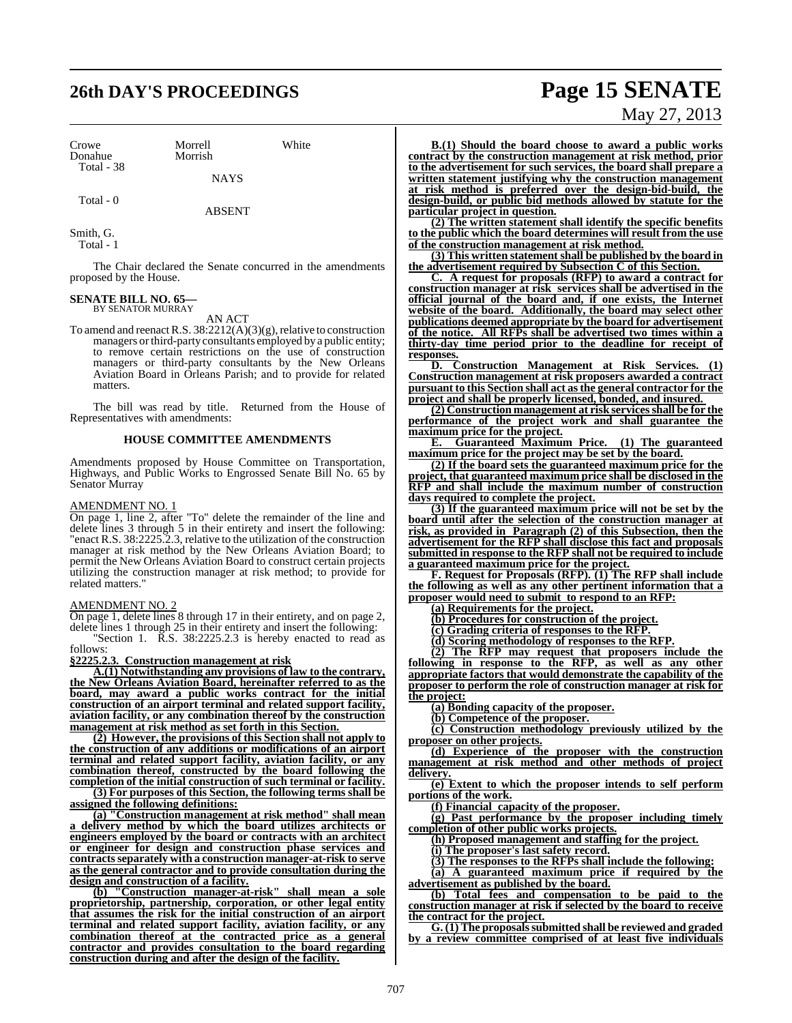# **26th DAY'S PROCEEDINGS Page 15 SENATE**

Crowe Morrell White<br>
Donahue Morrish Donahue Total - 38

**NAYS** 

Total - 0

ABSENT

Smith, G. Total - 1

The Chair declared the Senate concurred in the amendments proposed by the House.

#### **SENATE BILL NO. 65—** BY SENATOR MURRAY

#### AN ACT

To amend and reenact R.S.  $38:2212(A)(3)(g)$ , relative to construction managers or third-party consultants employed by a public entity; to remove certain restrictions on the use of construction managers or third-party consultants by the New Orleans Aviation Board in Orleans Parish; and to provide for related matters.

The bill was read by title. Returned from the House of Representatives with amendments:

#### **HOUSE COMMITTEE AMENDMENTS**

Amendments proposed by House Committee on Transportation, Highways, and Public Works to Engrossed Senate Bill No. 65 by Senator Murray

#### AMENDMENT NO. 1

On page 1, line 2, after "To" delete the remainder of the line and delete lines 3 through 5 in their entirety and insert the following: "enact R.S. 38:2225.2.3, relative to the utilization of the construction manager at risk method by the New Orleans Aviation Board; to permit the New Orleans Aviation Board to construct certain projects utilizing the construction manager at risk method; to provide for related matters."

#### AMENDMENT NO. 2

On page 1, delete lines 8 through 17 in their entirety, and on page 2, delete lines 1 through 25 in their entirety and insert the following:

"Section 1. R.S. 38:2225.2.3 is hereby enacted to read as follows:

#### **§2225.2.3. Construction management at risk**

**A.(1) Notwithstanding any provisions of law to the contrary, the New Orleans Aviation Board, hereinafter referred to as the board, may award a public works contract for the initial construction of an airport terminal and related support facility, aviation facility, or any combination thereof by the construction management at risk method as set forth in this Section.**

**(2) However, the provisions of this Section shall not apply to the construction of any additions or modifications of an airport terminal and related support facility, aviation facility, or any combination thereof, constructed by the board following the completion of the initial construction of such terminal or facility. (3) For purposes of this Section, the following terms shall be**

**assigned the following definitions:**

**(a) "Construction management at risk method" shall mean a delivery method by which the board utilizes architects or engineers employed by the board or contracts with an architect or engineer for design and construction phase services and contractsseparately with a construction manager-at-risk to serve as the general contractor and to provide consultation during the design and construction of a facility.**

**(b) "Construction manager-at-risk" shall mean a sole proprietorship, partnership, corporation, or other legal entity that assumes the risk for the initial construction of an airport terminal and related support facility, aviation facility, or any combination thereof at the contracted price as a general contractor and provides consultation to the board regarding construction during and after the design of the facility.**

# May 27, 2013

**B.(1) Should the board choose to award a public works contract by the construction management at risk method, prior to the advertisement for such services, the board shall prepare a written statement justifying why the construction management at risk method is preferred over the design-bid-build, the design-build, or public bid methods allowed by statute for the particular project in question.**

**(2) The written statement shall identify the specific benefits to the public which the board determines will result from the use of the construction management at risk method.**

**(3) This written statement shall be published by the board in the advertisement required by Subsection C of this Section.**

**C. A request for proposals (RFP) to award a contract for construction manager at risk services shall be advertised in the official journal of the board and, if one exists, the Internet website of the board. Additionally, the board may select other publications deemed appropriate by the board for advertisement of the notice. All RFPs shall be advertised two times within a thirty-day time period prior to the deadline for receipt of responses.**

**D. Construction Management at Risk Services. (1) Construction management at risk proposers awarded a contract pursuant to this Section shall act asthe general contractor for the project and shall be properly licensed, bonded, and insured.** 

**(2) Construction management at risk servicesshall be for the performance of the project work and shall guarantee the maximum price for the project.**

**E. Guaranteed Maximum Price. (1) The guaranteed maximum price for the project may be set by the board.**

**(2) If the board sets the guaranteed maximum price for the project, that guaranteed maximum price shall be disclosed in the RFP and shall include the maximum number of construction days required to complete the project.**

**(3) If the guaranteed maximum price will not be set by the board until after the selection of the construction manager at risk, as provided in Paragraph (2) of this Subsection, then the advertisement for the RFP shall disclose this fact and proposals submitted in response to the RFP shall not be required to include a guaranteed maximum price for the project.**

**F. Request for Proposals (RFP). (1) The RFP shall include the following as well as any other pertinent information that a proposer would need to submit to respond to an RFP:**

**(a) Requirements for the project.**

**(b) Procedures for construction of the project.**

**(c) Grading criteria of responses to the RFP.**

**(d) Scoring methodology of responses to the RFP.**

**(2) The RFP may request that proposers include the following in response to the RFP, as well as any other appropriate factors that would demonstrate the capability of the proposer to perform the role of construction manager at risk for the project:**

**(a) Bonding capacity of the proposer.**

**(b) Competence of the proposer.**

**(c) Construction methodology previously utilized by the proposer on other projects.**

**(d) Experience of the proposer with the construction management at risk method and other methods of project delivery.**

**(e) Extent to which the proposer intends to self perform portions of the work.**

**(f) Financial capacity of the proposer.**

**(g) Past performance by the proposer including timely completion of other public works projects.**

**(h) Proposed management and staffing for the project.**

**(i) The proposer's last safety record.**

**(3) The responses to the RFPs shall include the following:**

**(a) A guaranteed maximum price if required by the advertisement as published by the board.**

**(b) Total fees and compensation to be paid to the construction manager at risk if selected by the board to receive the contract for the project.**

**G. (1) The proposalssubmitted shall be reviewed and graded by a review committee comprised of at least five individuals**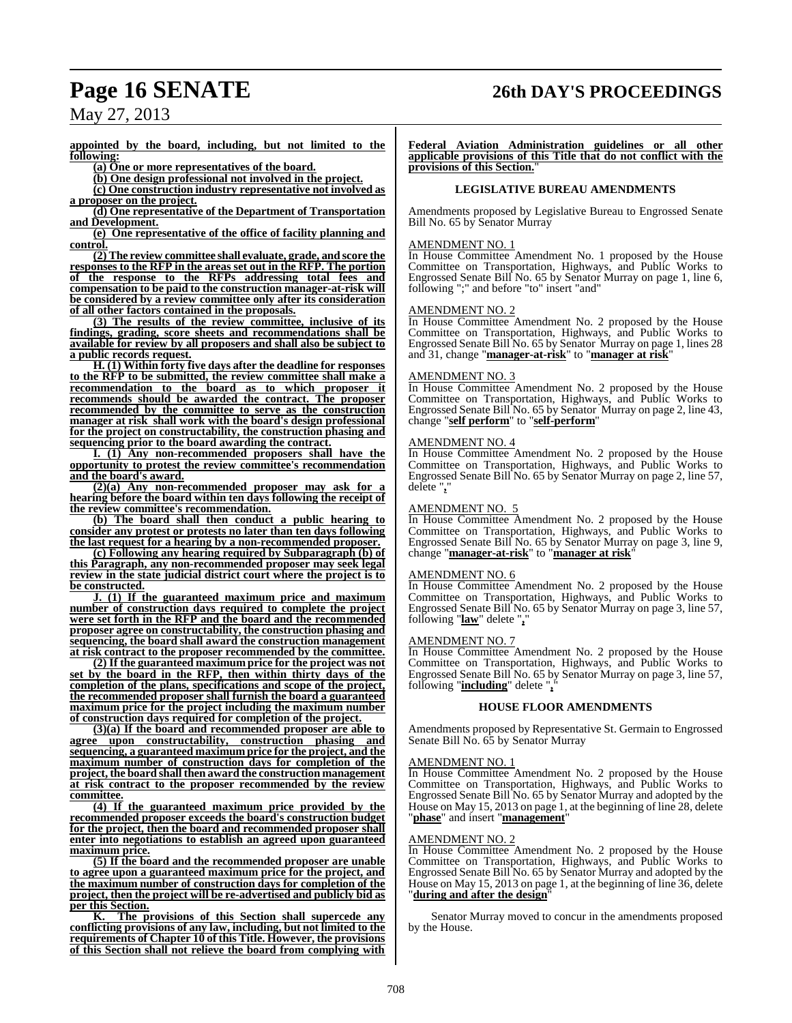# **Page 16 SENATE 26th DAY'S PROCEEDINGS**

May 27, 2013

**appointed by the board, including, but not limited to the following:**

**(a) One or more representatives of the board.**

**(b) One design professional not involved in the project.**

**(c) One construction industry representative not involved as a proposer on the project.**

**(d) One representative of the Department of Transportation and Development.**

**(e) One representative of the office of facility planning and control.**

**(2) The review committee shall evaluate, grade, and score the responses to the RFP in the areas set out in the RFP. The portion of the response to the RFPs addressing total fees and compensation to be paid to the construction manager-at-risk will be considered by a review committee only after its consideration of all other factors contained in the proposals.**

**(3) The results of the review committee, inclusive of its findings, grading, score sheets and recommendations shall be available for review by all proposers and shall also be subject to a public records request.**

**H. (1) Within forty five days after the deadline for responses to the RFP to be submitted, the review committee shall make a recommendation to the board as to which proposer it recommends should be awarded the contract. The proposer recommended by the committee to serve as the construction manager at risk shall work with the board's design professional for the project on constructability, the construction phasing and sequencing prior to the board awarding the contract.**

**I. (1) Any non-recommended proposers shall have the opportunity to protest the review committee's recommendation and the board's award.**

**(2)(a) Any non-recommended proposer may ask for a hearing before the board within ten days following the receipt of the review committee's recommendation.**

**(b) The board shall then conduct a public hearing to consider any protest or protests no later than ten days following the last request for a hearing by a non-recommended proposer.**

**(c) Following any hearing required by Subparagraph (b) of this Paragraph, any non-recommended proposer may seek legal review in the state judicial district court where the project is to be constructed.**

**J. (1) If the guaranteed maximum price and maximum number of construction days required to complete the project were set forth in the RFP and the board and the recommended proposer agree on constructability, the construction phasing and sequencing, the board shall award the construction management at risk contract to the proposer recommended by the committee.**

**(2) If the guaranteed maximum price for the project was not set by the board in the RFP, then within thirty days of the completion of the plans, specifications and scope of the project, the recommended proposer shall furnish the board a guaranteed maximum price for the project including the maximum number of construction days required for completion of the project.**

**(3)(a) If the board and recommended proposer are able to agree upon constructability, construction phasing and sequencing, a guaranteed maximum price for the project, and the maximum number of construction days for completion of the project, the board shall then award the construction management at risk contract to the proposer recommended by the review committee.**

**(4) If the guaranteed maximum price provided by the recommended proposer exceeds the board's construction budget for the project, then the board and recommended proposer shall enter into negotiations to establish an agreed upon guaranteed maximum price.**

**(5) If the board and the recommended proposer are unable to agree upon a guaranteed maximum price for the project, and the maximum number of construction days for completion of the project, then the project will be re-advertised and publicly bid as per this Section.**

**K. The provisions of this Section shall supercede any conflicting provisions of any law, including, but not limited to the requirements of Chapter 10 of this Title. However, the provisions of this Section shall not relieve the board from complying with**

**Federal Aviation Administration guidelines or all other applicable provisions of this Title that do not conflict with the provisions of this Section.** 

#### **LEGISLATIVE BUREAU AMENDMENTS**

Amendments proposed by Legislative Bureau to Engrossed Senate Bill No. 65 by Senator Murray

#### AMENDMENT NO.

In House Committee Amendment No. 1 proposed by the House Committee on Transportation, Highways, and Public Works to Engrossed Senate Bill No. 65 by Senator Murray on page 1, line 6, following ";" and before "to" insert "and"

#### AMENDMENT NO. 2

In House Committee Amendment No. 2 proposed by the House Committee on Transportation, Highways, and Public Works to Engrossed Senate Bill No. 65 by Senator Murray on page 1, lines 28 and 31, change "**manager-at-risk**" to "**manager at risk**"

#### AMENDMENT NO. 3

In House Committee Amendment No. 2 proposed by the House Committee on Transportation, Highways, and Public Works to Engrossed Senate Bill No. 65 by Senator Murray on page 2, line 43, change "**self perform**" to "**self-perform**"

#### AMENDMENT NO. 4

In House Committee Amendment No. 2 proposed by the House Committee on Transportation, Highways, and Public Works to Engrossed Senate Bill No. 65 by Senator Murray on page 2, line 57, delete "**,**"

## AMENDMENT NO. 5

In House Committee Amendment No. 2 proposed by the House Committee on Transportation, Highways, and Public Works to Engrossed Senate Bill No. 65 by Senator Murray on page 3, line 9, change "**manager-at-risk**" to "**manager at risk**"

#### AMENDMENT NO. 6

In House Committee Amendment No. 2 proposed by the House Committee on Transportation, Highways, and Public Works to Engrossed Senate Bill No. 65 by Senator Murray on page 3, line 57, following "**law**" delete "**,**"

#### AMENDMENT NO. 7

In House Committee Amendment No. 2 proposed by the House Committee on Transportation, Highways, and Public Works to Engrossed Senate Bill No. 65 by Senator Murray on page 3, line 57, following "**including**" delete ",

#### **HOUSE FLOOR AMENDMENTS**

Amendments proposed by Representative St. Germain to Engrossed Senate Bill No. 65 by Senator Murray

#### AMENDMENT NO. 1

In House Committee Amendment No. 2 proposed by the House Committee on Transportation, Highways, and Public Works to Engrossed Senate Bill No. 65 by Senator Murray and adopted by the House on May 15, 2013 on page 1, at the beginning of line 28, delete "**phase**" and insert "**management**"

#### AMENDMENT NO. 2

In House Committee Amendment No. 2 proposed by the House Committee on Transportation, Highways, and Public Works to Engrossed Senate Bill No. 65 by Senator Murray and adopted by the House on May 15, 2013 on page 1, at the beginning of line 36, delete "**during and after the design**"

Senator Murray moved to concur in the amendments proposed by the House.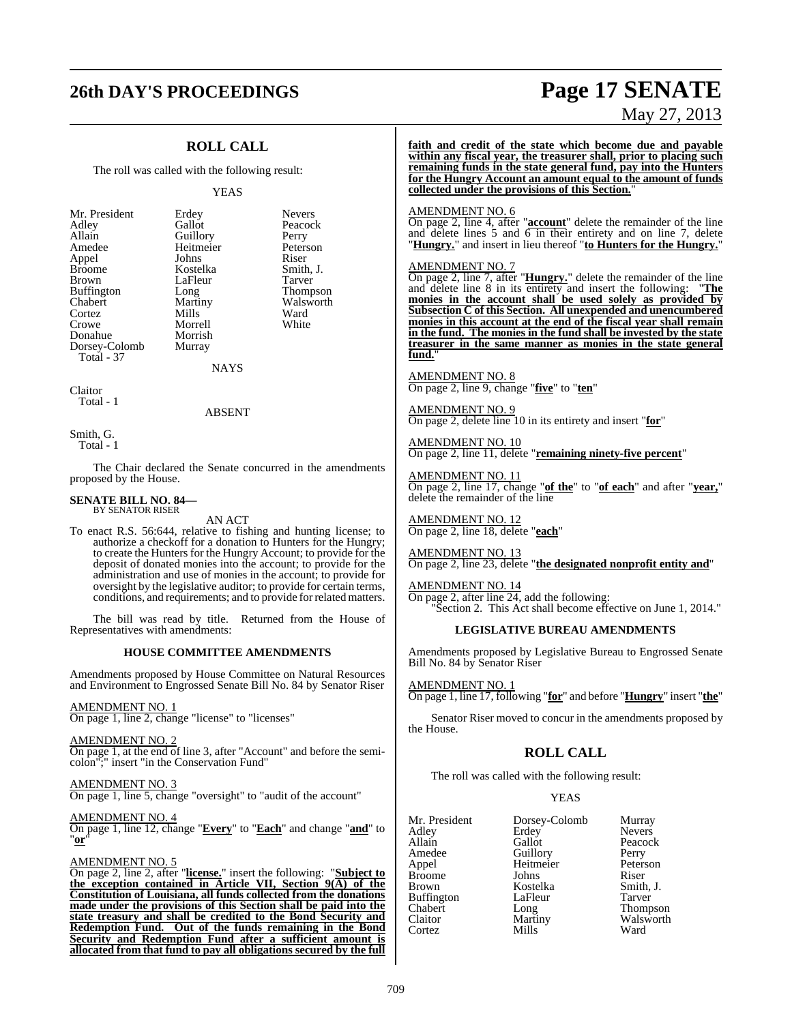# **26th DAY'S PROCEEDINGS Page 17 SENATE**

## **ROLL CALL**

The roll was called with the following result:

#### YEAS

| Mr. President | Erdey     | <b>Nevers</b> |
|---------------|-----------|---------------|
| Adley         | Gallot    | Peacock       |
| Allain        | Guillory  | Perry         |
| Amedee        | Heitmeier | Peterson      |
| Appel         | Johns     | Riser         |
| <b>Broome</b> | Kostelka  | Smith, J.     |
| <b>Brown</b>  | LaFleur   | Tarver        |
| Buffington    | Long      | Thompson      |
| Chabert       | Martiny   | Walsworth     |
| Cortez        | Mills     | Ward          |
| Crowe         | Morrell   | White         |
| Donahue       | Morrish   |               |
| Dorsey-Colomb | Murray    |               |
| Total - 37    |           |               |

**NAYS** 

Claitor Total - 1

#### ABSENT

Smith, G. Total - 1

The Chair declared the Senate concurred in the amendments proposed by the House.

#### **SENATE BILL NO. 84—** BY SENATOR RISER

AN ACT

To enact R.S. 56:644, relative to fishing and hunting license; to authorize a checkoff for a donation to Hunters for the Hungry; to create the Hunters for the Hungry Account; to provide for the deposit of donated monies into the account; to provide for the administration and use of monies in the account; to provide for oversight by the legislative auditor; to provide for certain terms, conditions, and requirements; and to provide forrelated matters.

The bill was read by title. Returned from the House of Representatives with amendments:

#### **HOUSE COMMITTEE AMENDMENTS**

Amendments proposed by House Committee on Natural Resources and Environment to Engrossed Senate Bill No. 84 by Senator Riser

#### AMENDMENT NO. 1

On page 1, line 2, change "license" to "licenses"

#### AMENDMENT NO. 2

On page 1, at the end of line 3, after "Account" and before the semicolon";" insert "in the Conservation Fund"

AMENDMENT NO. 3 On page 1, line 5, change "oversight" to "audit of the account"

AMENDMENT NO. 4

On page 1, line 12, change "**Every**" to "**Each**" and change "**and**" to "**or**"

#### AMENDMENT NO. 5

On page 2, line 2, after "**license.**" insert the following: "**Subject to the exception contained in Article VII, Section 9(A) of the Constitution of Louisiana, all funds collected from the donations made under the provisions of this Section shall be paid into the state treasury and shall be credited to the Bond Security and Redemption Fund. Out of the funds remaining in the Bond Security and Redemption Fund after a sufficient amount is allocated from that fund to pay all obligations secured by the full**

# May 27, 2013

**faith and credit of the state which become due and payable within any fiscal year, the treasurer shall, prior to placing such remaining funds in the state general fund, pay into the Hunters for the Hungry Account an amount equal to the amount of funds collected under the provisions of this Section.**"

#### AMENDMENT NO. 6

On page 2, line 4, after "**account**" delete the remainder of the line and delete lines 5 and 6 in their entirety and on line 7, delete "**Hungry.**" and insert in lieu thereof "**to Hunters for the Hungry.**"

#### AMENDMENT NO. 7

On page 2, line 7, after "**Hungry.**" delete the remainder of the line and delete line 8 in its entirety and insert the following: "**The monies in the account shall be used solely as provided by Subsection C of this Section. All unexpended and unencumbered monies in this account at the end of the fiscal year shall remain in the fund. The monies in the fund shall be invested by the state treasurer in the same manner as monies in the state general fund.**"

AMENDMENT NO. 8 On page 2, line 9, change "**five**" to "**ten**"

AMENDMENT NO. 9 On page 2, delete line 10 in its entirety and insert "**for**"

AMENDMENT NO. 10 On page 2, line 11, delete "**remaining ninety-five percent**"

AMENDMENT NO. 11 On page 2, line 17, change "**of the**" to "**of each**" and after "**year,**" delete the remainder of the line

AMENDMENT NO. 12 On page 2, line 18, delete "**each**"

AMENDMENT NO. 13 On page 2, line 23, delete "**the designated nonprofit entity and**"

### AMENDMENT NO. 14

On page 2, after line 24, add the following: "Section 2. This Act shall become effective on June 1, 2014."

#### **LEGISLATIVE BUREAU AMENDMENTS**

Amendments proposed by Legislative Bureau to Engrossed Senate Bill No. 84 by Senator Riser

AMENDMENT NO. 1 On page 1, line 17, following "**for**" and before "**Hungry**" insert "**the**"

Senator Riser moved to concur in the amendments proposed by the House.

#### **ROLL CALL**

The roll was called with the following result:

#### YEAS

| Mr. President | Dorsey-Colomb | Murray        |
|---------------|---------------|---------------|
| Adlev         | Erdey         | <b>Nevers</b> |
| Allain        | Gallot        | Peacock       |
| Amedee        | Guillory      | Perry         |
| Appel         | Heitmeier     | Peterson      |
| <b>Broome</b> | Johns         | Riser         |
| Brown         | Kostelka      | Smith, J.     |
| Buffington    | LaFleur       | Tarver        |
| Chabert       | Long          | Thompson      |
| Claitor       | Martiny       | Walsworth     |
| Cortez        | Mills         | Ward          |
|               |               |               |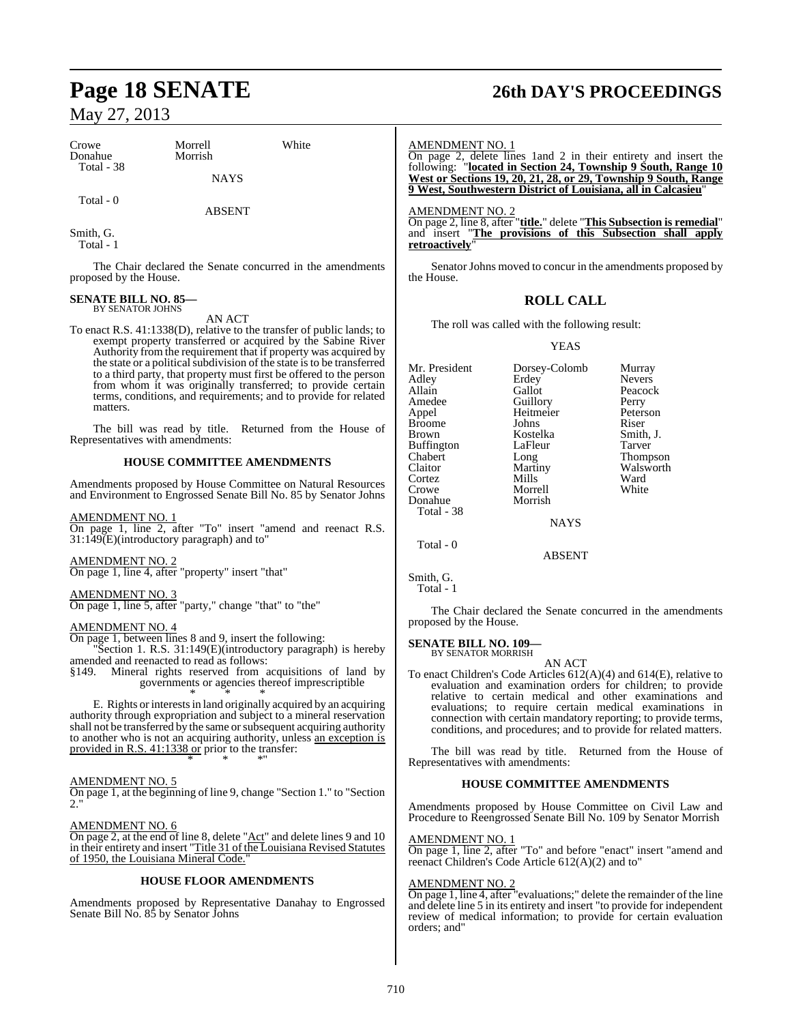| Crowe<br>Donahue  | Morrell<br>Morrish | White |
|-------------------|--------------------|-------|
| <b>Total - 38</b> | <b>NAYS</b>        |       |
| Total - 0         | <b>ABSENT</b>      |       |

Smith, G. Total - 1

The Chair declared the Senate concurred in the amendments proposed by the House.

#### **SENATE BILL NO. 85—** BY SENATOR JOHNS

AN ACT

To enact R.S. 41:1338(D), relative to the transfer of public lands; to exempt property transferred or acquired by the Sabine River Authority from the requirement that if property was acquired by the state or a political subdivision of the state is to be transferred to a third party, that property must first be offered to the person from whom it was originally transferred; to provide certain terms, conditions, and requirements; and to provide for related matters.

The bill was read by title. Returned from the House of Representatives with amendments:

#### **HOUSE COMMITTEE AMENDMENTS**

Amendments proposed by House Committee on Natural Resources and Environment to Engrossed Senate Bill No. 85 by Senator Johns

#### AMENDMENT NO. 1

On page 1, line 2, after "To" insert "amend and reenact R.S. 31:149(E)(introductory paragraph) and to"

AMENDMENT NO. 2

On page 1, line 4, after "property" insert "that"

### AMENDMENT NO. 3

On page 1, line 5, after "party," change "that" to "the"

#### AMENDMENT NO. 4

On page 1, between lines 8 and 9, insert the following:

Section 1. R.S. 31:149(E)(introductory paragraph) is hereby amended and reenacted to read as follows:

§149. Mineral rights reserved from acquisitions of land by governments or agencies thereof imprescriptible \* \* \*

E. Rights or interests in land originally acquired by an acquiring authority through expropriation and subject to a mineral reservation shall not be transferred by the same or subsequent acquiring authority to another who is not an acquiring authority, unless an exception is provided in R.S. 41:1338 or prior to the transfer: \* \* \*"

#### AMENDMENT NO. 5

On page 1, at the beginning of line 9, change "Section 1." to "Section  $2.$ "

#### AMENDMENT NO. 6

On page 2, at the end of line 8, delete "Act" and delete lines 9 and 10 in their entirety and insert "Title 31 of the Louisiana Revised Statutes of 1950, the Louisiana Mineral Code."

#### **HOUSE FLOOR AMENDMENTS**

Amendments proposed by Representative Danahay to Engrossed Senate Bill No. 85 by Senator Johns

# **Page 18 SENATE 26th DAY'S PROCEEDINGS**

#### AMENDMENT NO. 1

On page 2, delete lines 1and 2 in their entirety and insert the following: "**located in Section 24, Township 9 South, Range 10 West or Sections 19, 20, 21, 28, or 29, Township 9 South, Range 9 West, Southwestern District of Louisiana, all in Calcasieu**"

AMENDMENT NO. 2

On page 2, line 8, after "**title.**" delete "**This Subsection is remedial**" and insert "**The provisions of this Subsection shall apply retroactively**"

Senator Johns moved to concur in the amendments proposed by the House.

### **ROLL CALL**

The roll was called with the following result:

#### YEAS

| Mr. President<br>Adley<br>Allain<br>Amedee<br>Appel<br>Broome<br>Brown<br>Buffington<br>Chabert<br>Claitor<br>Cortez<br>Crowe<br>Donahue<br>Total - 38 | Dorsey-Colomb<br>Erdey<br>Gallot<br>Guillory<br>Heitmeier<br>Johns<br>Kostelka<br>LaFleur<br>Long<br>Martiny<br>Mills<br>Morrell<br>Morrish<br><b>NAYS</b> | Murray<br><b>Nevers</b><br>Peacock<br>Perry<br>Peterson<br>Riser<br>Smith, J.<br>Tarver<br>Thompson<br>Walsworth<br>Ward<br>White |
|--------------------------------------------------------------------------------------------------------------------------------------------------------|------------------------------------------------------------------------------------------------------------------------------------------------------------|-----------------------------------------------------------------------------------------------------------------------------------|
|                                                                                                                                                        |                                                                                                                                                            |                                                                                                                                   |

Total - 0

Smith, G.

The Chair declared the Senate concurred in the amendments proposed by the House.

ABSENT

#### **SENATE BILL NO. 109—** BY SENATOR MORRISH

AN ACT

To enact Children's Code Articles 612(A)(4) and 614(E), relative to evaluation and examination orders for children; to provide relative to certain medical and other examinations and evaluations; to require certain medical examinations in connection with certain mandatory reporting; to provide terms, conditions, and procedures; and to provide for related matters.

The bill was read by title. Returned from the House of Representatives with amendments:

#### **HOUSE COMMITTEE AMENDMENTS**

Amendments proposed by House Committee on Civil Law and Procedure to Reengrossed Senate Bill No. 109 by Senator Morrish

#### AMENDMENT NO. 1

On page 1, line 2, after "To" and before "enact" insert "amend and reenact Children's Code Article 612(A)(2) and to"

#### AMENDMENT NO. 2

On page 1, line 4, after "evaluations;" delete the remainder of the line and delete line 5 in its entirety and insert "to provide for independent review of medical information; to provide for certain evaluation orders; and"

Total - 1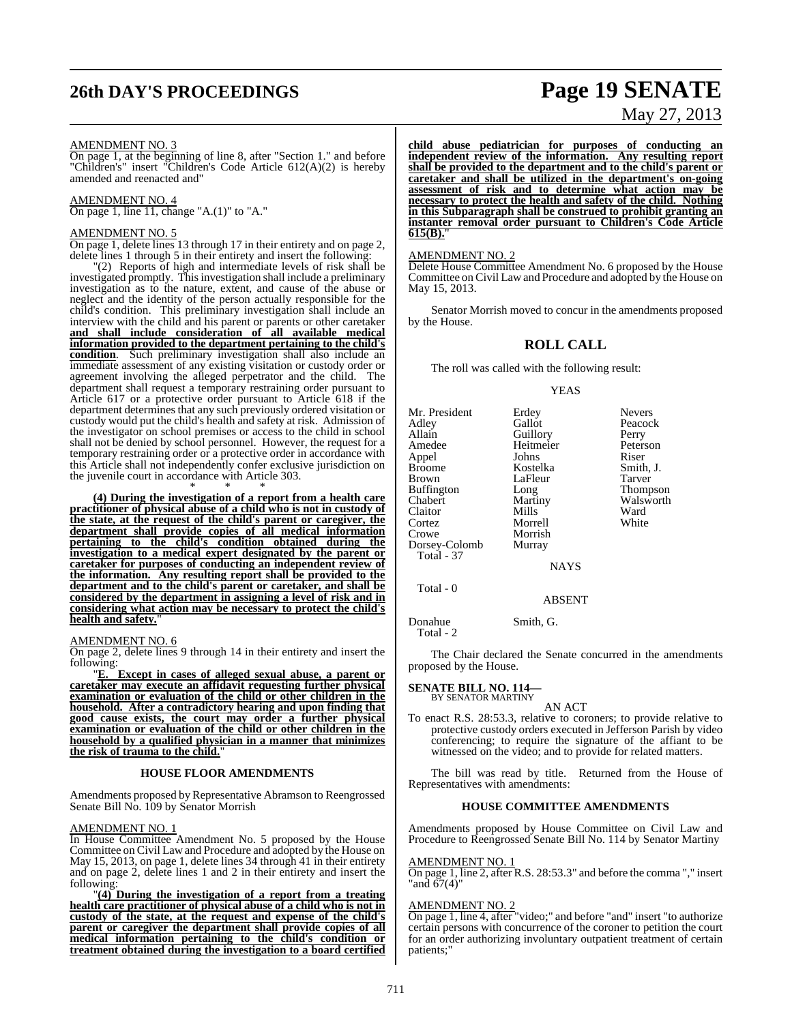# **26th DAY'S PROCEEDINGS Page 19 SENATE**

# May 27, 2013

#### AMENDMENT NO. 3

On page 1, at the beginning of line 8, after "Section 1." and before "Children's" insert "Children's Code Article 612(A)(2) is hereby amended and reenacted and"

#### AMENDMENT NO. 4

On page 1, line 11, change "A.(1)" to "A."

#### AMENDMENT NO. 5

On page 1, delete lines 13 through 17 in their entirety and on page 2, delete lines 1 through 5 in their entirety and insert the following:

"(2) Reports of high and intermediate levels of risk shall be investigated promptly. This investigation shall include a preliminary investigation as to the nature, extent, and cause of the abuse or neglect and the identity of the person actually responsible for the child's condition. This preliminary investigation shall include an interview with the child and his parent or parents or other caretaker **and shall include consideration of all available medical information provided to the department pertaining to the child's condition**. Such preliminary investigation shall also include an immediate assessment of any existing visitation or custody order or agreement involving the alleged perpetrator and the child. The department shall request a temporary restraining order pursuant to Article 617 or a protective order pursuant to Article 618 if the department determines that any such previously ordered visitation or custody would put the child's health and safety at risk. Admission of the investigator on school premises or access to the child in school shall not be denied by school personnel. However, the request for a temporary restraining order or a protective order in accordance with this Article shall not independently confer exclusive jurisdiction on the juvenile court in accordance with Article 303. \* \* \*

**(4) During the investigation of a report from a health care practitioner of physical abuse of a child who is not in custody of the state, at the request of the child's parent or caregiver, the department shall provide copies of all medical information pertaining to the child's condition obtained during the investigation to a medical expert designated by the parent or caretaker for purposes of conducting an independent review of the information. Any resulting report shall be provided to the department and to the child's parent or caretaker, and shall be considered by the department in assigning a level of risk and in considering what action may be necessary to protect the child's health and safety.**"

#### AMENDMENT NO. 6

On page 2, delete lines 9 through 14 in their entirety and insert the following:

"**E. Except in cases of alleged sexual abuse, a parent or caretaker may execute an affidavit requesting further physical examination or evaluation of the child or other children in the household. After a contradictory hearing and upon finding that good cause exists, the court may order a further physical examination or evaluation of the child or other children in the household by a qualified physician in a manner that minimizes the risk of trauma to the child.**"

#### **HOUSE FLOOR AMENDMENTS**

Amendments proposed by Representative Abramson to Reengrossed Senate Bill No. 109 by Senator Morrish

#### AMENDMENT NO. 1

In House Committee Amendment No. 5 proposed by the House Committee on Civil Law and Procedure and adopted by the House on May 15, 2013, on page 1, delete lines 34 through 41 in their entirety and on page 2, delete lines 1 and 2 in their entirety and insert the following:

"**(4) During the investigation of a report from a treating health care practitioner of physical abuse of a child who is not in custody of the state, at the request and expense of the child's parent or caregiver the department shall provide copies of all medical information pertaining to the child's condition or treatment obtained during the investigation to a board certified**

**child abuse pediatrician for purposes of conducting an independent review of the information. Any resulting report shall be provided to the department and to the child's parent or caretaker and shall be utilized in the department's on-going assessment of risk and to determine what action may be necessary to protect the health and safety of the child. Nothing in this Subparagraph shall be construed to prohibit granting an instanter removal order pursuant to Children's Code Article 615(B).**"

#### AMENDMENT NO. 2

Delete House Committee Amendment No. 6 proposed by the House Committee on Civil Law and Procedure and adopted by the House on May 15, 2013.

Senator Morrish moved to concur in the amendments proposed by the House.

#### **ROLL CALL**

The roll was called with the following result:

#### YEAS

| Mr. President     | Erdey       | <b>Nevers</b> |
|-------------------|-------------|---------------|
| Adley             | Gallot      | Peacock       |
| Allain            | Guillory    | Perry         |
| Amedee            | Heitmeier   | Peterson      |
| Appel             | Johns       | Riser         |
| <b>Broome</b>     | Kostelka    | Smith, J.     |
| <b>Brown</b>      | LaFleur     | <b>Tarver</b> |
| <b>Buffington</b> | Long        | Thompson      |
| Chabert           | Martiny     | Walsworth     |
| Claitor           | Mills       | Ward          |
| Cortez            | Morrell     | White         |
| Crowe             | Morrish     |               |
| Dorsey-Colomb     | Murray      |               |
| <b>Total - 37</b> |             |               |
|                   | <b>NAYS</b> |               |
|                   |             |               |

Total - 0

ABSENT

Donahue Smith, G. Total - 2

The Chair declared the Senate concurred in the amendments proposed by the House.

#### **SENATE BILL NO. 114—** BY SENATOR MARTINY

AN ACT

To enact R.S. 28:53.3, relative to coroners; to provide relative to protective custody orders executed in Jefferson Parish by video conferencing; to require the signature of the affiant to be witnessed on the video; and to provide for related matters.

The bill was read by title. Returned from the House of Representatives with amendments:

#### **HOUSE COMMITTEE AMENDMENTS**

Amendments proposed by House Committee on Civil Law and Procedure to Reengrossed Senate Bill No. 114 by Senator Martiny

#### AMENDMENT NO. 1

On page 1, line 2, after R.S. 28:53.3" and before the comma "," insert "and 67(4)"

#### AMENDMENT NO. 2

On page 1, line 4, after "video;" and before "and" insert "to authorize certain persons with concurrence of the coroner to petition the court for an order authorizing involuntary outpatient treatment of certain patients;"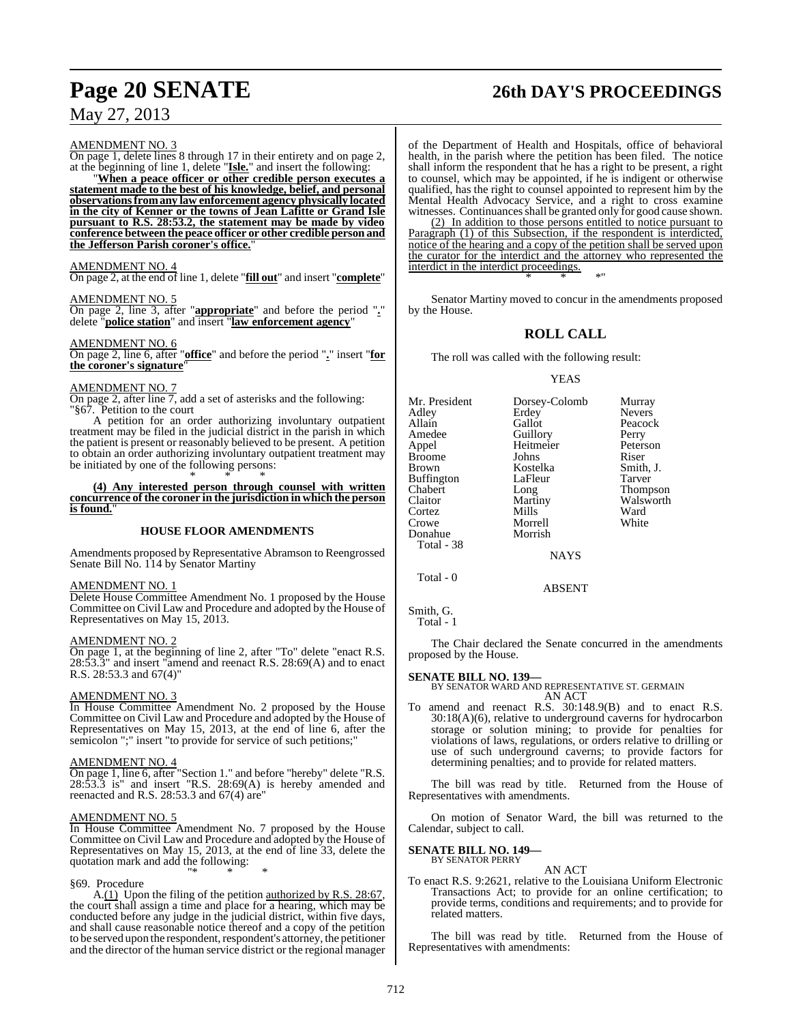# **Page 20 SENATE 26th DAY'S PROCEEDINGS**

AMENDMENT NO. 3

On page 1, delete lines 8 through 17 in their entirety and on page 2, at the beginning of line 1, delete "**Isle.**" and insert the following:

"**When a peace officer or other credible person executes a statement made to the best of his knowledge, belief, and personal observationsfromany law enforcement agency physically located in the city of Kenner or the towns of Jean Lafitte or Grand Isle pursuant to R.S. 28:53.2, the statement may be made by video conference between the peace officer or other credible person and the Jefferson Parish coroner's office.**"

#### AMENDMENT NO. 4

On page 2, at the end of line 1, delete "**fill out**" and insert "**complete**"

AMENDMENT NO. 5

On page 2, line 3, after "**appropriate**" and before the period "**.**" delete "**police station**" and insert "**law enforcement agency**"

#### AMENDMENT NO. 6

On page 2, line 6, after "**office**" and before the period "**.**" insert "**for the coroner's signature**"

#### AMENDMENT NO. 7

On page 2, after line 7, add a set of asterisks and the following: "§67. Petition to the court

A petition for an order authorizing involuntary outpatient treatment may be filed in the judicial district in the parish in which the patient is present or reasonably believed to be present. A petition to obtain an order authorizing involuntary outpatient treatment may be initiated by one of the following persons: \* \* \*

**(4) Any interested person through counsel with written concurrence of the coroner in the jurisdiction in which the person** is found.

#### **HOUSE FLOOR AMENDMENTS**

Amendments proposed by Representative Abramson to Reengrossed Senate Bill No. 114 by Senator Martiny

#### AMENDMENT NO. 1

Delete House Committee Amendment No. 1 proposed by the House Committee on Civil Law and Procedure and adopted by the House of Representatives on May 15, 2013.

#### AMENDMENT NO. 2

On page 1, at the beginning of line 2, after "To" delete "enact R.S. 28:53.3" and insert "amend and reenact R.S. 28:69(A) and to enact R.S. 28:53.3 and 67(4)"

#### AMENDMENT NO. 3

In House Committee Amendment No. 2 proposed by the House Committee on Civil Law and Procedure and adopted by the House of Representatives on May 15, 2013, at the end of line 6, after the semicolon ";" insert "to provide for service of such petitions;"

#### AMENDMENT NO. 4

On page 1, line 6, after "Section 1." and before "hereby" delete "R.S. 28:53.3 is" and insert "R.S. 28:69(A) is hereby amended and reenacted and R.S. 28:53.3 and 67(4) are"

#### AMENDMENT NO. 5

In House Committee Amendment No. 7 proposed by the House Committee on Civil Law and Procedure and adopted by the House of Representatives on May 15, 2013, at the end of line 33, delete the quotation mark and add the following: "\* \* \*

#### §69. Procedure

A.(1) Upon the filing of the petition authorized by R.S. 28:67, the court shall assign a time and place for a hearing, which may be conducted before any judge in the judicial district, within five days, and shall cause reasonable notice thereof and a copy of the petition to be served upon the respondent, respondent's attorney, the petitioner and the director of the human service district or the regional manager

of the Department of Health and Hospitals, office of behavioral health, in the parish where the petition has been filed. The notice shall inform the respondent that he has a right to be present, a right to counsel, which may be appointed, if he is indigent or otherwise qualified, has the right to counsel appointed to represent him by the Mental Health Advocacy Service, and a right to cross examine witnesses. Continuances shall be granted only for good cause shown.

(2) In addition to those persons entitled to notice pursuant to Paragraph (1) of this Subsection, if the respondent is interdicted, notice of the hearing and a copy of the petition shall be served upon the curator for the interdict and the attorney who represented the interdict in the interdict proceedings. \* \* \*"

Senator Martiny moved to concur in the amendments proposed by the House.

## **ROLL CALL**

The roll was called with the following result:

#### YEAS

|             | Murray                                        |
|-------------|-----------------------------------------------|
|             | <b>Nevers</b>                                 |
| Gallot      | Peacock                                       |
|             | Perry                                         |
| Heitmeier   | Peterson                                      |
| Johns       | Riser                                         |
| Kostelka    | Smith, J.                                     |
| LaFleur     | Tarver                                        |
| Long        | <b>Thompson</b>                               |
|             | Walsworth                                     |
| Mills       | Ward                                          |
| Morrell     | White                                         |
| Morrish     |                                               |
|             |                                               |
| <b>NAYS</b> |                                               |
|             | Dorsey-Colomb<br>Erdey<br>Guillory<br>Martiny |

ABSENT

Smith, G.

Total - 0

Total - 1

The Chair declared the Senate concurred in the amendments proposed by the House.

**SENATE BILL NO. 139—** BY SENATOR WARD AND REPRESENTATIVE ST. GERMAIN AN ACT

To amend and reenact R.S. 30:148.9(B) and to enact R.S. 30:18(A)(6), relative to underground caverns for hydrocarbon storage or solution mining; to provide for penalties for violations of laws, regulations, or orders relative to drilling or use of such underground caverns; to provide factors for determining penalties; and to provide for related matters.

The bill was read by title. Returned from the House of Representatives with amendments.

On motion of Senator Ward, the bill was returned to the Calendar, subject to call.

# **SENATE BILL NO. 149—** BY SENATOR PERRY

AN ACT

To enact R.S. 9:2621, relative to the Louisiana Uniform Electronic Transactions Act; to provide for an online certification; to provide terms, conditions and requirements; and to provide for related matters.

The bill was read by title. Returned from the House of Representatives with amendments: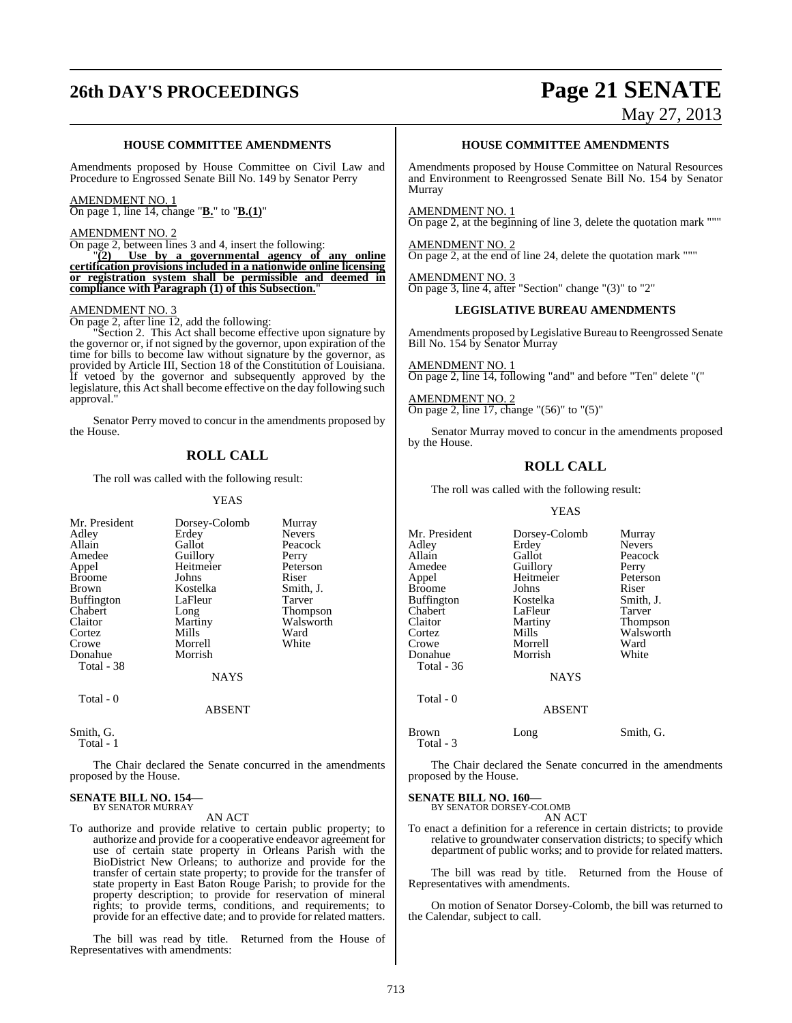# **26th DAY'S PROCEEDINGS Page 21 SENATE**

May 27, 2013

#### **HOUSE COMMITTEE AMENDMENTS**

Amendments proposed by House Committee on Civil Law and Procedure to Engrossed Senate Bill No. 149 by Senator Perry

#### AMENDMENT NO. 1

On page 1, line 14, change "**B.**" to "**B.(1)**"

#### AMENDMENT NO. 2

On page 2, between lines 3 and 4, insert the following:

"**(2) Use by a governmental agency of any online certification provisions included in a nationwide online licensing or registration system shall be permissible and deemed in compliance with Paragraph (1) of this Subsection.**"

#### AMENDMENT NO. 3

On page 2, after line 12, add the following:

Section 2. This Act shall become effective upon signature by the governor or, if not signed by the governor, upon expiration of the time for bills to become law without signature by the governor, as provided by Article III, Section 18 of the Constitution of Louisiana. If vetoed by the governor and subsequently approved by the legislature, this Act shall become effective on the day following such approval."

Senator Perry moved to concur in the amendments proposed by the House.

### **ROLL CALL**

The roll was called with the following result:

#### YEAS

| Mr. President | Dorsey-Colomb | Murray          |
|---------------|---------------|-----------------|
| Adley         | Erdey         | <b>Nevers</b>   |
| Allain        | Gallot        | Peacock         |
| Amedee        | Guillory      | Perry           |
| Appel         | Heitmeier     | Peterson        |
| <b>Broome</b> | Johns         | Riser           |
| Brown         | Kostelka      | Smith, J.       |
| Buffington    | LaFleur       | Tarver          |
| Chabert       | Long          | <b>Thompson</b> |
| Claitor       | Martiny       | Walsworth       |
| Cortez        | Mills         | Ward            |
| Crowe         | Morrell       | White           |
| Donahue       | Morrish       |                 |
| Total - 38    |               |                 |
|               | <b>NAYS</b>   |                 |
| Total - 0     |               |                 |
|               | ARSENT        |                 |

Smith, G. Total - 1

The Chair declared the Senate concurred in the amendments proposed by the House.

#### **SENATE BILL NO. 154—** BY SENATOR MURRAY

AN ACT

To authorize and provide relative to certain public property; to authorize and provide for a cooperative endeavor agreement for use of certain state property in Orleans Parish with the BioDistrict New Orleans; to authorize and provide for the transfer of certain state property; to provide for the transfer of state property in East Baton Rouge Parish; to provide for the property description; to provide for reservation of mineral rights; to provide terms, conditions, and requirements; to provide for an effective date; and to provide for related matters.

The bill was read by title. Returned from the House of Representatives with amendments:

#### **HOUSE COMMITTEE AMENDMENTS**

Amendments proposed by House Committee on Natural Resources and Environment to Reengrossed Senate Bill No. 154 by Senator Murray

AMENDMENT NO. 1 On page 2, at the beginning of line 3, delete the quotation mark """

AMENDMENT NO. 2 On page 2, at the end of line 24, delete the quotation mark """

AMENDMENT NO. 3 On page 3, line 4, after "Section" change "(3)" to "2"

### **LEGISLATIVE BUREAU AMENDMENTS**

Amendments proposed by Legislative Bureau to Reengrossed Senate Bill No. 154 by Senator Murray

AMENDMENT NO. 1 On page 2, line 14, following "and" and before "Ten" delete "("

AMENDMENT NO. 2 On page 2, line 17, change "(56)" to "(5)"

Senator Murray moved to concur in the amendments proposed by the House.

### **ROLL CALL**

The roll was called with the following result:

YEAS

Mr. President Dorsey-Colomb Murray<br>Adley Erdey Nevers Adley Erdey Revers<br>
Allain Gallot Peacoc Allain Callot Callot Gallot Callot Care Peacock<br>Amedee Guillory Perry Guillory Appel Heitmeier Peterson<br>Broome Johns Riser Broome Johns Riser<br>Buffington Kostelka Smith, J. Buffington Kostelka Smith,<br>
Chabert LaFleur Tarver Chabert LaFleur Tarver Claitor Martiny<br>Cortez Mills Cortez Mills Walsworth<br>Crowe Morrell Ward Morrell Ward<br>
Morrish White Donahue Total - 36 **NAYS**  Total - 0 ABSENT Brown Long Smith, G.

The Chair declared the Senate concurred in the amendments proposed by the House.

#### **SENATE BILL NO. 160—** BY SENATOR DORSEY-COLOMB

Total - 3

AN ACT

To enact a definition for a reference in certain districts; to provide relative to groundwater conservation districts; to specify which department of public works; and to provide for related matters.

The bill was read by title. Returned from the House of Representatives with amendments.

On motion of Senator Dorsey-Colomb, the bill was returned to the Calendar, subject to call.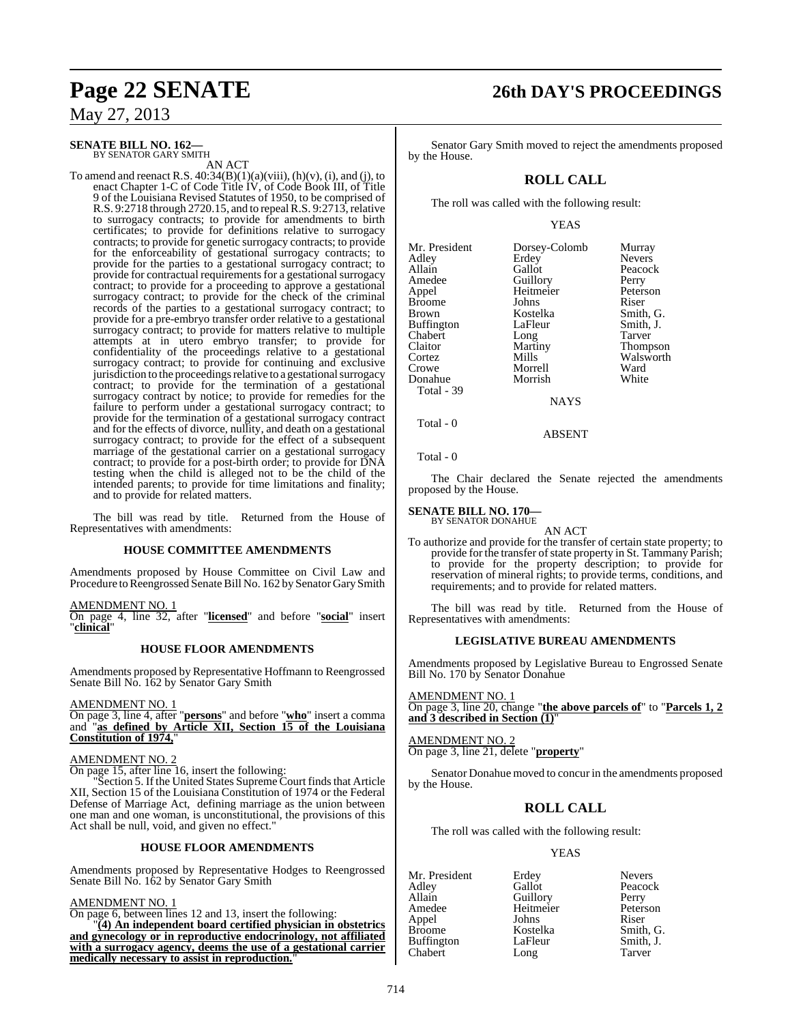#### **SENATE BILL NO. 162—** BY SENATOR GARY SMITH

AN ACT

To amend and reenact R.S.  $40:34(B)(1)(a)(viii)$ ,  $(h)(v)$ ,  $(i)$ , and  $(j)$ , to enact Chapter 1-C of Code Title IV, of Code Book III, of Title 9 of the Louisiana Revised Statutes of 1950, to be comprised of R.S. 9:2718 through 2720.15, and to repeal R.S. 9:2713, relative to surrogacy contracts; to provide for amendments to birth certificates; to provide for definitions relative to surrogacy contracts; to provide for genetic surrogacy contracts; to provide for the enforceability of gestational surrogacy contracts; to provide for the parties to a gestational surrogacy contract; to provide for contractual requirements for a gestational surrogacy contract; to provide for a proceeding to approve a gestational surrogacy contract; to provide for the check of the criminal records of the parties to a gestational surrogacy contract; to provide for a pre-embryo transfer order relative to a gestational surrogacy contract; to provide for matters relative to multiple attempts at in utero embryo transfer; to provide for confidentiality of the proceedings relative to a gestational surrogacy contract; to provide for continuing and exclusive jurisdiction to the proceedings relative to a gestational surrogacy contract; to provide for the termination of a gestational surrogacy contract by notice; to provide for remedies for the failure to perform under a gestational surrogacy contract; to provide for the termination of a gestational surrogacy contract and for the effects of divorce, nullity, and death on a gestational surrogacy contract; to provide for the effect of a subsequent marriage of the gestational carrier on a gestational surrogacy contract; to provide for a post-birth order; to provide for DNA testing when the child is alleged not to be the child of the intended parents; to provide for time limitations and finality; and to provide for related matters.

The bill was read by title. Returned from the House of Representatives with amendments:

#### **HOUSE COMMITTEE AMENDMENTS**

Amendments proposed by House Committee on Civil Law and Procedure to Reengrossed Senate Bill No. 162 by Senator Gary Smith

AMENDMENT NO. 1

On page 4, line 32, after "**licensed**" and before "**social**" insert "**clinical**"

#### **HOUSE FLOOR AMENDMENTS**

Amendments proposed by Representative Hoffmann to Reengrossed Senate Bill No. 162 by Senator Gary Smith

AMENDMENT NO. 1

On page 3, line 4, after "**persons**" and before "**who**" insert a comma and "**as defined by Article XII, Section 15 of the Louisiana Constitution of 1974,** 

#### AMENDMENT NO. 2

On page 15, after line 16, insert the following:

"Section 5. If the United States Supreme Court finds that Article XII, Section 15 of the Louisiana Constitution of 1974 or the Federal Defense of Marriage Act, defining marriage as the union between one man and one woman, is unconstitutional, the provisions of this Act shall be null, void, and given no effect."

#### **HOUSE FLOOR AMENDMENTS**

Amendments proposed by Representative Hodges to Reengrossed Senate Bill No. 162 by Senator Gary Smith

#### AMENDMENT NO. 1

On page 6, between lines 12 and 13, insert the following:

"**(4) An independent board certified physician in obstetrics and gynecology or in reproductive endocrinology, not affiliated with a surrogacy agency, deems the use of a gestational carrier medically necessary to assist in reproduction.**"

# **Page 22 SENATE 26th DAY'S PROCEEDINGS**

Senator Gary Smith moved to reject the amendments proposed by the House.

## **ROLL CALL**

The roll was called with the following result:

#### YEAS

| Mr. President<br>Adley<br>Allain<br>Amedee<br>Appel<br><b>Broome</b><br><b>Brown</b><br><b>Buffington</b><br>Chabert<br>Claitor<br>Cortez<br>Crowe<br>Donahue<br>Total - 39 | Dorsey-Colomb<br>Erdey<br>Gallot<br>Guillory<br>Heitmeier<br>Johns<br>Kostelka<br>LaFleur<br>Long<br>Martiny<br>Mills<br>Morrell<br>Morrish | Murray<br><b>Nevers</b><br>Peacock<br>Perry<br>Peterson<br>Riser<br>Smith, G.<br>Smith, J.<br>Tarver<br><b>Thompson</b><br>Walsworth<br>Ward<br>White |
|-----------------------------------------------------------------------------------------------------------------------------------------------------------------------------|---------------------------------------------------------------------------------------------------------------------------------------------|-------------------------------------------------------------------------------------------------------------------------------------------------------|
|-----------------------------------------------------------------------------------------------------------------------------------------------------------------------------|---------------------------------------------------------------------------------------------------------------------------------------------|-------------------------------------------------------------------------------------------------------------------------------------------------------|

**NAYS** 

#### ABSENT

Total - 0

Total - 0

The Chair declared the Senate rejected the amendments proposed by the House.

#### **SENATE BILL NO. 170—** BY SENATOR DONAHUE

AN ACT

To authorize and provide for the transfer of certain state property; to provide for the transfer of state property in St. Tammany Parish; to provide for the property description; to provide for reservation of mineral rights; to provide terms, conditions, and requirements; and to provide for related matters.

The bill was read by title. Returned from the House of Representatives with amendments:

#### **LEGISLATIVE BUREAU AMENDMENTS**

Amendments proposed by Legislative Bureau to Engrossed Senate Bill No. 170 by Senator Donahue

AMENDMENT NO. 1 On page 3, line 20, change "**the above parcels of**" to "**Parcels 1, 2 and 3 described in Section (1)**"

AMENDMENT NO. 2 On page 3, line 21, delete "**property**"

Senator Donahue moved to concur in the amendments proposed by the House.

### **ROLL CALL**

The roll was called with the following result:

#### YEAS

Mr. President Erdey Nevers<br>Adley Gallot Peacoc Adley Gallot Peacock Allain Guillory Perry<br>
Amedee Heitmeier Peterson Appel Johns<br>Broome Kostelka Buffington LaFleur Smith,<br>Chabert Long Tarver Chabert Long

Heitmeier Peters<br>Johns Riser Kostelka Smith, G.<br>LaFleur Smith, J.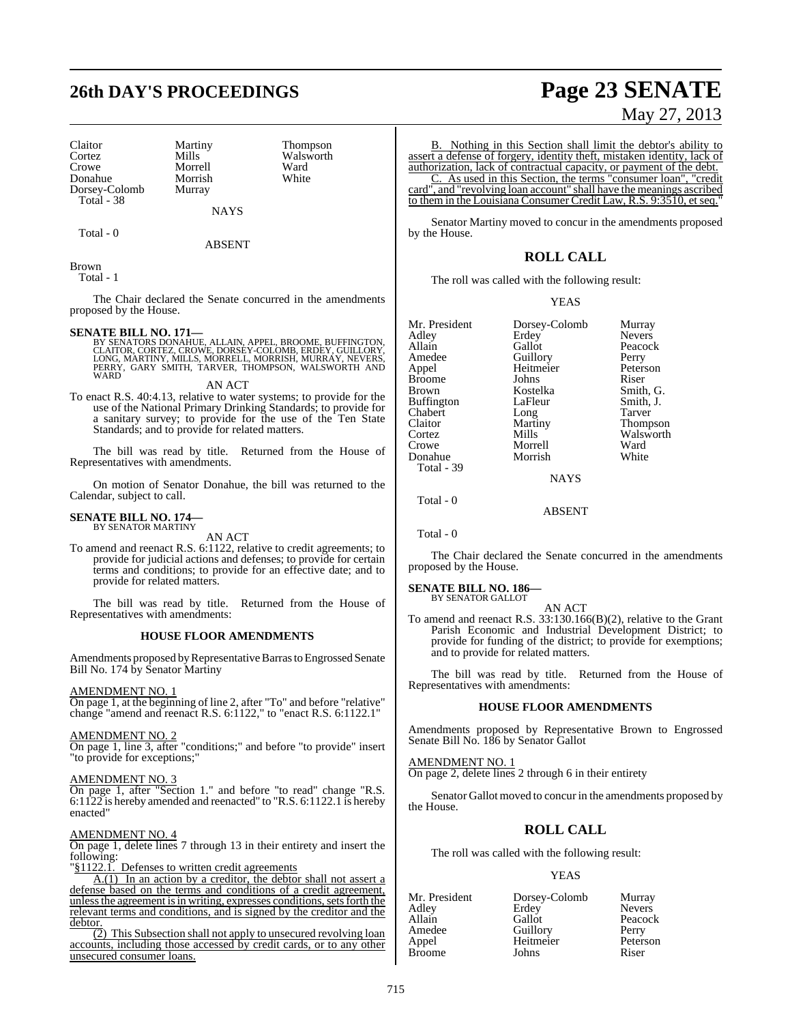# **26th DAY'S PROCEEDINGS Page 23 SENATE**

Claitor Martiny Thompson<br>Cortez Mills Walsworth Cortez Mills Walsworth<br>Crowe Morrell Ward Donahue Morrish<br>Dorsey-Colomb Murray Dorsey-Colomb Total - 38

Morrell Ward<br>
Morrish White

Total - 0

**NAYS** ABSENT

Brown Total - 1

The Chair declared the Senate concurred in the amendments proposed by the House.

**SENATE BILL NO. 171—**<br>BY SENATORS DONAHUE, ALLAIN, APPEL, BROOME, BUFFINGTON,<br>CLAITOR, CORTEZ, CROWE, DORSEY-COLOMB, ERDEY, GUILLORY,<br>LONG, MARTINY, MILLS, MORRELL, MORRISH, MURRAY, NEVERS, PERRY, GARY SMITH, TARVER, THOMPSON, WALSWORTH AND WARD

AN ACT

To enact R.S. 40:4.13, relative to water systems; to provide for the use of the National Primary Drinking Standards; to provide for a sanitary survey; to provide for the use of the Ten State Standards; and to provide for related matters.

The bill was read by title. Returned from the House of Representatives with amendments.

On motion of Senator Donahue, the bill was returned to the Calendar, subject to call.

#### **SENATE BILL NO. 174—** BY SENATOR MARTINY

AN ACT

To amend and reenact R.S. 6:1122, relative to credit agreements; to provide for judicial actions and defenses; to provide for certain terms and conditions; to provide for an effective date; and to provide for related matters.

The bill was read by title. Returned from the House of Representatives with amendments:

#### **HOUSE FLOOR AMENDMENTS**

Amendments proposed by Representative Barras to Engrossed Senate Bill No. 174 by Senator Martiny

#### AMENDMENT NO. 1

On page 1, at the beginning of line 2, after "To" and before "relative" change "amend and reenact R.S. 6:1122," to "enact R.S. 6:1122.1"

#### AMENDMENT NO. 2

On page 1, line 3, after "conditions;" and before "to provide" insert "to provide for exceptions;"

#### AMENDMENT NO. 3

On page 1, after "Section 1." and before "to read" change "R.S. 6:1122 is hereby amended and reenacted" to "R.S. 6:1122.1 is hereby enacted"

### AMENDMENT NO. 4

On page 1, delete lines 7 through 13 in their entirety and insert the following:

§1122.1. Defenses to written credit agreements

A.(1) In an action by a creditor, the debtor shall not assert a defense based on the terms and conditions of a credit agreement, unless the agreement is in writing, expresses conditions, sets forth the relevant terms and conditions, and is signed by the creditor and the debtor

(2) This Subsection shall not apply to unsecured revolving loan accounts, including those accessed by credit cards, or to any other unsecured consumer loans.

B. Nothing in this Section shall limit the debtor's ability to assert a defense of forgery, identity theft, mistaken identity, lack of authorization, lack of contractual capacity, or payment of the debt. C. As used in this Section, the terms "consumer loan", "credit

card", and "revolving loan account" shall have the meanings ascribed to them in the Louisiana Consumer Credit Law, R.S. 9:3510, et seq."

Senator Martiny moved to concur in the amendments proposed by the House.

### **ROLL CALL**

The roll was called with the following result:

#### YEAS

|             | Murray                            |
|-------------|-----------------------------------|
| Erdey       | <b>Nevers</b>                     |
| Gallot      | Peacock                           |
|             | Perry                             |
| Heitmeier   | Peterson                          |
| Johns       | Riser                             |
| Kostelka    | Smith, G.                         |
| LaFleur     | Smith, J.                         |
|             | Tarver                            |
| Martiny     | <b>Thompson</b>                   |
| Mills       | Walsworth                         |
| Morrell     | Ward                              |
| Morrish     | White                             |
|             |                                   |
| <b>NAYS</b> |                                   |
|             | Dorsey-Colomb<br>Guillory<br>Long |

Total - 0

ABSENT

Total - 0

The Chair declared the Senate concurred in the amendments proposed by the House.

#### **SENATE BILL NO. 186—** BY SENATOR GALLOT

AN ACT

To amend and reenact R.S. 33:130.166(B)(2), relative to the Grant Parish Economic and Industrial Development District; to provide for funding of the district; to provide for exemptions; and to provide for related matters.

The bill was read by title. Returned from the House of Representatives with amendments:

#### **HOUSE FLOOR AMENDMENTS**

Amendments proposed by Representative Brown to Engrossed Senate Bill No. 186 by Senator Gallot

AMENDMENT NO. 1 On page 2, delete lines 2 through 6 in their entirety

Senator Gallot moved to concur in the amendments proposed by the House.

## **ROLL CALL**

The roll was called with the following result:

#### YEAS

| Mr. President | Dorsey-Colomb | Murray        |
|---------------|---------------|---------------|
| Adley         | Erdey         | <b>Nevers</b> |
| Allain        | Gallot        | Peacock       |
| Amedee        | Guillory      | Perry         |
| Appel         | Heitmeier     | Peterson      |
| <b>Broome</b> | Johns         | Riser         |

# May 27, 2013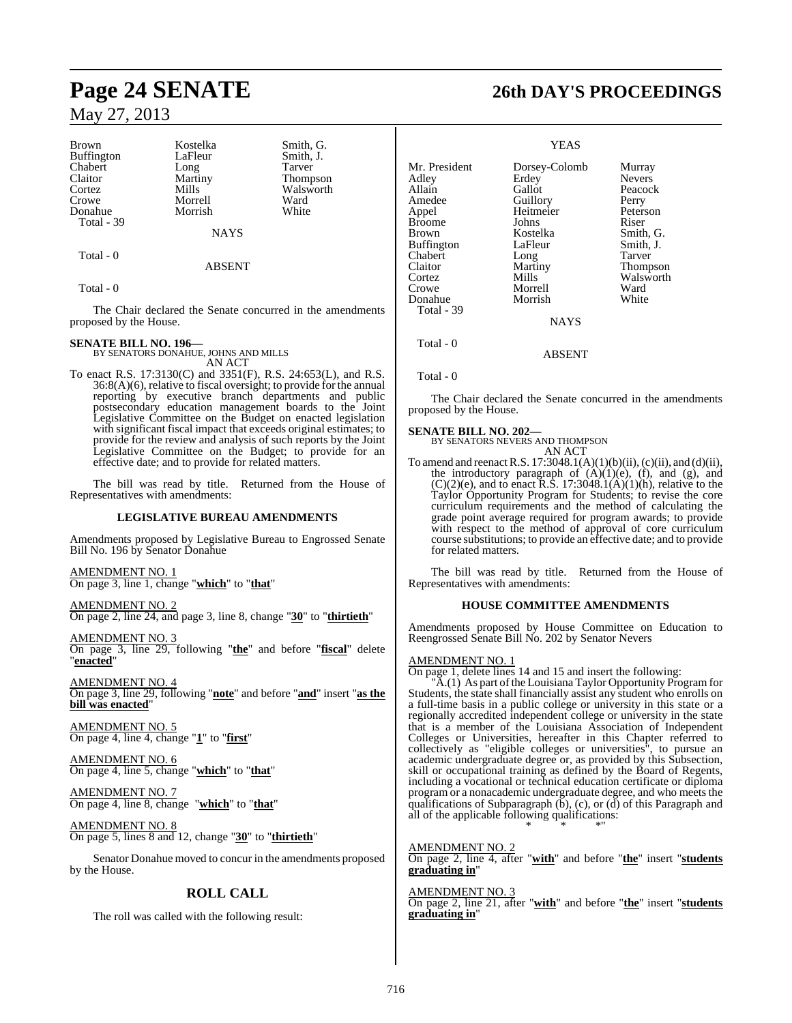Brown Kostelka Smith, G.<br>Buffington LaFleur Smith, J. Buffington LaFleur Smith,<br>
Chabert Long Tarver Chabert Long<br>Claitor Martiny Claitor Martiny Thompson<br>
Cortez Mills Walsworth Crowe Morrell Ward<br>
Donahue Morrish White Donahue Total - 39

NAYS

#### ABSENT

Walsworth<br>Ward

Total - 0

Total - 0

The Chair declared the Senate concurred in the amendments proposed by the House.

#### **SENATE BILL NO. 196—**

BY SENATORS DONAHUE, JOHNS AND MILLS AN ACT

To enact R.S. 17:3130(C) and 3351(F), R.S. 24:653(L), and R.S. 36:8(A)(6), relative to fiscal oversight; to provide for the annual reporting by executive branch departments and public postsecondary education management boards to the Joint Legislative Committee on the Budget on enacted legislation with significant fiscal impact that exceeds original estimates; to provide for the review and analysis of such reports by the Joint Legislative Committee on the Budget; to provide for an effective date; and to provide for related matters.

The bill was read by title. Returned from the House of Representatives with amendments:

#### **LEGISLATIVE BUREAU AMENDMENTS**

Amendments proposed by Legislative Bureau to Engrossed Senate Bill No. 196 by Senator Donahue

AMENDMENT NO. 1 On page 3, line 1, change "**which**" to "**that**"

AMENDMENT NO. 2 On page 2, line 24, and page 3, line 8, change "**30**" to "**thirtieth**"

AMENDMENT NO. 3 On page 3, line 29, following "**the**" and before "**fiscal**" delete 'enacted"

AMENDMENT NO. 4 On page 3, line 29, following "**note**" and before "**and**" insert "**as the bill was enacted**"

AMENDMENT NO. 5 On page 4, line 4, change "**1**" to "**first**"

AMENDMENT NO. 6 On page 4, line 5, change "**which**" to "**that**"

AMENDMENT NO. 7 On page 4, line 8, change "**which**" to "**that**"

AMENDMENT NO. 8 On page 5, lines 8 and 12, change "**30**" to "**thirtieth**"

Senator Donahue moved to concur in the amendments proposed by the House.

## **ROLL CALL**

The roll was called with the following result:

# **Page 24 SENATE 26th DAY'S PROCEEDINGS**

#### YEAS

Mr. President Dorsey-Colomb Murray<br>Adley Erdey Nevers Adley Erdey<br>
Allain Gallot Peacock Amedee Guillory Perry<br>
Appel Heitmeier Peterson Heitmeier Peters<br>Johns Riser Broome Brown Kostelka Smith, G.<br>Buffington LaFleur Smith, J. Buffington LaFleur Smith,<br>
Chabert Long Tarver Chabert Long<br>Claitor Martiny Claitor Martiny Thompson<br>
Cortez Mills Walsworth Cortez Mills Walsworth<br>Crowe Morrell Ward Morrell Ward<br>
Morrish White Donahue Total - 39 **NAYS**  Total - 0 ABSENT

Total - 0

The Chair declared the Senate concurred in the amendments proposed by the House.

**SENATE BILL NO. 202—** BY SENATORS NEVERS AND THOMPSON AN ACT

To amend and reenact R.S.  $17:3048.1(A)(1)(b)(ii)$ , (c)(ii), and (d)(ii), the introductory paragraph of  $(A)(1)(e)$ ,  $(f)$ , and  $(g)$ , and  $(C)(2)(e)$ , and to enact R.S. 17:3048.1(A)(1)(h), relative to the Taylor Opportunity Program for Students; to revise the core curriculum requirements and the method of calculating the grade point average required for program awards; to provide with respect to the method of approval of core curriculum course substitutions; to provide an effective date; and to provide for related matters.

The bill was read by title. Returned from the House of Representatives with amendments:

#### **HOUSE COMMITTEE AMENDMENTS**

Amendments proposed by House Committee on Education to Reengrossed Senate Bill No. 202 by Senator Nevers

#### AMENDMENT NO. 1

On page 1, delete lines 14 and 15 and insert the following:

"A.(1) As part of the Louisiana Taylor Opportunity Program for Students, the state shall financially assist any student who enrolls on a full-time basis in a public college or university in this state or a regionally accredited independent college or university in the state that is a member of the Louisiana Association of Independent Colleges or Universities, hereafter in this Chapter referred to collectively as "eligible colleges or universities", to pursue an academic undergraduate degree or, as provided by this Subsection, skill or occupational training as defined by the Board of Regents, including a vocational or technical education certificate or diploma program or a nonacademic undergraduate degree, and who meets the qualifications of Subparagraph  $(b)$ , (c), or  $(d)$  of this Paragraph and all of the applicable following qualifications: \* \* \*"

AMENDMENT NO. 2 On page 2, line 4, after "**with**" and before "**the**" insert "**students graduating in**"

AMENDMENT NO. 3 On page 2, line 21, after "**with**" and before "**the**" insert "**students graduating in**"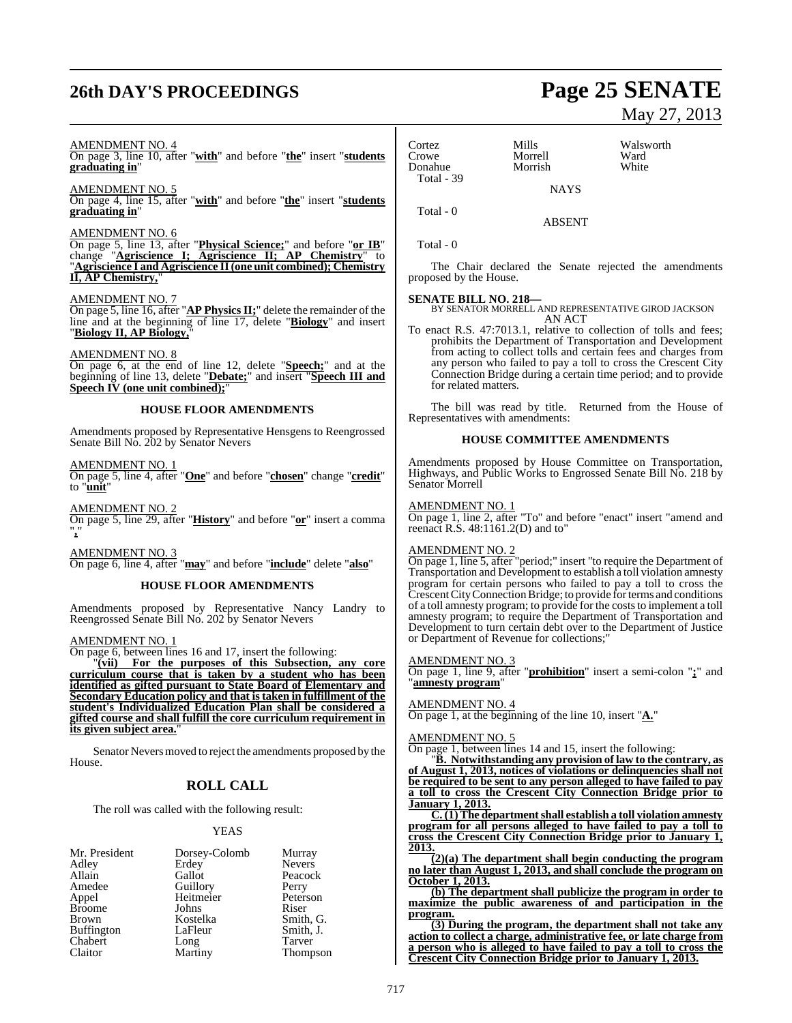# **26th DAY'S PROCEEDINGS Page 25 SENATE**

#### AMENDMENT NO. 4

On page 3, line 10, after "**with**" and before "**the**" insert "**students graduating in**"

AMENDMENT NO. 5

On page 4, line 15, after "**with**" and before "**the**" insert "**students graduating in**"

#### AMENDMENT NO. 6

On page 5, line 13, after "**Physical Science;**" and before "**or IB**" change "**Agriscience I; Agriscience II; AP Chemistry**" to "**Agriscience I and Agriscience II(one unit combined); Chemistry II, AP Chemistry,** 

#### AMENDMENT NO. 7

On page 5, line 16, after "**AP Physics II;**" delete the remainder of the line and at the beginning of line 17, delete "**Biology**" and insert "**Biology II, AP Biology,**"

#### AMENDMENT NO. 8

On page 6, at the end of line 12, delete "**Speech;**" and at the beginning of line 13, delete "**Debate;**" and insert "**Speech III and Speech IV** (one unit combined);

#### **HOUSE FLOOR AMENDMENTS**

Amendments proposed by Representative Hensgens to Reengrossed Senate Bill No. 202 by Senator Nevers

#### AMENDMENT NO. 1

On page 5, line 4, after "**One**" and before "**chosen**" change "**credit**" to "**unit**"

AMENDMENT NO. 2 On page 5, line 29, after "**History**" and before "**or**" insert a comma "**,**"

#### AMENDMENT NO. 3

On page 6, line 4, after "**may**" and before "**include**" delete "**also**"

#### **HOUSE FLOOR AMENDMENTS**

Amendments proposed by Representative Nancy Landry to Reengrossed Senate Bill No. 202 by Senator Nevers

#### AMENDMENT NO. 1

On page 6, between lines 16 and 17, insert the following:

"**(vii) For the purposes of this Subsection, any core curriculum course that is taken by a student who has been identified as gifted pursuant to State Board of Elementary and Secondary Education policy and that istaken in fulfillment of the student's Individualized Education Plan shall be considered a gifted course and shall fulfill the core curriculum requirement in its given subject area.**"

Senator Nevers moved to reject the amendments proposed by the House.

### **ROLL CALL**

The roll was called with the following result:

#### YEAS

| Mr. President     | Dorsey-Colomb   | Murray        |
|-------------------|-----------------|---------------|
| Adley             | Erdey           | <b>Nevers</b> |
| Allain            | Gallot          | Peacock       |
| Amedee            | Guillory        | Perry         |
| Appel             | Heitmeier       | Peterson      |
| <b>Broome</b>     | Johns           | Riser         |
| <b>Brown</b>      | Kostelka        | Smith, G.     |
| <b>Buffington</b> | LaFleur         | Smith, J.     |
| Chabert           |                 | Tarver        |
| Claitor           | Long<br>Martiny | Thompson      |

Cortez Mills Walsworth Morrell Ward<br>
Morrish White Donahue Total - 39 **NAYS** 

ABSENT

Total - 0

Total - 0

The Chair declared the Senate rejected the amendments proposed by the House.

**SENATE BILL NO. 218—** BY SENATOR MORRELL AND REPRESENTATIVE GIROD JACKSON AN ACT

To enact R.S. 47:7013.1, relative to collection of tolls and fees; prohibits the Department of Transportation and Development from acting to collect tolls and certain fees and charges from any person who failed to pay a toll to cross the Crescent City Connection Bridge during a certain time period; and to provide for related matters.

The bill was read by title. Returned from the House of Representatives with amendments:

#### **HOUSE COMMITTEE AMENDMENTS**

Amendments proposed by House Committee on Transportation, Highways, and Public Works to Engrossed Senate Bill No. 218 by Senator Morrell

#### AMENDMENT NO. 1

On page 1, line 2, after "To" and before "enact" insert "amend and reenact R.S. 48:1161.2(D) and to"

#### AMENDMENT NO. 2

On page 1, line 5, after "period;" insert "to require the Department of Transportation and Development to establish a toll violation amnesty program for certain persons who failed to pay a toll to cross the CrescentCityConnectionBridge; to provide for terms and conditions of a toll amnesty program; to provide for the costs to implement a toll amnesty program; to require the Department of Transportation and Development to turn certain debt over to the Department of Justice or Department of Revenue for collections;"

#### **MENDMENT NO. 3**

On page 1, line 9, after "**prohibition**" insert a semi-colon "**;**" and "**amnesty program**"

#### AMENDMENT NO. 4

On page 1, at the beginning of the line 10, insert "**A.**"

#### AMENDMENT NO. 5

On page 1, between lines 14 and 15, insert the following:

"**B. Notwithstanding any provision of law to the contrary, as of August 1, 2013, notices of violations or delinquencies shall not be required to be sent to any person alleged to have failed to pay a toll to cross the Crescent City Connection Bridge prior to January 1, 2013.**

**C. (1) The departmentshall establish a toll violation amnesty program for all persons alleged to have failed to pay a toll to cross the Crescent City Connection Bridge prior to January 1, 2013.**

**(2)(a) The department shall begin conducting the program no later than August 1, 2013, and shall conclude the program on October 1, 2013.**

**(b) The department shall publicize the program in order to maximize the public awareness of and participation in the program.**

**(3) During the program, the department shall not take any action to collect a charge, administrative fee, or late charge from a person who is alleged to have failed to pay a toll to cross the Crescent City Connection Bridge prior to January 1, 2013.**

# May 27, 2013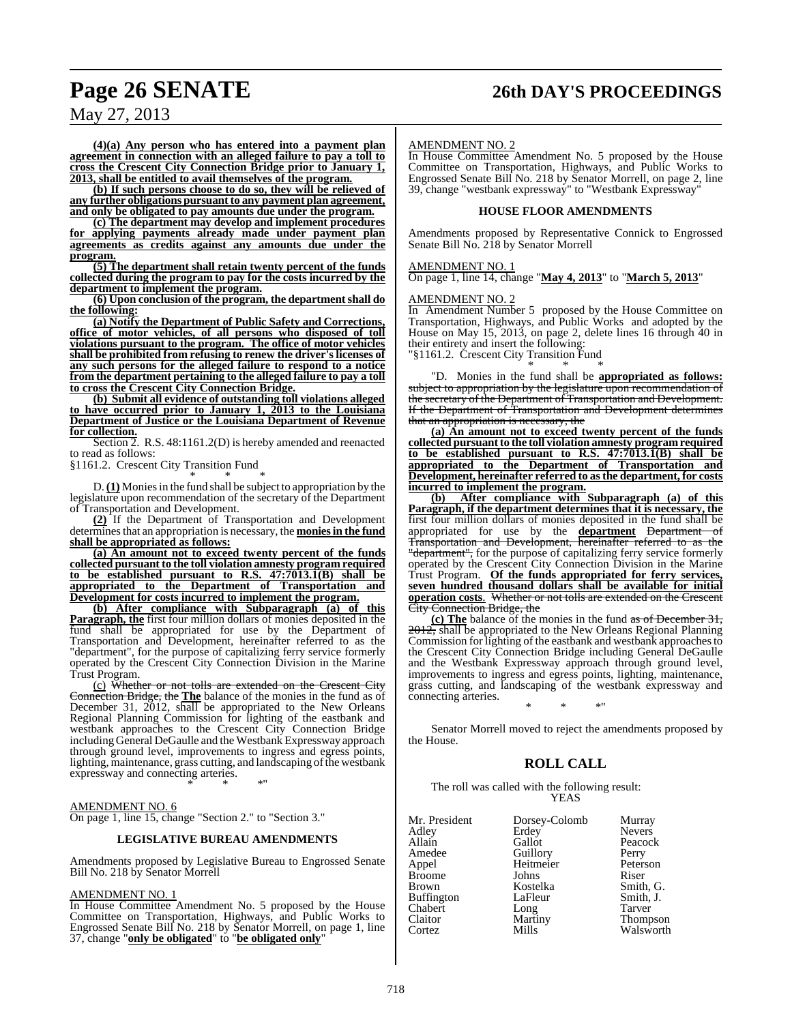# **Page 26 SENATE 26th DAY'S PROCEEDINGS**

May 27, 2013

**(4)(a) Any person who has entered into a payment plan agreement in connection with an alleged failure to pay a toll to cross the Crescent City Connection Bridge prior to January 1, 2013, shall be entitled to avail themselves of the program.**

**(b) If such persons choose to do so, they will be relieved of any further obligations pursuant to any payment plan agreement, and only be obligated to pay amounts due under the program.**

**(c) The department may develop and implement procedures for applying payments already made under payment plan agreements as credits against any amounts due under the program.**

**(5) The department shall retain twenty percent of the funds collected during the program to pay for the costs incurred by the department to implement the program.**

**(6) Upon conclusion of the program, the departmentshall do the following:**

**(a) Notify the Department of Public Safety and Corrections, office of motor vehicles, of all persons who disposed of toll violations pursuant to the program. The office of motor vehicles shall be prohibited from refusing to renew the driver's licenses of any such persons for the alleged failure to respond to a notice from the department pertaining to the alleged failure to pay a toll to cross the Crescent City Connection Bridge.**

**(b) Submit all evidence of outstanding toll violations alleged to have occurred prior to January 1, 2013 to the Louisiana Department of Justice or the Louisiana Department of Revenue for collection.**

Section 2. R.S. 48:1161.2(D) is hereby amended and reenacted to read as follows:

§1161.2. Crescent City Transition Fund \* \* \*

D.**(1)** Moniesin the fund shall be subject to appropriation by the legislature upon recommendation of the secretary of the Department of Transportation and Development.

**(2)** If the Department of Transportation and Development determinesthat an appropriation is necessary, the **moniesin the fund shall be appropriated as follows:**

**(a) An amount not to exceed twenty percent of the funds collected pursuant to the toll violation amnesty program required to be established pursuant to R.S. 47:7013.1(B) shall be appropriated to the Department of Transportation and Development for costs incurred to implement the program.**

**(b) After compliance with Subparagraph (a) of this Paragraph, the** first four million dollars of monies deposited in the fund shall be appropriated for use by the Department of Transportation and Development, hereinafter referred to as the "department", for the purpose of capitalizing ferry service formerly operated by the Crescent City Connection Division in the Marine Trust Program.

(c) Whether or not tolls are extended on the Crescent City Connection Bridge, the **The** balance of the monies in the fund as of December 31, 2012, shall be appropriated to the New Orleans Regional Planning Commission for lighting of the eastbank and westbank approaches to the Crescent City Connection Bridge including General DeGaulle and the Westbank Expressway approach through ground level, improvements to ingress and egress points, lighting, maintenance, grass cutting, and landscaping of the westbank expressway and connecting arteries.

\* \* \*"

AMENDMENT NO. 6 On page 1, line 15, change "Section 2." to "Section 3."

#### **LEGISLATIVE BUREAU AMENDMENTS**

Amendments proposed by Legislative Bureau to Engrossed Senate Bill No. 218 by Senator Morrell

#### AMENDMENT NO. 1

In House Committee Amendment No. 5 proposed by the House Committee on Transportation, Highways, and Public Works to Engrossed Senate Bill No. 218 by Senator Morrell, on page 1, line 37, change "**only be obligated**" to "**be obligated only**"

#### AMENDMENT NO. 2

In House Committee Amendment No. 5 proposed by the House Committee on Transportation, Highways, and Public Works to Engrossed Senate Bill No. 218 by Senator Morrell, on page 2, line 39, change "westbank expressway" to "Westbank Expressway"

#### **HOUSE FLOOR AMENDMENTS**

Amendments proposed by Representative Connick to Engrossed Senate Bill No. 218 by Senator Morrell

#### AMENDMENT NO. 1

On page 1, line 14, change "**May 4, 2013**" to "**March 5, 2013**"

#### AMENDMENT NO. 2

In Amendment Number 5 proposed by the House Committee on Transportation, Highways, and Public Works and adopted by the House on May 15, 2013, on page 2, delete lines 16 through 40 in their entirety and insert the following:

"§1161.2. Crescent City Transition Fund \* \* \*

"D. Monies in the fund shall be **appropriated as follows:** subject to appropriation by the legislature upon recommendation of the secretary of the Department of Transportation and Development. If the Department of Transportation and Development determines that an appropriation is necessary, the

**(a) An amount not to exceed twenty percent of the funds collected** pursuant to the toll violation amnesty program required **to be established pursuant to R.S. 47:7013.1(B) shall be appropriated to the Department of Transportation and Development, hereinafter referred to asthe department, for costs incurred to implement the program.**

**(b) After compliance with Subparagraph (a) of this Paragraph, if the department determines that it is necessary, the** first four million dollars of monies deposited in the fund shall be appropriated for use by the **department** Department of Transportation and Development, hereinafter referred to as the "department", for the purpose of capitalizing ferry service formerly operated by the Crescent City Connection Division in the Marine Trust Program. **Of the funds appropriated for ferry services, seven hundred thousand dollars shall be available for initial operation costs.** Whether or not tolls are extended on the Cresc **City Connection Bridge, the** 

**(c) The** balance of the monies in the fund as of December 31, 2012, shall be appropriated to the New Orleans Regional Planning Commission for lighting of the eastbank and westbank approaches to the Crescent City Connection Bridge including General DeGaulle and the Westbank Expressway approach through ground level, improvements to ingress and egress points, lighting, maintenance, grass cutting, and landscaping of the westbank expressway and connecting arteries. \* \* \*"

Senator Morrell moved to reject the amendments proposed by the House.

#### **ROLL CALL**

The roll was called with the following result: YEAS

| Mr. President | Dorsey-Colomb | Murray        |
|---------------|---------------|---------------|
| Adley         | Erdey         | <b>Nevers</b> |
| Allain        | Gallot        | Peacock       |
| Amedee        | Guillory      | Perry         |
| Appel         | Heitmeier     | Peterson      |
| <b>Broome</b> | Johns         | Riser         |
| Brown         | Kostelka      | Smith, G.     |
| Buffington    | LaFleur       | Smith, J.     |
| Chabert       | Long          | Tarver        |
| Claitor       | Martiny       | Thompson      |
| Cortez        | Mills         | Walsworth     |
|               |               |               |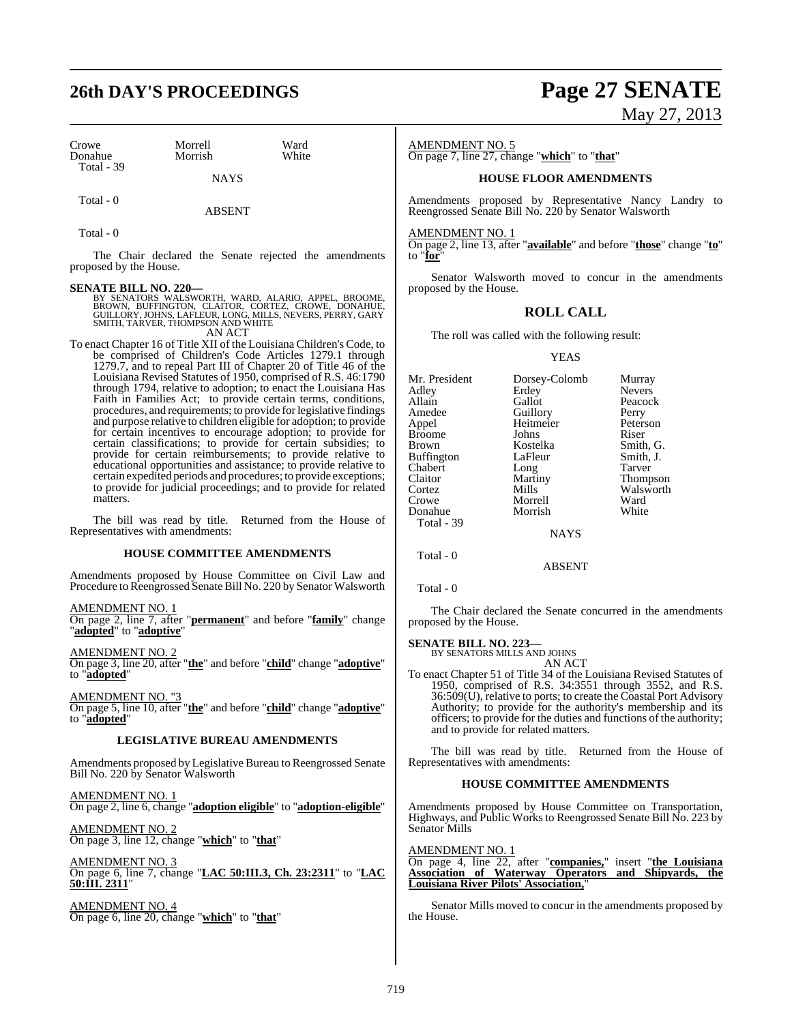# **26th DAY'S PROCEEDINGS Page 27 SENATE**

Crowe Morrell Ward<br>
Morrish White<br>
Morrish White Donahue Total - 39

**NAYS** 

Total - 0

Total - 0

The Chair declared the Senate rejected the amendments proposed by the House.

ABSENT

**SENATE BILL NO. 220—**<br>BY SENATORS WALSWORTH, WARD, ALARIO, APPEL, BROOME,<br>BROWN, BUFFINGTON, CLAITOR, CORTEZ, CROWE, DONAHUE,<br>GUILLORY, JOHNS, LAFLEUR, LONG, MILLS, NEVERS, PERRY, GARY<br>SMITH, TARVER, THOMPSON AND WHITE AN ACT

To enact Chapter 16 of Title XII of the Louisiana Children's Code, to be comprised of Children's Code Articles 1279.1 through 1279.7, and to repeal Part III of Chapter 20 of Title 46 of the Louisiana Revised Statutes of 1950, comprised of R.S. 46:1790 through 1794, relative to adoption; to enact the Louisiana Has Faith in Families Act; to provide certain terms, conditions, procedures, and requirements; to provide forlegislative findings and purpose relative to children eligible for adoption; to provide for certain incentives to encourage adoption; to provide for certain classifications; to provide for certain subsidies; to provide for certain reimbursements; to provide relative to educational opportunities and assistance; to provide relative to certain expedited periods and procedures; to provide exceptions; to provide for judicial proceedings; and to provide for related matters.

The bill was read by title. Returned from the House of Representatives with amendments:

#### **HOUSE COMMITTEE AMENDMENTS**

Amendments proposed by House Committee on Civil Law and Procedure to Reengrossed Senate Bill No. 220 by Senator Walsworth

AMENDMENT NO. 1

On page 2, line 7, after "**permanent**" and before "**family**" change "**adopted**" to "**adoptive**"

AMENDMENT NO. 2

On page 3, line 20, after "**the**" and before "**child**" change "**adoptive**" to "**adopted**"

AMEND<u>MENT NO. "3</u>

On page 5, line 10, after "**the**" and before "**child**" change "**adoptive**" to "**adopted**"

#### **LEGISLATIVE BUREAU AMENDMENTS**

Amendments proposed by Legislative Bureau to Reengrossed Senate Bill No. 220 by Senator Walsworth

AMENDMENT NO. 1 On page 2, line 6, change "**adoption eligible**" to "**adoption-eligible**"

AMENDMENT NO. 2 On page 3, line 12, change "**which**" to "**that**"

AMENDMENT NO. 3 On page 6, line 7, change "**LAC 50:III.3, Ch. 23:2311**" to "**LAC 50:III. 2311**"

AMENDMENT NO. 4 On page 6, line 20, change "**which**" to "**that**"

# May 27, 2013

AMENDMENT NO. 5

On page 7, line 27, change "**which**" to "**that**"

#### **HOUSE FLOOR AMENDMENTS**

Amendments proposed by Representative Nancy Landry to Reengrossed Senate Bill No. 220 by Senator Walsworth

AMENDMENT NO. 1

On page 2, line 13, after "**available**" and before "**those**" change "**to**" to "**for**"

Senator Walsworth moved to concur in the amendments proposed by the House.

#### **ROLL CALL**

The roll was called with the following result:

#### YEAS

| Mr. President<br>Adlev<br>Allain<br>Amedee<br>Appel<br>Broome<br>Brown<br>Buffington<br>Chabert<br>Claitor<br>Cortez<br>Crowe<br>Donahue | Dorsey-Colomb<br>Erdey<br>Gallot<br>Guillory<br>Heitmeier<br>Johns<br>Kostelka<br>LaFleur<br>Long<br>Martiny<br>Mills<br>Morrell<br>Morrish | Murray<br><b>Nevers</b><br>Peacock<br>Perry<br>Peterson<br>Riser<br>Smith, G.<br>Smith, J.<br><b>Tarver</b><br>Thompson<br>Walsworth<br>Ward<br>White |
|------------------------------------------------------------------------------------------------------------------------------------------|---------------------------------------------------------------------------------------------------------------------------------------------|-------------------------------------------------------------------------------------------------------------------------------------------------------|
|                                                                                                                                          |                                                                                                                                             |                                                                                                                                                       |
| Total - 39                                                                                                                               |                                                                                                                                             |                                                                                                                                                       |
|                                                                                                                                          | <b>NAYS</b>                                                                                                                                 |                                                                                                                                                       |
|                                                                                                                                          |                                                                                                                                             |                                                                                                                                                       |

ABSENT

Total - 0

Total - 0

The Chair declared the Senate concurred in the amendments proposed by the House.

**SENATE BILL NO. 223—** BY SENATORS MILLS AND JOHNS

AN ACT

To enact Chapter 51 of Title 34 of the Louisiana Revised Statutes of 1950, comprised of R.S. 34:3551 through 3552, and R.S. 36:509(U), relative to ports; to create the Coastal Port Advisory Authority; to provide for the authority's membership and its officers; to provide for the duties and functions of the authority; and to provide for related matters.

The bill was read by title. Returned from the House of Representatives with amendments:

#### **HOUSE COMMITTEE AMENDMENTS**

Amendments proposed by House Committee on Transportation, Highways, and Public Works to Reengrossed Senate Bill No. 223 by Senator Mills

AMENDMENT NO. 1

On page 4, line 22, after "**companies,**" insert "**the Louisiana Association of Waterway Operators and Shipyards, the Louisiana River Pilots' Association,**"

Senator Mills moved to concur in the amendments proposed by the House.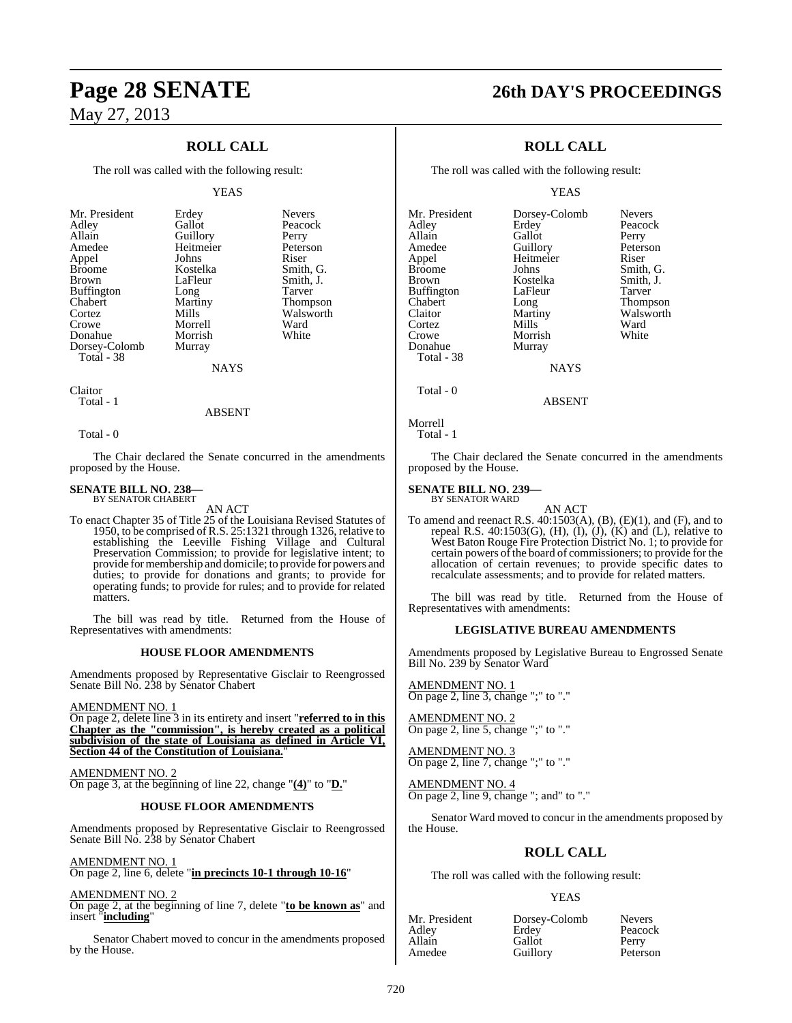## **ROLL CALL**

The roll was called with the following result:

#### YEAS

Nevers Peacock Perry Peterson<br>Riser

Smith, G. Smith, J.

Thompson Walsworth<br>Ward

| Mr. President | Erdey     | Nevers |
|---------------|-----------|--------|
| Adley         | Gallot    | Peacoo |
| Allain        | Guillory  | Perry  |
| Amedee        | Heitmeier | Peters |
| Appel         | Johns     | Riser  |
| <b>Broome</b> | Kostelka  | Smith, |
| <b>Brown</b>  | LaFleur   | Smith, |
| Buffington    | Long      | Tarver |
| Chabert       | Martiny   | Thomp  |
| Cortez        | Mills     | Walsw  |
| Crowe         | Morrell   | Ward   |
| Donahue       | Morrish   | White  |
| Dorsey-Colomb | Murray    |        |
| Total - 38    |           |        |
|               |           |        |

**NAYS** 

Claitor Total - 1

#### ABSENT

Total - 0

The Chair declared the Senate concurred in the amendments proposed by the House.

#### **SENATE BILL NO. 238—** BY SENATOR CHABERT

AN ACT

To enact Chapter 35 of Title 25 of the Louisiana Revised Statutes of 1950, to be comprised of R.S. 25:1321 through 1326, relative to establishing the Leeville Fishing Village and Cultural Preservation Commission; to provide for legislative intent; to provide for membership and domicile; to provide for powers and duties; to provide for donations and grants; to provide for operating funds; to provide for rules; and to provide for related matters.

The bill was read by title. Returned from the House of Representatives with amendments:

#### **HOUSE FLOOR AMENDMENTS**

Amendments proposed by Representative Gisclair to Reengrossed Senate Bill No. 238 by Senator Chabert

#### AMENDMENT NO. 1

On page 2, delete line 3 in its entirety and insert "**referred to in this Chapter as the "commission", is hereby created as a political subdivision of the state of Louisiana as defined in Article VI, Section 44 of the Constitution of Louisiana.**"

AMENDMENT NO. 2 On page 3, at the beginning of line 22, change "**(4)**" to "**D.**"

#### **HOUSE FLOOR AMENDMENTS**

Amendments proposed by Representative Gisclair to Reengrossed Senate Bill No. 238 by Senator Chabert

#### AMENDMENT NO. 1

On page 2, line 6, delete "**in precincts 10-1 through 10-16**"

AMENDMENT NO. 2

On page 2, at the beginning of line 7, delete "**to be known as**" and insert "**including**"

Senator Chabert moved to concur in the amendments proposed by the House.

# **Page 28 SENATE 26th DAY'S PROCEEDINGS**

## **ROLL CALL**

The roll was called with the following result:

YEAS

Mr. President Dorsey-Colomb Nevers<br>Adley Erdey Peacoc Adley Erdey Peacock Allain Gallot Perry<br>
Amedee Guillory Peterson Amedee Guillory Peters<br>
Appel Heitmeier Riser Appel Heitmeier<br>Broome Johns Broome Johns Smith, G.<br>Brown Kostelka Smith, J. Buffington LaFleur Tarver<br>
Chabert Long Thomp Chabert Long Thompson<br>Claitor Martiny Walsworth Cortez Mills Ward<br>Crowe Morrish White Crowe Morrish<br>Donahue Murray Total - 38

Kostelka Smith, J.<br>LaFleur Tarver Martiny Walsworth<br>
Mills Ward

**NAYS** 

Murray

Morrell

Total - 0

Total - 1

The Chair declared the Senate concurred in the amendments proposed by the House.

ABSENT

#### **SENATE BILL NO. 239—** BY SENATOR WARD

AN ACT

To amend and reenact R.S. 40:1503(A), (B), (E)(1), and (F), and to repeal R.S.  $40:1503(G)$ , (H), (I), (J), (K) and (L), relative to West Baton Rouge Fire Protection District No. 1; to provide for certain powers of the board of commissioners; to provide for the allocation of certain revenues; to provide specific dates to recalculate assessments; and to provide for related matters.

The bill was read by title. Returned from the House of Representatives with amendments:

#### **LEGISLATIVE BUREAU AMENDMENTS**

Amendments proposed by Legislative Bureau to Engrossed Senate Bill No. 239 by Senator Ward

AMENDMENT NO. 1 On page 2, line 3, change ";" to "."

AMENDMENT NO. 2 On page 2, line 5, change ";" to "."

AMENDMENT NO. 3 On page 2, line 7, change ";" to "."

AMENDMENT NO. 4 On page 2, line 9, change "; and" to "."

Senator Ward moved to concur in the amendments proposed by the House.

## **ROLL CALL**

The roll was called with the following result:

#### YEAS

Allain Gallot<br>Amedee Guillou

Mr. President Dorsey-Colomb Nevers<br>Adley Erdev Peacocl Adley Erdey Peacock Guillory Peterson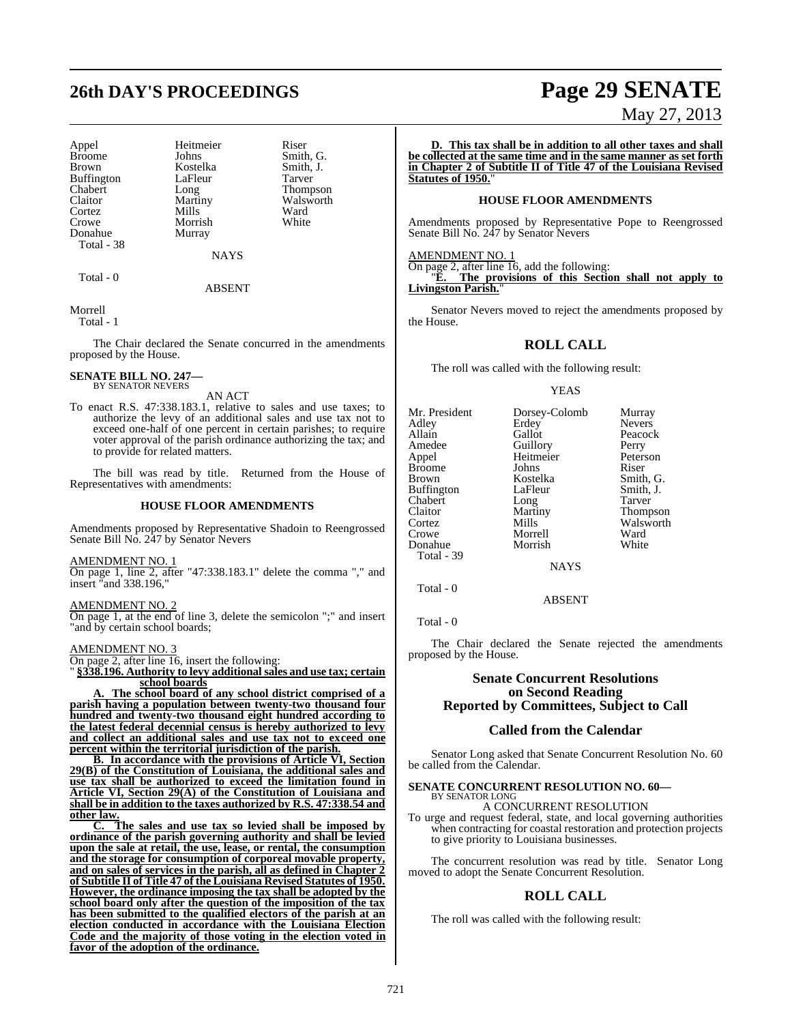# **26th DAY'S PROCEEDINGS Page 29 SENATE**

Appel Heitmeier Riser<br>Broome Johns Smith Broome Johns Smith, G.<br>Brown Kostelka Smith, J. Buffington LaFle<br>Chabert Long Cortez Mills Ward<br>Crowe Morrish White Donahue Murray Total - 38

Morrish

Kostelka Smith,<br>LaFleur Tarver Long Thompson<br>Martiny Walsworth Claitor Martiny Walsworth<br>
Cortez Mills Ward

Total - 0

NAYS **ABSENT** 

Morrell

Total - 1

The Chair declared the Senate concurred in the amendments proposed by the House.

#### **SENATE BILL NO. 247—** BY SENATOR NEVERS

AN ACT

To enact R.S. 47:338.183.1, relative to sales and use taxes; to authorize the levy of an additional sales and use tax not to exceed one-half of one percent in certain parishes; to require voter approval of the parish ordinance authorizing the tax; and to provide for related matters.

The bill was read by title. Returned from the House of Representatives with amendments:

#### **HOUSE FLOOR AMENDMENTS**

Amendments proposed by Representative Shadoin to Reengrossed Senate Bill No. 247 by Senator Nevers

AMENDMENT NO. 1

On page 1, line 2, after "47:338.183.1" delete the comma "," and insert "and 338.196,"

AMENDMENT NO. 2 On page 1, at the end of line 3, delete the semicolon ";" and insert 'and by certain school boards;

AMENDMENT NO. 3

On page 2, after line 16, insert the following:

" **§338.196. Authority to levy additional sales and use tax; certain school boards**

The school **board of any school district comprised of a parish having a population between twenty-two thousand four hundred and twenty-two thousand eight hundred according to the latest federal decennial census is hereby authorized to levy and collect an additional sales and use tax not to exceed one percent within the territorial jurisdiction of the parish.**

**B. In accordance with the provisions of Article VI, Section 29(B) of the Constitution of Louisiana, the additional sales and use tax shall be authorized to exceed the limitation found in Article VI, Section 29(A) of the Constitution of Louisiana and shall be in addition to the taxes authorized by R.S. 47:338.54 and other law.**

**C. The sales and use tax so levied shall be imposed by ordinance of the parish governing authority and shall be levied upon the sale at retail, the use, lease, or rental, the consumption and the storage for consumption of corporeal movable property, and on sales of services in the parish, all as defined in Chapter 2 of Subtitle II of Title 47 of the Louisiana Revised Statutes of 1950. However, the ordinance imposing the tax shall be adopted by the school board only after the question of the imposition of the tax has been submitted to the qualified electors of the parish at an election conducted in accordance with the Louisiana Election Code and the majority of those voting in the election voted in favor of the adoption of the ordinance.**

## May 27, 2013

**D. This tax shall be in addition to all other taxes and shall be collected at the same time and in the same manner as set forth in Chapter 2 of Subtitle II of Title 47 of the Louisiana Revised Statutes of 1950.**"

#### **HOUSE FLOOR AMENDMENTS**

Amendments proposed by Representative Pope to Reengrossed Senate Bill No. 247 by Senator Nevers

AMENDMENT NO. 1

On page 2, after line 16, add the following: "**E. The provisions of this Section shall not apply to Livingston Parish.**"

Senator Nevers moved to reject the amendments proposed by the House.

### **ROLL CALL**

The roll was called with the following result:

#### YEAS

| Mr. President | Dorsey-Colomb | Murray          |
|---------------|---------------|-----------------|
| Adley         | Erdey         | <b>Nevers</b>   |
| Allain        | Gallot        | Peacock         |
| Amedee        | Guillory      | Perry           |
| Appel         | Heitmeier     | Peterson        |
| <b>Broome</b> | Johns         | Riser           |
| Brown         | Kostelka      | Smith, G.       |
| Buffington    | LaFleur       | Smith, J.       |
| Chabert       | Long          | Tarver          |
| Claitor       | Martiny       | <b>Thompson</b> |
| Cortez        | Mills         | Walsworth       |
| Crowe         | Morrell       | Ward            |
| Donahue       | Morrish       | White           |
| Total - 39    |               |                 |
|               | <b>NAYS</b>   |                 |

Total - 0

Total - 0

The Chair declared the Senate rejected the amendments proposed by the House.

ABSENT

#### **Senate Concurrent Resolutions on Second Reading Reported by Committees, Subject to Call**

### **Called from the Calendar**

Senator Long asked that Senate Concurrent Resolution No. 60 be called from the Calendar.

#### **SENATE CONCURRENT RESOLUTION NO. 60—** BY SENATOR LONG

A CONCURRENT RESOLUTION

To urge and request federal, state, and local governing authorities when contracting for coastal restoration and protection projects to give priority to Louisiana businesses.

The concurrent resolution was read by title. Senator Long moved to adopt the Senate Concurrent Resolution.

## **ROLL CALL**

The roll was called with the following result: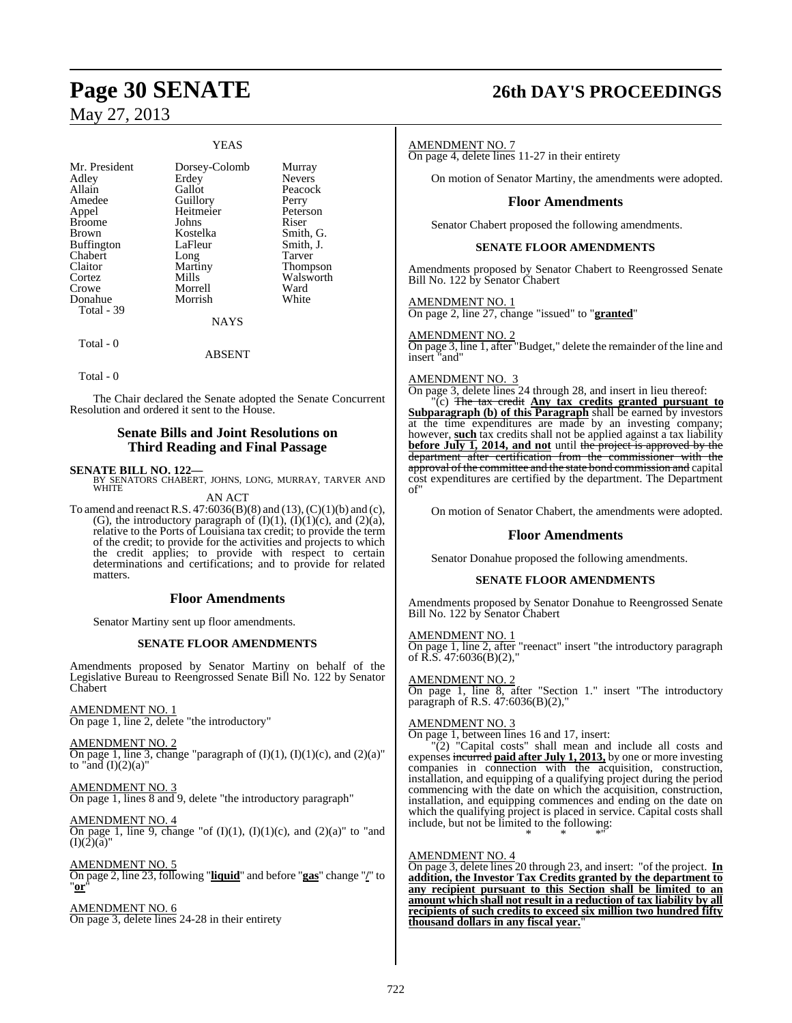### YEAS

| Mr. President     | Dorsey-Colomb | Murray        |
|-------------------|---------------|---------------|
| Adley             | Erdey         | <b>Nevers</b> |
| Allain            | Gallot        | Peacock       |
| Amedee            | Guillory      | Perry         |
| Appel             | Heitmeier     | Peterson      |
| <b>Broome</b>     | Johns         | Riser         |
| Brown             | Kostelka      | Smith, G.     |
| <b>Buffington</b> | LaFleur       | Smith, J.     |
| Chabert           | Long          | Tarver        |
| Claitor           | Martiny       | Thompson      |
| Cortez            | Mills         | Walsworth     |
| Crowe             | Morrell       | Ward          |
| Donahue           | Morrish       | White         |
| Total - 39        |               |               |
|                   | <b>NAYS</b>   |               |
| Total - 0         |               |               |

Total - 0

The Chair declared the Senate adopted the Senate Concurrent Resolution and ordered it sent to the House.

ABSENT

### **Senate Bills and Joint Resolutions on Third Reading and Final Passage**

**SENATE BILL NO. 122—**<br>BY SENATORS CHABERT, JOHNS, LONG, MURRAY, TARVER AND WHITE

AN ACT

To amend and reenact R.S.  $47:6036(B)(8)$  and  $(13)$ ,  $(C)(1)(b)$  and  $(c)$ , (G), the introductory paragraph of  $(I)(1)$ ,  $(I)(1)(c)$ , and  $(2)(a)$ , relative to the Ports of Louisiana tax credit; to provide the term of the credit; to provide for the activities and projects to which the credit applies; to provide with respect to certain determinations and certifications; and to provide for related matters.

#### **Floor Amendments**

Senator Martiny sent up floor amendments.

#### **SENATE FLOOR AMENDMENTS**

Amendments proposed by Senator Martiny on behalf of the Legislative Bureau to Reengrossed Senate Bill No. 122 by Senator Chabert

#### AMENDMENT NO. 1

On page 1, line 2, delete "the introductory"

AMENDMENT NO. 2 On page 1, line 3, change "paragraph of  $(I)(1)$ ,  $(I)(1)(c)$ , and  $(2)(a)$ " to "and  $(I)(2)(a)$ "

AMENDMENT NO. 3 On page 1, lines 8 and 9, delete "the introductory paragraph"

AMENDMENT NO. 4 On page 1, line 9, change "of  $(I)(1)$ ,  $(I)(1)(c)$ , and  $(2)(a)$ " to "and  $(I)(2)(\check{a})$ "

AMENDMENT NO. 5 On page 2, line 23, following "**liquid**" and before "**gas**" change "**/**" to "**or**"

#### AMENDMENT NO. 6

On page 3, delete lines 24-28 in their entirety

# **Page 30 SENATE 26th DAY'S PROCEEDINGS**

#### AMENDMENT NO. 7

On page 4, delete lines 11-27 in their entirety

On motion of Senator Martiny, the amendments were adopted.

#### **Floor Amendments**

Senator Chabert proposed the following amendments.

#### **SENATE FLOOR AMENDMENTS**

Amendments proposed by Senator Chabert to Reengrossed Senate Bill No. 122 by Senator Chabert

AMENDMENT NO. 1 On page 2, line 27, change "issued" to "**granted**"

AMENDMENT NO. 2 On page 3, line 1, after "Budget," delete the remainder of the line and insert "and"

#### AMENDMENT NO. 3

On page 3, delete lines 24 through 28, and insert in lieu thereof:

"(c) The tax credit **Any tax credits granted pursuant to Subparagraph (b) of this Paragraph** shall be earned by investors at the time expenditures are made by an investing company; however, **such** tax credits shall not be applied against a tax liability **before July 1, 2014, and not** until the project is approved by the department after certification from the commissioner with the approval of the committee and the state bond commission and capital cost expenditures are certified by the department. The Department of"

On motion of Senator Chabert, the amendments were adopted.

### **Floor Amendments**

Senator Donahue proposed the following amendments.

#### **SENATE FLOOR AMENDMENTS**

Amendments proposed by Senator Donahue to Reengrossed Senate Bill No. 122 by Senator Chabert

#### AMENDMENT NO. 1

On page 1, line 2, after "reenact" insert "the introductory paragraph of R.S. 47:6036(B)(2),"

## AMENDMENT NO. 2

On page 1, line 8, after "Section 1." insert "The introductory paragraph of R.S. 47:6036(B)(2),"

#### AMENDMENT NO. 3

On page 1, between lines 16 and 17, insert:

"(2) "Capital costs" shall mean and include all costs and expenses incurred **paid after July 1, 2013,** by one or more investing companies in connection with the acquisition, construction, installation, and equipping of a qualifying project during the period commencing with the date on which the acquisition, construction, installation, and equipping commences and ending on the date on which the qualifying project is placed in service. Capital costs shall include, but not be limited to the following: \* \* \*"

#### AMENDMENT NO. 4

On page 3, delete lines 20 through 23, and insert: "of the project. **In addition, the Investor Tax Credits granted by the department to any recipient pursuant to this Section shall be limited to an amount which shall not result in a reduction of tax liability by all recipients of such credits to exceed six million two hundred fifty thousand dollars in any fiscal year.**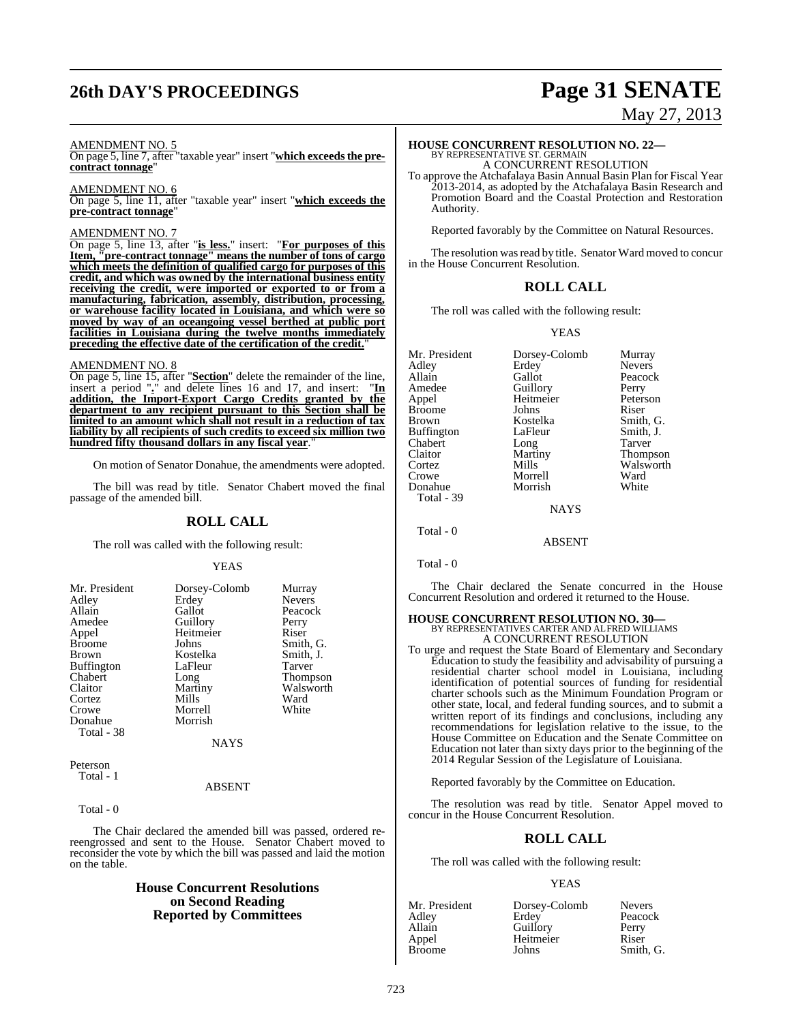# **26th DAY'S PROCEEDINGS Page 31 SENATE**

#### AMENDMENT NO. 5

On page 5, line 7, after "taxable year" insert "**which exceedsthe precontract tonnage**"

#### AMENDMENT NO. 6

On page 5, line 11, after "taxable year" insert "**which exceeds the pre-contract tonnage**"

#### AMENDMENT NO. 7

On page 5, line 13, after "**is less.**" insert: "**For purposes of this Item, "pre-contract tonnage" means the number of tons of cargo which meets the definition of qualified cargo for purposes of this credit, and which was owned by the international business entity receiving the credit, were imported or exported to or from a manufacturing, fabrication, assembly, distribution, processing, or warehouse facility located in Louisiana, and which were so moved by way of an oceangoing vessel berthed at public port facilities in Louisiana during the twelve months immediately preceding the effective date of the certification of the credit.**"

#### AMENDMENT NO. 8

On page 5, line 15, after "**Section**" delete the remainder of the line, insert a period "**.**" and delete lines 16 and 17, and insert: "**In addition, the Import-Export Cargo Credits granted by the department to any recipient pursuant to this Section shall be limited to an amount which shall not result in a reduction of tax liability by all recipients of such credits to exceed six million two hundred fifty thousand dollars in any fiscal year.** 

On motion of Senator Donahue, the amendments were adopted.

The bill was read by title. Senator Chabert moved the final passage of the amended bill.

#### **ROLL CALL**

The roll was called with the following result:

#### YEAS

| Mr. President     | Dorsey-Colomb | Murray        |
|-------------------|---------------|---------------|
| Adley             | Erdey         | <b>Nevers</b> |
| Allain            | Gallot        | Peacock       |
| Amedee            | Guillory      | Perry         |
| Appel             | Heitmeier     | Riser         |
| <b>Broome</b>     | Johns         | Smith, G.     |
| <b>Brown</b>      | Kostelka      | Smith, J.     |
| <b>Buffington</b> | LaFleur       | Tarver        |
| Chabert           | Long          | Thompson      |
| Claitor           | Martiny       | Walsworth     |
| Cortez            | Mills         | Ward          |
| Crowe             | Morrell       | White         |
| Donahue           | Morrish       |               |
| Total - 38        |               |               |
|                   | <b>NAYS</b>   |               |
|                   |               |               |

Peterson Total - 1

#### ABSENT

Total - 0

The Chair declared the amended bill was passed, ordered rereengrossed and sent to the House. Senator Chabert moved to reconsider the vote by which the bill was passed and laid the motion on the table.

## **House Concurrent Resolutions on Second Reading Reported by Committees**

# May 27, 2013

# **HOUSE CONCURRENT RESOLUTION NO. 22—** BY REPRESENTATIVE ST. GERMAIN A CONCURRENT RESOLUTION

To approve the Atchafalaya Basin Annual Basin Plan for Fiscal Year 2013-2014, as adopted by the Atchafalaya Basin Research and Promotion Board and the Coastal Protection and Restoration Authority.

Reported favorably by the Committee on Natural Resources.

The resolution was read by title. Senator Ward moved to concur in the House Concurrent Resolution.

#### **ROLL CALL**

The roll was called with the following result:

#### YEAS

| Mr. President | Dorsey-Colomb | Murray        |
|---------------|---------------|---------------|
| Adley         | Erdey         | <b>Nevers</b> |
| Allain        | Gallot        | Peacock       |
| Amedee        | Guillory      | Perry         |
| Appel         | Heitmeier     | Peterson      |
| <b>Broome</b> | Johns         | Riser         |
| Brown         | Kostelka      | Smith, G.     |
| Buffington    | LaFleur       | Smith, J.     |
| Chabert       | Long          | Tarver        |
| Claitor       | Martiny       | Thompson      |
| Cortez        | Mills         | Walsworth     |
| Crowe         | Morrell       | Ward          |
| Donahue       | Morrish       | White         |
| Total - 39    |               |               |
|               | <b>NAYS</b>   |               |
|               |               |               |

Total - 0

Total - 0

The Chair declared the Senate concurred in the House Concurrent Resolution and ordered it returned to the House.

ABSENT

## **HOUSE CONCURRENT RESOLUTION NO. 30—**

BY REPRESENTATIVES CARTER AND ALFRED WILLIAMS A CONCURRENT RESOLUTION

To urge and request the State Board of Elementary and Secondary Education to study the feasibility and advisability of pursuing a residential charter school model in Louisiana, including identification of potential sources of funding for residential charter schools such as the Minimum Foundation Program or other state, local, and federal funding sources, and to submit a written report of its findings and conclusions, including any recommendations for legislation relative to the issue, to the House Committee on Education and the Senate Committee on Education not later than sixty days prior to the beginning of the 2014 Regular Session of the Legislature of Louisiana.

Reported favorably by the Committee on Education.

The resolution was read by title. Senator Appel moved to concur in the House Concurrent Resolution.

#### **ROLL CALL**

The roll was called with the following result:

#### YEAS

| Mr. President | Dorsey-Colomb | <b>Nevers</b> |
|---------------|---------------|---------------|
| Adley         | Erdey         | Peacock       |
| Allain        | Guillory      | Perry         |
| Appel         | Heitmeier     | Riser         |
| Broome        | Johns         | Smith, G.     |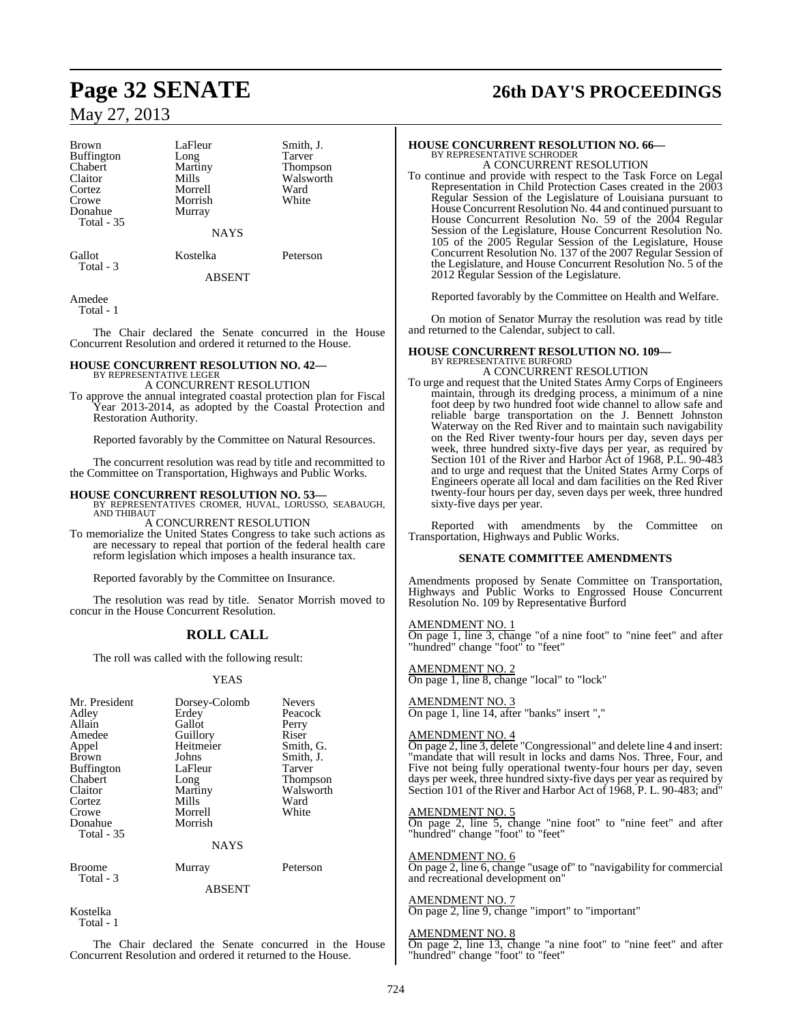| Brown             | LaFleur     | Smith  |
|-------------------|-------------|--------|
| <b>Buffington</b> | Long        | Tarver |
| Chabert           | Martiny     | Thom   |
| Claitor           | Mills       | Walsy  |
| Cortez            | Morrell     | Ward   |
| Crowe             | Morrish     | White  |
| Donahue           | Murray      |        |
| Total $-35$       |             |        |
|                   | <b>NAYS</b> |        |
|                   |             |        |

YS

Gallot Kostelka Peterson

Smith, J. Tarver Thompson Walsworth<br>Ward

ABSENT

Amedee Total - 1

Total - 3

The Chair declared the Senate concurred in the House Concurrent Resolution and ordered it returned to the House.

# **HOUSE CONCURRENT RESOLUTION NO. 42—** BY REPRESENTATIVE LEGER

A CONCURRENT RESOLUTION

To approve the annual integrated coastal protection plan for Fiscal Year 2013-2014, as adopted by the Coastal Protection and Restoration Authority.

Reported favorably by the Committee on Natural Resources.

The concurrent resolution was read by title and recommitted to the Committee on Transportation, Highways and Public Works.

**HOUSE CONCURRENT RESOLUTION NO. 53—** BY REPRESENTATIVES CROMER, HUVAL, LORUSSO, SEABAUGH, AND THIBAUT

A CONCURRENT RESOLUTION

To memorialize the United States Congress to take such actions as are necessary to repeal that portion of the federal health care reform legislation which imposes a health insurance tax.

Reported favorably by the Committee on Insurance.

The resolution was read by title. Senator Morrish moved to concur in the House Concurrent Resolution.

## **ROLL CALL**

The roll was called with the following result:

#### **YEAS**

| Mr. President<br>Adley<br>Allain<br>Amedee<br>Appel<br><b>Brown</b><br><b>Buffington</b><br>Chabert<br>Claitor<br>Cortez<br>Crowe<br>Donahue<br>Total - 35 | Dorsey-Colomb<br>Erdey<br>Gallot<br>Guillory<br>Heitmeier<br>Johns<br>LaFleur<br>Long<br>Martiny<br>Mills<br>Morrell<br>Morrish<br><b>NAYS</b> | <b>Nevers</b><br>Peacock<br>Perry<br>Riser<br>Smith, G.<br>Smith, J.<br><b>Tarver</b><br><b>Thompson</b><br>Walsworth<br>Ward<br>White |
|------------------------------------------------------------------------------------------------------------------------------------------------------------|------------------------------------------------------------------------------------------------------------------------------------------------|----------------------------------------------------------------------------------------------------------------------------------------|
| <b>Broome</b>                                                                                                                                              | Murray                                                                                                                                         | Peterson                                                                                                                               |
| Total - 3                                                                                                                                                  | ABSENT                                                                                                                                         |                                                                                                                                        |

Kostelka Total - 1

The Chair declared the Senate concurred in the House Concurrent Resolution and ordered it returned to the House.

# **Page 32 SENATE 26th DAY'S PROCEEDINGS**

# **HOUSE CONCURRENT RESOLUTION NO. 66—** BY REPRESENTATIVE SCHRODER

A CONCURRENT RESOLUTION

To continue and provide with respect to the Task Force on Legal Representation in Child Protection Cases created in the 2003 Regular Session of the Legislature of Louisiana pursuant to House Concurrent Resolution No. 44 and continued pursuant to House Concurrent Resolution No. 59 of the 2004 Regular Session of the Legislature, House Concurrent Resolution No. 105 of the 2005 Regular Session of the Legislature, House Concurrent Resolution No. 137 of the 2007 Regular Session of the Legislature, and House Concurrent Resolution No. 5 of the 2012 Regular Session of the Legislature.

Reported favorably by the Committee on Health and Welfare.

On motion of Senator Murray the resolution was read by title and returned to the Calendar, subject to call.

## **HOUSE CONCURRENT RESOLUTION NO. 109—** BY REPRESENTATIVE BURFORD A CONCURRENT RESOLUTION

To urge and request that the United States Army Corps of Engineers maintain, through its dredging process, a minimum of a nine foot deep by two hundred foot wide channel to allow safe and reliable barge transportation on the J. Bennett Johnston Waterway on the Red River and to maintain such navigability on the Red River twenty-four hours per day, seven days per week, three hundred sixty-five days per year, as required by Section 101 of the River and Harbor Act of 1968, P.L. 90-483 and to urge and request that the United States Army Corps of Engineers operate all local and dam facilities on the Red River twenty-four hours per day, seven days per week, three hundred sixty-five days per year.

Reported with amendments by the Committee on Transportation, Highways and Public Works.

#### **SENATE COMMITTEE AMENDMENTS**

Amendments proposed by Senate Committee on Transportation, Highways and Public Works to Engrossed House Concurrent Resolution No. 109 by Representative Burford

#### AMENDMENT NO. 1

On page 1, line 3, change "of a nine foot" to "nine feet" and after "hundred" change "foot" to "feet"

AMENDMENT NO. 2 On page 1, line 8, change "local" to "lock"

AMENDMENT NO. 3 On page 1, line 14, after "banks" insert ","

#### AMENDMENT NO. 4

On page 2, line 3, delete "Congressional" and delete line 4 and insert: "mandate that will result in locks and dams Nos. Three, Four, and Five not being fully operational twenty-four hours per day, seven days per week, three hundred sixty-five days per year as required by Section 101 of the River and Harbor Act of 1968, P. L. 90-483; and"

#### AMENDMENT NO. 5

On page 2, line 5, change "nine foot" to "nine feet" and after "hundred" change "foot" to "feet"

## AMENDMENT NO. 6

On page 2, line 6, change "usage of" to "navigability for commercial and recreational development on"

### AMENDMENT NO. 7

On page 2, line 9, change "import" to "important"

#### AMENDMENT NO. 8

On page 2, line 13, change "a nine foot" to "nine feet" and after "hundred" change "foot" to "feet"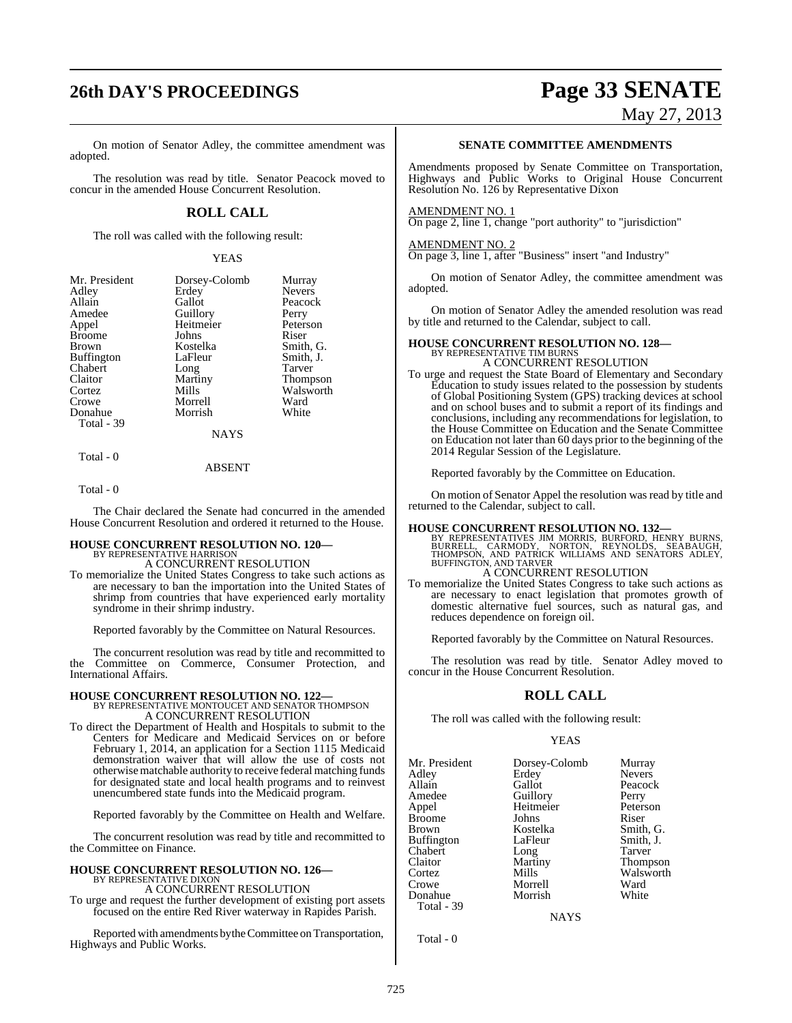# **26th DAY'S PROCEEDINGS Page 33 SENATE**

#### On motion of Senator Adley, the committee amendment was adopted.

The resolution was read by title. Senator Peacock moved to concur in the amended House Concurrent Resolution.

### **ROLL CALL**

The roll was called with the following result:

YEAS

| Mr. President     | Dorsey-Colomb | Murray          |
|-------------------|---------------|-----------------|
| Adley             | Erdey         | <b>Nevers</b>   |
| Allain            | Gallot        | Peacock         |
| Amedee            | Guillory      | Perry           |
| Appel             | Heitmeier     | Peterson        |
| <b>Broome</b>     | Johns         | Riser           |
| Brown             | Kostelka      | Smith, G.       |
| <b>Buffington</b> | LaFleur       | Smith, J.       |
| Chabert           | Long          | Tarver          |
| Claitor           | Martiny       | <b>Thompson</b> |
| Cortez            | Mills         | Walsworth       |
| Crowe             | Morrell       | Ward            |
| Donahue           | Morrish       | White           |
| Total - 39        |               |                 |
|                   | <b>NAYS</b>   |                 |

Total - 0

Total - 0

The Chair declared the Senate had concurred in the amended House Concurrent Resolution and ordered it returned to the House.

ABSENT

#### **HOUSE CONCURRENT RESOLUTION NO. 120—** BY REPRESENTATIVE HARRISON

A CONCURRENT RESOLUTION

To memorialize the United States Congress to take such actions as are necessary to ban the importation into the United States of shrimp from countries that have experienced early mortality syndrome in their shrimp industry.

Reported favorably by the Committee on Natural Resources.

The concurrent resolution was read by title and recommitted to the Committee on Commerce, Consumer Protection, and International Affairs.

## **HOUSE CONCURRENT RESOLUTION NO. 122—** BY REPRESENTATIVE MONTOUCET AND SENATOR THOMPSON A CONCURRENT RESOLUTION

To direct the Department of Health and Hospitals to submit to the Centers for Medicare and Medicaid Services on or before February 1, 2014, an application for a Section 1115 Medicaid demonstration waiver that will allow the use of costs not otherwisematchable authority to receive federal matching funds for designated state and local health programs and to reinvest unencumbered state funds into the Medicaid program.

Reported favorably by the Committee on Health and Welfare.

The concurrent resolution was read by title and recommitted to the Committee on Finance.

#### **HOUSE CONCURRENT RESOLUTION NO. 126—** BY REPRESENTATIVE DIXON

A CONCURRENT RESOLUTION

To urge and request the further development of existing port assets focused on the entire Red River waterway in Rapides Parish.

Reported with amendments by the Committee on Transportation, Highways and Public Works.

### **SENATE COMMITTEE AMENDMENTS**

Amendments proposed by Senate Committee on Transportation, Highways and Public Works to Original House Concurrent Resolution No. 126 by Representative Dixon

#### AMENDMENT NO. 1

On page 2, line 1, change "port authority" to "jurisdiction"

#### AMENDMENT NO. 2

On page 3, line 1, after "Business" insert "and Industry"

On motion of Senator Adley, the committee amendment was adopted.

On motion of Senator Adley the amended resolution was read by title and returned to the Calendar, subject to call.

# **HOUSE CONCURRENT RESOLUTION NO. 128—** BY REPRESENTATIVE TIM BURNS

- A CONCURRENT RESOLUTION To urge and request the State Board of Elementary and Secondary Education to study issues related to the possession by students
	- of Global Positioning System (GPS) tracking devices at school and on school buses and to submit a report of its findings and conclusions, including any recommendations for legislation, to the House Committee on Education and the Senate Committee on Education not later than 60 days prior to the beginning of the 2014 Regular Session of the Legislature.

Reported favorably by the Committee on Education.

On motion of Senator Appel the resolution was read by title and returned to the Calendar, subject to call.

**HOUSE CONCURRENT RESOLUTION NO. 132—**<br>BY REPRESENTATIVES JIM MORRIS, BURFORD, HENRY BURNS,<br>BURRELL, CARMODY, NORTON, REYNOLDS, SEABAUGH,<br>THOMPSON, AND PATRICK WILLIAMS AND SENATORS ADLEY,<br>BUFFINGTON, AND TARVER A CONCURRENT RESOLUTION

To memorialize the United States Congress to take such actions as are necessary to enact legislation that promotes growth of domestic alternative fuel sources, such as natural gas, and reduces dependence on foreign oil.

Reported favorably by the Committee on Natural Resources.

The resolution was read by title. Senator Adley moved to concur in the House Concurrent Resolution.

## **ROLL CALL**

The roll was called with the following result:

#### YEAS

| Mr. President | Dorsey-Colomb | Murray          |
|---------------|---------------|-----------------|
| Adley         | Erdey         | <b>Nevers</b>   |
| Allain        | Gallot        | Peacock         |
| Amedee        | Guillory      | Perry           |
| Appel         | Heitmeier     | Peterson        |
| Broome        | Johns         | Riser           |
| Brown         | Kostelka      | Smith, G.       |
| Buffington    | LaFleur       | Smith, J.       |
| Chabert       | Long          | Tarver          |
| Claitor       | Martiny       | <b>Thompson</b> |
| Cortez        | Mills         | Walsworth       |
| Crowe         | Morrell       | Ward            |
| Donahue       | Morrish       | White           |
| Total - 39    |               |                 |

**NAYS** 

Total - 0

# May 27, 2013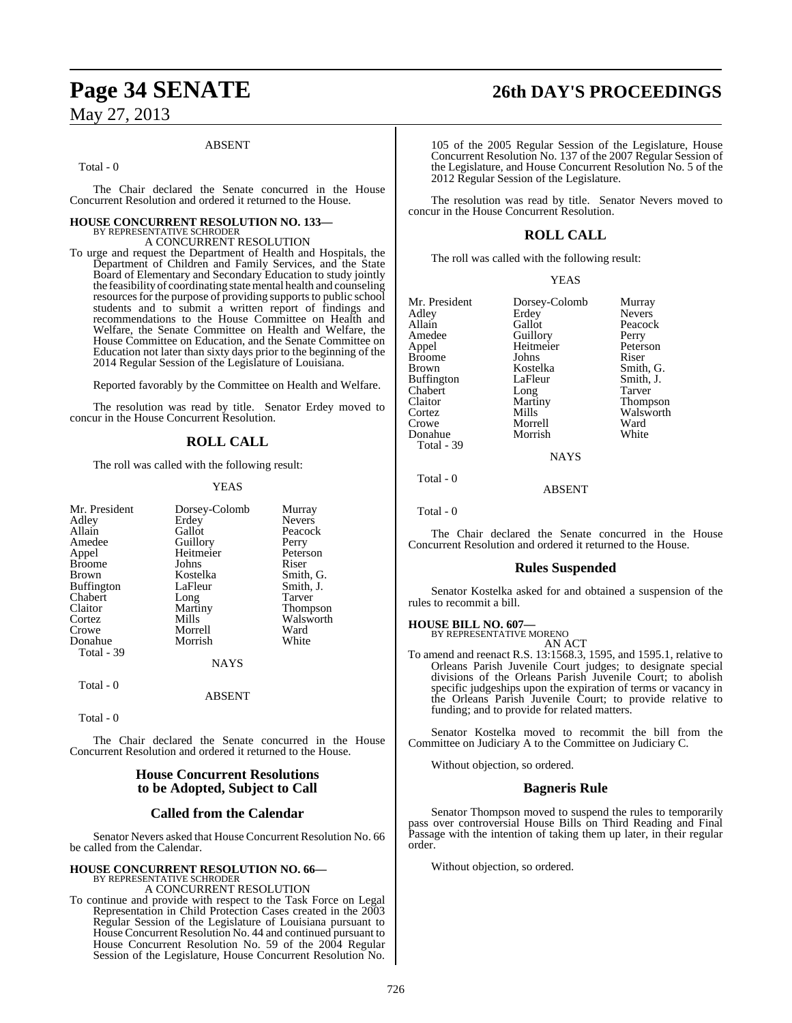#### ABSENT

Total - 0

The Chair declared the Senate concurred in the House Concurrent Resolution and ordered it returned to the House.

#### **HOUSE CONCURRENT RESOLUTION NO. 133—** BY REPRESENTATIVE SCHRODER

A CONCURRENT RESOLUTION

To urge and request the Department of Health and Hospitals, the Department of Children and Family Services, and the State Board of Elementary and Secondary Education to study jointly the feasibility of coordinating statemental health and counseling resources for the purpose of providing supports to public school students and to submit a written report of findings and recommendations to the House Committee on Health and Welfare, the Senate Committee on Health and Welfare, the House Committee on Education, and the Senate Committee on Education not later than sixty days prior to the beginning of the 2014 Regular Session of the Legislature of Louisiana.

Reported favorably by the Committee on Health and Welfare.

The resolution was read by title. Senator Erdey moved to concur in the House Concurrent Resolution.

## **ROLL CALL**

The roll was called with the following result:

#### YEAS

| Mr. President     | Dorsey-Colomb | Murray          |
|-------------------|---------------|-----------------|
| Adley             | Erdey         | <b>Nevers</b>   |
| Allain            | Gallot        | Peacock         |
| Amedee            | Guillory      | Perry           |
| Appel             | Heitmeier     | Peterson        |
| <b>Broome</b>     | Johns         | Riser           |
| Brown             | Kostelka      | Smith, G.       |
| <b>Buffington</b> | LaFleur       | Smith, J.       |
| Chabert           | Long          | Tarver          |
| Claitor           | Martiny       | <b>Thompson</b> |
| Cortez            | Mills         | Walsworth       |
| Crowe             | Morrell       | Ward            |
| Donahue           | Morrish       | White           |
| Total - 39        |               |                 |
|                   | <b>NAYS</b>   |                 |
| Total - 0         |               |                 |

ABSENT

Total - 0

The Chair declared the Senate concurred in the House Concurrent Resolution and ordered it returned to the House.

### **House Concurrent Resolutions to be Adopted, Subject to Call**

#### **Called from the Calendar**

Senator Nevers asked that House Concurrent Resolution No. 66 be called from the Calendar.

#### **HOUSE CONCURRENT RESOLUTION NO. 66—** BY REPRESENTATIVE SCHRODER

A CONCURRENT RESOLUTION

To continue and provide with respect to the Task Force on Legal Representation in Child Protection Cases created in the 2003 Regular Session of the Legislature of Louisiana pursuant to House Concurrent Resolution No. 44 and continued pursuant to House Concurrent Resolution No. 59 of the 2004 Regular Session of the Legislature, House Concurrent Resolution No.

# **Page 34 SENATE 26th DAY'S PROCEEDINGS**

105 of the 2005 Regular Session of the Legislature, House Concurrent Resolution No. 137 of the 2007 Regular Session of the Legislature, and House Concurrent Resolution No. 5 of the 2012 Regular Session of the Legislature.

The resolution was read by title. Senator Nevers moved to concur in the House Concurrent Resolution.

## **ROLL CALL**

The roll was called with the following result:

|  | v |
|--|---|
|--|---|

| Mr. President | Dorsey-Colomb | Murray          |
|---------------|---------------|-----------------|
| Adlev         | Erdey         | <b>Nevers</b>   |
| Allain        | Gallot        | Peacock         |
| Amedee        | Guillory      | Perry           |
| Appel         | Heitmeier     | Peterson        |
| Broome        | Johns         | Riser           |
| Brown         | Kostelka      | Smith, G.       |
| Buffington    | LaFleur       | Smith, J.       |
| Chabert       | Long          | Tarver          |
| Claitor       | Martiny       | <b>Thompson</b> |
| Cortez        | Mills         | Walsworth       |
| Crowe         | Morrell       | Ward            |
| Donahue       | Morrish       | White           |
| Total - 39    |               |                 |
|               | <b>NAYS</b>   |                 |
|               |               |                 |

Total - 0

Total - 0

The Chair declared the Senate concurred in the House Concurrent Resolution and ordered it returned to the House.

ABSENT

### **Rules Suspended**

Senator Kostelka asked for and obtained a suspension of the rules to recommit a bill.

#### **HOUSE BILL NO. 607—**

BY REPRESENTATIVE MORENO

AN ACT To amend and reenact R.S. 13:1568.3, 1595, and 1595.1, relative to Orleans Parish Juvenile Court judges; to designate special divisions of the Orleans Parish Juvenile Court; to abolish specific judgeships upon the expiration of terms or vacancy in the Orleans Parish Juvenile Court; to provide relative to funding; and to provide for related matters.

Senator Kostelka moved to recommit the bill from the Committee on Judiciary A to the Committee on Judiciary C.

Without objection, so ordered.

#### **Bagneris Rule**

Senator Thompson moved to suspend the rules to temporarily pass over controversial House Bills on Third Reading and Final Passage with the intention of taking them up later, in their regular order.

Without objection, so ordered.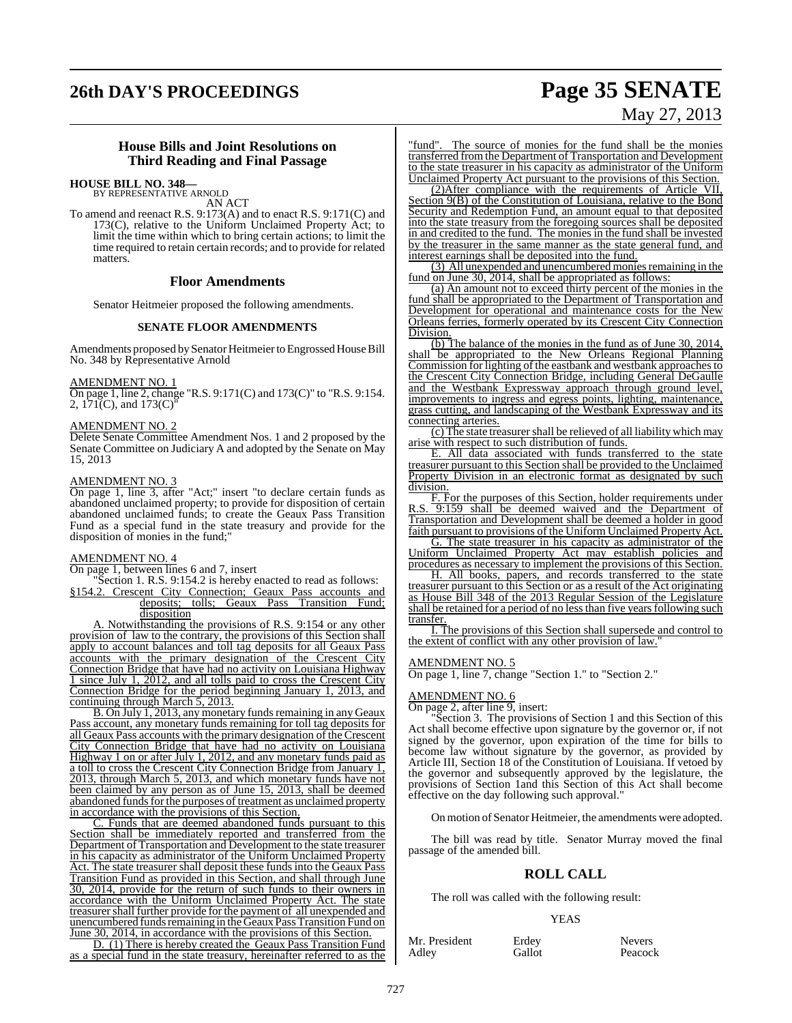# **26th DAY'S PROCEEDINGS Page 35 SENATE**

# May 27, 2013

#### **House Bills and Joint Resolutions on Third Reading and Final Passage**

#### **HOUSE BILL NO. 348—**

BY REPRESENTATIVE ARNOLD AN ACT

To amend and reenact R.S. 9:173(A) and to enact R.S. 9:171(C) and 173(C), relative to the Uniform Unclaimed Property Act; to limit the time within which to bring certain actions; to limit the time required to retain certain records; and to provide for related matters.

#### **Floor Amendments**

Senator Heitmeier proposed the following amendments.

#### **SENATE FLOOR AMENDMENTS**

Amendments proposed bySenator Heitmeier to Engrossed House Bill No. 348 by Representative Arnold

#### AMENDMENT NO. 1

On page 1, line 2, change "R.S. 9:171(C) and 173(C)" to "R.S. 9:154. 2,  $171(C)$ , and  $173(C)$ <sup>"</sup>

#### AMENDMENT NO. 2

Delete Senate Committee Amendment Nos. 1 and 2 proposed by the Senate Committee on Judiciary A and adopted by the Senate on May 15, 2013

#### AMENDMENT NO. 3

On page 1, line 3, after "Act;" insert "to declare certain funds as abandoned unclaimed property; to provide for disposition of certain abandoned unclaimed funds; to create the Geaux Pass Transition Fund as a special fund in the state treasury and provide for the disposition of monies in the fund;"

#### AMENDMENT NO. 4

On page 1, between lines 6 and 7, insert

Section 1. R.S. 9:154.2 is hereby enacted to read as follows: §154.2. Crescent City Connection; Geaux Pass accounts and deposits; tolls; Geaux Pass Transition Fund; disposition

A. Notwithstanding the provisions of R.S. 9:154 or any other provision of law to the contrary, the provisions of this Section shall apply to account balances and toll tag deposits for all Geaux Pass accounts with the primary designation of the Crescent City Connection Bridge that have had no activity on Louisiana Highway 1 since July 1, 2012, and all tolls paid to cross the Crescent City Connection Bridge for the period beginning January 1, 2013, and continuing through March 5, 2013.

B. On July 1, 2013, any monetary funds remaining in any Geaux Pass account, any monetary funds remaining for toll tag deposits for all Geaux Pass accounts with the primary designation of the Crescent City Connection Bridge that have had no activity on Louisiana Highway 1 on or after July 1, 2012, and any monetary funds paid as a toll to cross the Crescent City Connection Bridge from January 1, 2013, through March 5, 2013, and which monetary funds have not been claimed by any person as of June 15, 2013, shall be deemed abandoned funds for the purposes of treatment as unclaimed property in accordance with the provisions of this Section.

C. Funds that are deemed abandoned funds pursuant to this Section shall be immediately reported and transferred from the Department of Transportation and Development to the state treasurer in his capacity as administrator of the Uniform Unclaimed Property Act. The state treasurer shall deposit these funds into the Geaux Pass Transition Fund as provided in this Section, and shall through June 30, 2014, provide for the return of such funds to their owners in accordance with the Uniform Unclaimed Property Act. The state treasurer shall further provide for the payment of all unexpended and unencumbered funds remaining in the Geaux Pass Transition Fund on June 30, 2014, in accordance with the provisions of this Section.

D. (1) There is hereby created the Geaux Pass Transition Fund as a special fund in the state treasury, hereinafter referred to as the

"fund". The source of monies for the fund shall be the monies transferred fromthe Department of Transportation and Development to the state treasurer in his capacity as administrator of the Uniform Unclaimed Property Act pursuant to the provisions of this Section.

(2)After compliance with the requirements of Article VII, Section 9(B) of the Constitution of Louisiana, relative to the Bond Security and Redemption Fund, an amount equal to that deposited into the state treasury from the foregoing sources shall be deposited in and credited to the fund. The monies in the fund shall be invested by the treasurer in the same manner as the state general fund, and interest earnings shall be deposited into the fund.

(3) All unexpended and unencumbered monies remaining in the fund on June 30, 2014, shall be appropriated as follows:

(a) An amount not to exceed thirty percent of the monies in the fund shall be appropriated to the Department of Transportation and Development for operational and maintenance costs for the New Orleans ferries, formerly operated by its Crescent City Connection Division.

 $\overline{(b)}$  The balance of the monies in the fund as of June 30, 2014, shall be appropriated to the New Orleans Regional Planning Commission for lighting of the eastbank and westbank approaches to the Crescent City Connection Bridge, including General DeGaulle and the Westbank Expressway approach through ground level, improvements to ingress and egress points, lighting, maintenance, grass cutting, and landscaping of the Westbank Expressway and its connecting arteries.

(c) The state treasurershall be relieved of all liability which may arise with respect to such distribution of funds.

E. All data associated with funds transferred to the state treasurer pursuant to this Section shall be provided to the Unclaimed Property Division in an electronic format as designated by such division.

F. For the purposes of this Section, holder requirements under R.S. 9:159 shall be deemed waived and the Department of Transportation and Development shall be deemed a holder in good faith pursuant to provisions of the Uniform Unclaimed Property Act.

G. The state treasurer in his capacity as administrator of the Uniform Unclaimed Property Act may establish policies and procedures as necessary to implement the provisions of this Section.

H. All books, papers, and records transferred to the state treasurer pursuant to this Section or as a result of the Act originating as House Bill 348 of the 2013 Regular Session of the Legislature shall be retained for a period of no less than five years following such transfer.

I. The provisions of this Section shall supersede and control to the extent of conflict with any other provision of law.

#### AMENDMENT NO. 5

On page 1, line 7, change "Section 1." to "Section 2."

#### AMENDMENT NO. 6

On page 2, after line 9, insert:

"Section 3. The provisions of Section 1 and this Section of this Act shall become effective upon signature by the governor or, if not signed by the governor, upon expiration of the time for bills to become law without signature by the governor, as provided by Article III, Section 18 of the Constitution of Louisiana. If vetoed by the governor and subsequently approved by the legislature, the provisions of Section 1and this Section of this Act shall become effective on the day following such approval."

On motion of Senator Heitmeier, the amendments were adopted.

The bill was read by title. Senator Murray moved the final passage of the amended bill.

#### **ROLL CALL**

The roll was called with the following result:

#### YEAS

Mr. President Erdey Nevers<br>
Adley Gallot Peacoc

Peacock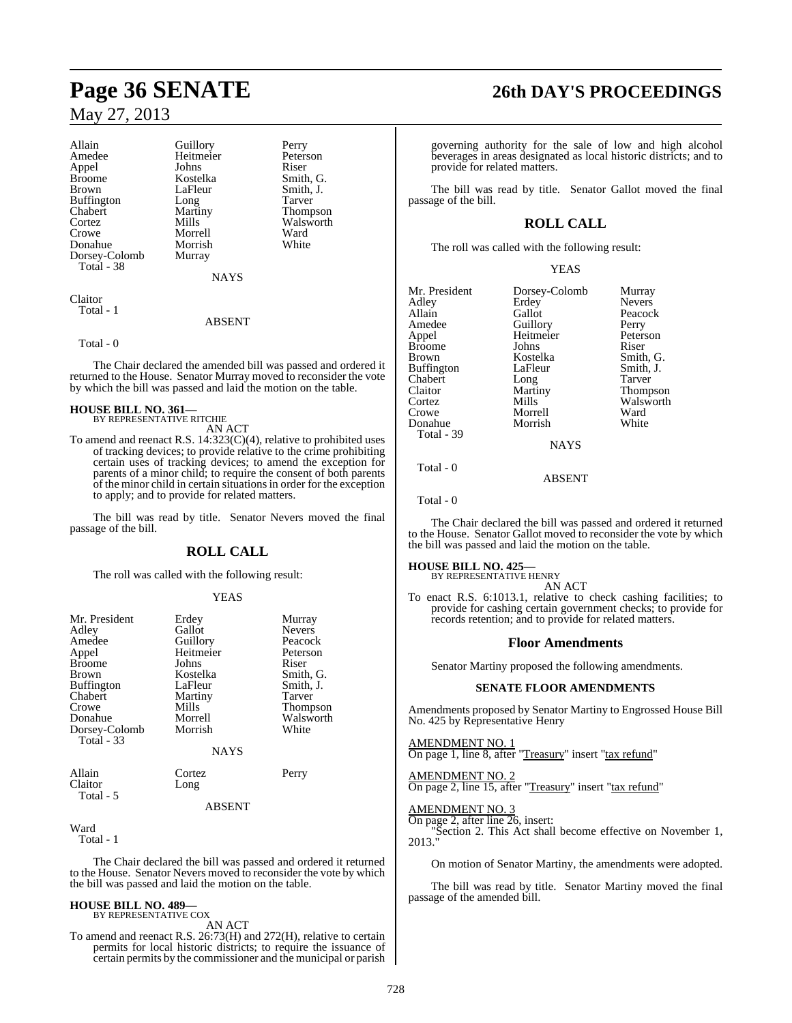| Allain        | Guillory    | Perry     |
|---------------|-------------|-----------|
| Amedee        | Heitmeier   | Peterson  |
| Appel         | Johns       | Riser     |
| Broome        | Kostelka    | Smith, G. |
| Brown         | LaFleur     | Smith, J. |
| Buffington    | Long        | Tarver    |
| Chabert       | Martiny     | Thompson  |
| Cortez        | Mills       | Walsworth |
| Crowe         | Morrell     | Ward      |
| Donahue       | Morrish     | White     |
| Dorsey-Colomb | Murray      |           |
| Total - 38    |             |           |
|               | <b>NAYS</b> |           |
|               |             |           |

Claitor Total - 1

#### ABSENT

#### Total - 0

The Chair declared the amended bill was passed and ordered it returned to the House. Senator Murray moved to reconsider the vote by which the bill was passed and laid the motion on the table.

#### **HOUSE BILL NO. 361—**

BY REPRESENTATIVE RITCHIE AN ACT

To amend and reenact R.S. 14:323(C)(4), relative to prohibited uses of tracking devices; to provide relative to the crime prohibiting certain uses of tracking devices; to amend the exception for parents of a minor child; to require the consent of both parents of the minor child in certain situationsin order for the exception to apply; and to provide for related matters.

The bill was read by title. Senator Nevers moved the final passage of the bill.

## **ROLL CALL**

The roll was called with the following result:

#### YEAS

| Mr. President<br>Adley<br>Amedee<br>Appel<br><b>Broome</b><br><b>Brown</b><br><b>Buffington</b><br>Chabert<br>Crowe<br>Donahue<br>Dorsey-Colomb | Erdey<br>Gallot<br>Guillory<br>Heitmeier<br>Johns<br>Kostelka<br>LaFleur<br>Martiny<br>Mills<br>Morrell<br>Morrish | Murray<br><b>Nevers</b><br>Peacock<br>Peterson<br>Riser<br>Smith, G.<br>Smith, J.<br>Tarver<br><b>Thompson</b><br>Walsworth<br>White |
|-------------------------------------------------------------------------------------------------------------------------------------------------|--------------------------------------------------------------------------------------------------------------------|--------------------------------------------------------------------------------------------------------------------------------------|
| Total - 33                                                                                                                                      | <b>NAYS</b>                                                                                                        |                                                                                                                                      |
| Allain<br>Claitor<br>Total - 5                                                                                                                  | Cortez<br>Long<br>ABSENT                                                                                           | Perry                                                                                                                                |

Ward

Total - 1

The Chair declared the bill was passed and ordered it returned to the House. Senator Nevers moved to reconsider the vote by which the bill was passed and laid the motion on the table.

#### **HOUSE BILL NO. 489—** BY REPRESENTATIVE COX

AN ACT

To amend and reenact R.S. 26:73(H) and 272(H), relative to certain permits for local historic districts; to require the issuance of certain permits by the commissioner and the municipal or parish

# **Page 36 SENATE 26th DAY'S PROCEEDINGS**

governing authority for the sale of low and high alcohol beverages in areas designated as local historic districts; and to provide for related matters.

The bill was read by title. Senator Gallot moved the final passage of the bill.

## **ROLL CALL**

The roll was called with the following result:

#### YEAS

| Mr. President     | Dorsey-Colomb | Murray        |
|-------------------|---------------|---------------|
| Adley             | Erdey         | <b>Nevers</b> |
| Allain            | Gallot        | Peacock       |
| Amedee            | Guillory      | Perry         |
| Appel             | Heitmeier     | Peterson      |
| <b>Broome</b>     | Johns         | Riser         |
| <b>Brown</b>      | Kostelka      | Smith, G.     |
| <b>Buffington</b> | LaFleur       | Smith, J.     |
| Chabert           | Long          | <b>Tarver</b> |
| Claitor           | Martiny       | Thompson      |
| Cortez            | Mills         | Walsworth     |
| Crowe             | Morrell       | Ward          |
| Donahue           | Morrish       | White         |
| Total - 39        |               |               |
|                   | NAVS          |               |

NAYS

ABSENT

Total - 0

Total - 0

The Chair declared the bill was passed and ordered it returned to the House. Senator Gallot moved to reconsider the vote by which the bill was passed and laid the motion on the table.

**HOUSE BILL NO. 425—** BY REPRESENTATIVE HENRY AN ACT

To enact R.S. 6:1013.1, relative to check cashing facilities; to provide for cashing certain government checks; to provide for records retention; and to provide for related matters.

#### **Floor Amendments**

Senator Martiny proposed the following amendments.

#### **SENATE FLOOR AMENDMENTS**

Amendments proposed by Senator Martiny to Engrossed House Bill No. 425 by Representative Henry

AMENDMENT NO. 1 On page 1, line 8, after "Treasury" insert "tax refund"

AMENDMENT NO. 2 On page 2, line 15, after "Treasury" insert "tax refund"

#### AMENDMENT NO. 3

On page 2, after line 26, insert: "Section 2. This Act shall become effective on November 1, 2013."

On motion of Senator Martiny, the amendments were adopted.

The bill was read by title. Senator Martiny moved the final passage of the amended bill.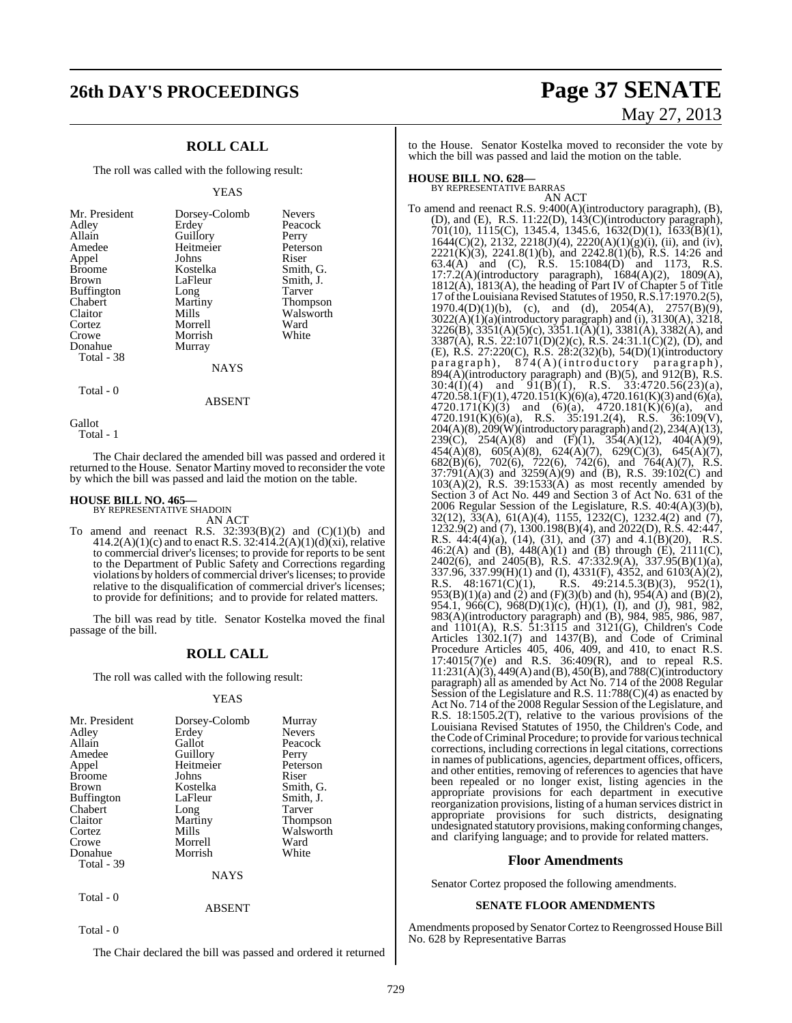# **26th DAY'S PROCEEDINGS Page 37 SENATE**

## **ROLL CALL**

The roll was called with the following result:

#### YEAS

| Mr. President<br>Adley<br>Allain<br>Amedee<br>Appel<br><b>Broome</b><br><b>Brown</b><br><b>Buffington</b><br>Chabert<br>Claitor<br>Cortez | Dorsey-Colomb<br>Erdey<br>Guillory<br>Heitmeier<br>Johns<br>Kostelka<br>LaFleur<br>Long<br>Martiny<br>Mills<br>Morrell | <b>Nevers</b><br>Peacock<br>Perry<br>Peterson<br>Riser<br>Smith, G.<br>Smith, J.<br>Tarver<br><b>Thompson</b><br>Walsworth<br>Ward |
|-------------------------------------------------------------------------------------------------------------------------------------------|------------------------------------------------------------------------------------------------------------------------|------------------------------------------------------------------------------------------------------------------------------------|
|                                                                                                                                           |                                                                                                                        |                                                                                                                                    |
| Crowe<br>Donahue                                                                                                                          | Morrish                                                                                                                | White                                                                                                                              |
| Total - 38                                                                                                                                | Murray<br>NAYS                                                                                                         |                                                                                                                                    |

Total - 0

Gallot

Total - 1

The Chair declared the amended bill was passed and ordered it returned to the House. Senator Martiny moved to reconsider the vote by which the bill was passed and laid the motion on the table.

ABSENT

# **HOUSE BILL NO. 465—** BY REPRESENTATIVE SHADOIN

AN ACT

To amend and reenact R.S.  $32:393(B)(2)$  and  $(C)(1)(b)$  and  $414.2(A)(1)(c)$  and to enact R.S. 32:414.2(A)(1)(d)(xi), relative to commercial driver's licenses; to provide for reports to be sent to the Department of Public Safety and Corrections regarding violations by holders of commercial driver'slicenses; to provide relative to the disqualification of commercial driver's licenses; to provide for definitions; and to provide for related matters.

The bill was read by title. Senator Kostelka moved the final passage of the bill.

### **ROLL CALL**

The roll was called with the following result:

#### YEAS

| Mr. President     | Dorsey-Colomb | Murray          |
|-------------------|---------------|-----------------|
| Adley             | Erdey         | <b>Nevers</b>   |
| Allain            | Gallot        | Peacock         |
| Amedee            | Guillory      | Perry           |
| Appel             | Heitmeier     | Peterson        |
| <b>Broome</b>     | Johns         | Riser           |
| Brown             | Kostelka      | Smith, G.       |
| <b>Buffington</b> | LaFleur       | Smith, J.       |
| Chabert           | Long          | <b>Tarver</b>   |
| Claitor           | Martiny       | <b>Thompson</b> |
| Cortez            | Mills         | Walsworth       |
| Crowe             | Morrell       | Ward            |
| Donahue           | Morrish       | White           |
| Total - 39        |               |                 |
|                   | NAYS          |                 |
|                   |               |                 |

ABSENT

Total - 0

Total - 0

The Chair declared the bill was passed and ordered it returned

# May 27, 2013

to the House. Senator Kostelka moved to reconsider the vote by which the bill was passed and laid the motion on the table.

# **HOUSE BILL NO. 628—** BY REPRESENTATIVE BARRAS

AN ACT To amend and reenact R.S. 9:400(A)(introductory paragraph), (B), (D), and (E), R.S. 11:22(D), 143(C)(introductory paragraph), 701(10), 1115(C), 1345.4, 1345.6, 1632(D)(1), 1633(B)(1),  $1644(\text{C})(2)$ ,  $2132$ ,  $2218(\text{J})(4)$ ,  $2220(\text{A})(1)(\text{g})(i)$ , (ii), and (iv),  $2221(K)(3)$ ,  $2241.8(1)(b)$ , and  $2242.8(1)(b)$ , R.S. 14:26 and 63.4(A) and (C), R.S. 15:1084(D) and 1173, R.S. 17:7.2(A)(introductory paragraph), 1684(A)(2), 1809(A), 1812(A), 1813(A), the heading of Part IV of Chapter 5 of Title 17 of the Louisiana Revised Statutes of 1950, R.S.17:1970.2(5),  $1970.4(D)(1)(b)$ , (c), and (d),  $2054(A)$ ,  $2757(B)(9)$ , 3022(A)(1)(a)(introductory paragraph) and (i), 3130(A), 3218, 3226(B), 3351(A)(5)(c), 3351.1(A)(1), 3381(A), 3382(A), and 3387(A), R.S. 22:1071(D)(2)(c), R.S. 24:31.1(C)(2), (D), and (E), R.S. 27:220(C), R.S. 28:2(32)(b), 54(D)(1)(introductory paragraph), 874(A)(introductory paragraph),  $894(A)$ (introductory paragraph) and (B)(5), and 912(B), R.S.  $30:4(I)(4)$  and  $9I(B)(1)$ , R.S.  $33:4720.56(23)(a)$ ,  $4720.58.1(F)(1)$ ,  $4720.151(K)(6)(a)$ ,  $4720.161(K)(3)$  and (6)(a),  $4720.171(K)(3)$  and  $(6)(a)$ ,  $4720.181(K)(6)(a)$ , and 4720.191(K)(6)(a), R.S. 35:191.2(4), R.S. 36:109(V), 204(A)(8), 209(W)(introductory paragraph) and (2), 234(A)(13), 239(C), 254(A)(8) and (F)(1), 354(A)(12), 404(A)(9),  $454(A)(8)$ ,  $605(A)(8)$ ,  $624(A)(7)$ ,  $629(C)(3)$ ,  $645(A)(7)$ , 682(B)(6), 702(6), 722(6), 742(6), and 764(A)(7), R.S.  $37:791(A)(3)$  and  $3259(A)(9)$  and (B), R.S. 39:102(C) and  $103(A)(2)$ , R.S.  $39:1533(A)$  as most recently amended by Section 3 of Act No. 449 and Section 3 of Act No. 631 of the 2006 Regular Session of the Legislature, R.S. 40:4(A)(3)(b), 32(12), 33(A), 61(A)(4), 1155, 1232(C), 1232.4(2) and (7), 1232.9(2) and (7), 1300.198(B)(4), and 2022(D), R.S. 42:447, R.S.  $44:4(4)(a)$ ,  $(14)$ ,  $(31)$ , and  $(37)$  and  $4.1(B)(20)$ , R.S. 46:2(A) and (B), 448(A)(1) and (B) through (E), 2111(C), 2402(6), and 2405(B), R.S. 47:332.9(A), 337.95(B)(1)(a), 337.96, 337.99(H)(1) and (I), 4331(F), 4352, and 6103(A)(2), R.S.  $48:1671(C)(1)$ , R.S.  $49:214.5.3(B)(3)$ ,  $952(1)$ ,  $953(B)(1)(a)$  and  $(2)$  and  $(F)(3)(b)$  and  $(h)$ ,  $954(A)$  and  $(B)(2)$ , 954.1, 966(C), 968(D)(1)(c), (H)(1), (I), and (J), 981, 982, 983(A)(introductory paragraph) and (B), 984, 985, 986, 987, and 1101(A), R.S. 51:3115 and 3121(G), Children's Code Articles 1302.1(7) and 1437(B), and Code of Criminal Procedure Articles 405, 406, 409, and 410, to enact R.S. 17:4015(7)(e) and R.S. 36:409(R), and to repeal R.S. 11:231(A)(3), 449(A) and (B), 450(B), and 788(C)(introductory paragraph) all as amended by Act No. 714 of the 2008 Regular Session of the Legislature and R.S. 11:788(C)(4) as enacted by Act No. 714 of the 2008 Regular Session of the Legislature, and R.S. 18:1505.2(T), relative to the various provisions of the Louisiana Revised Statutes of 1950, the Children's Code, and the Code of Criminal Procedure; to provide for various technical corrections, including corrections in legal citations, corrections in names of publications, agencies, department offices, officers, and other entities, removing of references to agencies that have been repealed or no longer exist, listing agencies in the appropriate provisions for each department in executive reorganization provisions, listing of a human services district in appropriate provisions for such districts, designating undesignated statutory provisions,making conforming changes, and clarifying language; and to provide for related matters.

#### **Floor Amendments**

Senator Cortez proposed the following amendments.

#### **SENATE FLOOR AMENDMENTS**

Amendments proposed by Senator Cortez to Reengrossed House Bill No. 628 by Representative Barras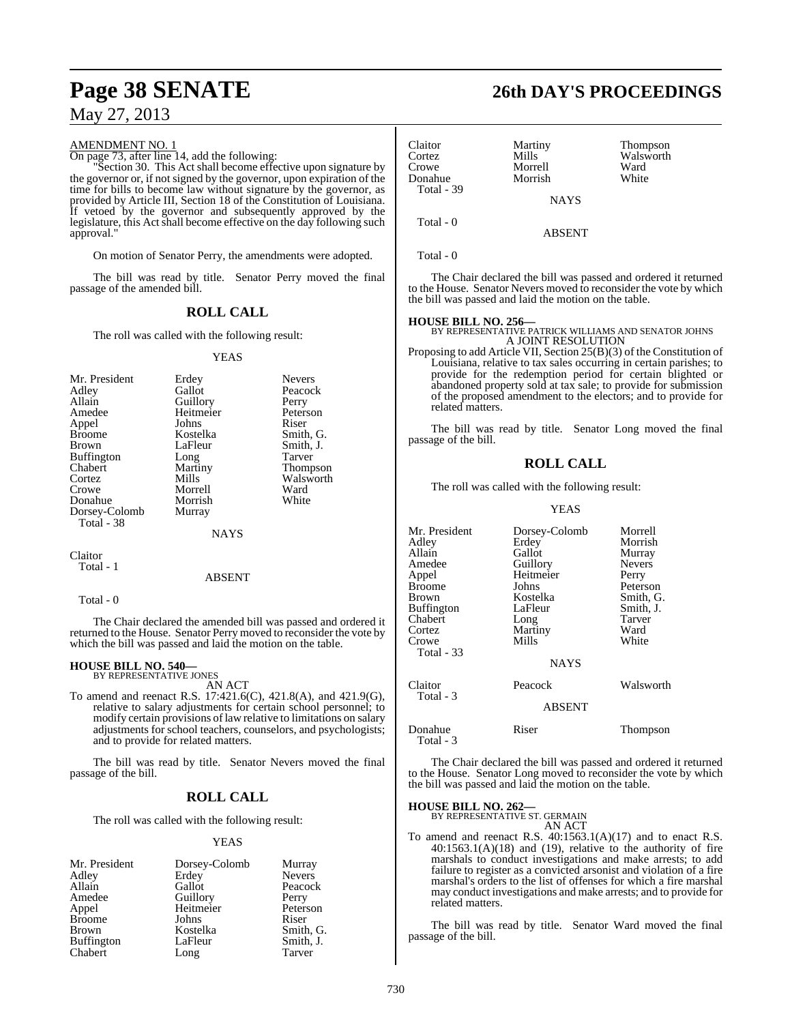#### AMENDMENT NO. 1

On page 73, after line 14, add the following:

"Section 30. This Act shall become effective upon signature by the governor or, if not signed by the governor, upon expiration of the time for bills to become law without signature by the governor, as provided by Article III, Section 18 of the Constitution of Louisiana. If vetoed by the governor and subsequently approved by the legislature, this Act shall become effective on the day following such approval."

On motion of Senator Perry, the amendments were adopted.

The bill was read by title. Senator Perry moved the final passage of the amended bill.

### **ROLL CALL**

The roll was called with the following result:

#### YEAS

| Mr. President     | Erdey     | <b>Nevers</b>   |
|-------------------|-----------|-----------------|
| Adley             | Gallot    | Peacock         |
| Allain            | Guillory  | Perry           |
| Amedee            | Heitmeier | Peterson        |
| Appel             | Johns     | Riser           |
| <b>Broome</b>     | Kostelka  | Smith, G.       |
| Brown             | LaFleur   | Smith, J.       |
| <b>Buffington</b> | Long      | Tarver          |
| Chabert           | Martiny   | <b>Thompson</b> |
| Cortez            | Mills     | Walsworth       |
| Crowe             | Morrell   | Ward            |
| Donahue           | Morrish   | White           |
| Dorsey-Colomb     | Murray    |                 |
| Total - 38        |           |                 |
|                   | NAYS      |                 |

Claitor Total - 1

#### ABSENT

Total - 0

The Chair declared the amended bill was passed and ordered it returned to the House. Senator Perry moved to reconsider the vote by which the bill was passed and laid the motion on the table.

# **HOUSE BILL NO. 540—** BY REPRESENTATIVE JONES

AN ACT

To amend and reenact R.S. 17:421.6(C), 421.8(A), and 421.9(G), relative to salary adjustments for certain school personnel; to modify certain provisions of law relative to limitations on salary adjustments for school teachers, counselors, and psychologists; and to provide for related matters.

The bill was read by title. Senator Nevers moved the final passage of the bill.

#### **ROLL CALL**

The roll was called with the following result:

#### YEAS

| Mr. President     | Dorsey-Colomb | Murray        |
|-------------------|---------------|---------------|
| Adley             | Erdey         | <b>Nevers</b> |
| Allain            | Gallot        | Peacock       |
| Amedee            | Guillory      | Perry         |
| Appel             | Heitmeier     | Peterson      |
| <b>Broome</b>     | Johns         | Riser         |
| <b>Brown</b>      | Kostelka      | Smith, G.     |
| <b>Buffington</b> | LaFleur       | Smith, J.     |
| Chabert           | Long          | Tarver        |

# **Page 38 SENATE 26th DAY'S PROCEEDINGS**

| Claitor<br>Cortez<br>Crowe<br>Donahue | Martiny<br>Mills<br>Morrell<br>Morrish | Thompson<br>Walsworth<br>Ward<br>White |
|---------------------------------------|----------------------------------------|----------------------------------------|
| Total - 39                            | <b>NAYS</b>                            |                                        |
| Total - 0                             | <b>ABSENT</b>                          |                                        |

Total - 0

The Chair declared the bill was passed and ordered it returned to the House. Senator Nevers moved to reconsider the vote by which the bill was passed and laid the motion on the table.

**HOUSE BILL NO. 256—** BY REPRESENTATIVE PATRICK WILLIAMS AND SENATOR JOHNS A JOINT RESOLUTION

Proposing to add Article VII, Section 25(B)(3) of the Constitution of Louisiana, relative to tax sales occurring in certain parishes; to provide for the redemption period for certain blighted or abandoned property sold at tax sale; to provide for submission of the proposed amendment to the electors; and to provide for related matters.

The bill was read by title. Senator Long moved the final passage of the bill.

### **ROLL CALL**

The roll was called with the following result:

#### YEAS

| Mr. President        | Dorsey-Colomb | Morrell       |
|----------------------|---------------|---------------|
| Adlev                | Erdey         | Morrish       |
| Allain               | Gallot        | Murray        |
| Amedee               | Guillory      | <b>Nevers</b> |
| Appel                | Heitmeier     | Perry         |
| Broome               | Johns         | Peterson      |
| Brown                | Kostelka      | Smith, G.     |
| Buffington           | LaFleur       | Smith, J.     |
| Chabert              | Long          | Tarver        |
| Cortez               | Martiny       | Ward          |
| Crowe                | Mills         | White         |
| Total - 33           |               |               |
|                      | <b>NAYS</b>   |               |
|                      |               |               |
| Claitor              | Peacock       | Walsworth     |
| Total - 3            |               |               |
|                      | <b>ABSENT</b> |               |
|                      |               |               |
| Donahue<br>Total - 3 | Riser         | Thompson      |

The Chair declared the bill was passed and ordered it returned to the House. Senator Long moved to reconsider the vote by which the bill was passed and laid the motion on the table.

# **HOUSE BILL NO. 262—** BY REPRESENTATIVE ST. GERMAIN

AN ACT

To amend and reenact R.S. 40:1563.1(A)(17) and to enact R.S.  $40:1563.1(A)(18)$  and  $(19)$ , relative to the authority of fire marshals to conduct investigations and make arrests; to add failure to register as a convicted arsonist and violation of a fire marshal's orders to the list of offenses for which a fire marshal may conduct investigations and make arrests; and to provide for related matters.

The bill was read by title. Senator Ward moved the final passage of the bill.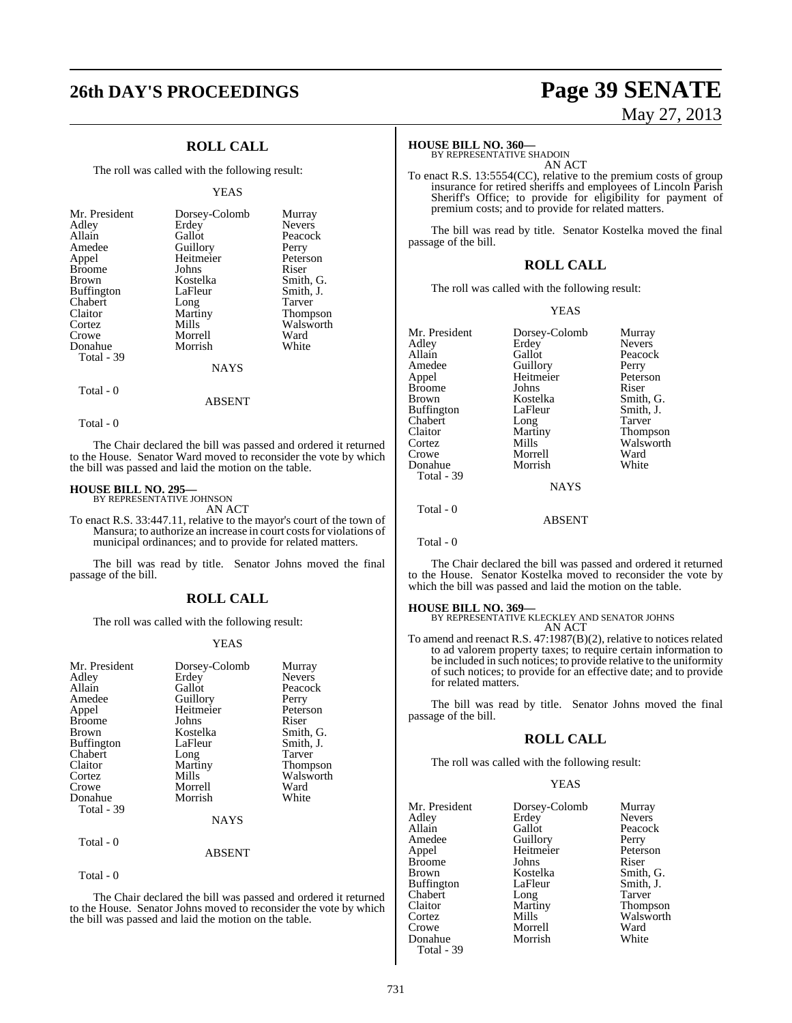## **ROLL CALL**

The roll was called with the following result:

#### YEAS

| Mr. President     | Dorsey-Colomb | Murray          |
|-------------------|---------------|-----------------|
| Adley             | Erdey         | <b>Nevers</b>   |
| Allain            | Gallot        | Peacock         |
| Amedee            | Guillory      | Perry           |
| Appel             | Heitmeier     | Peterson        |
| <b>Broome</b>     | Johns         | Riser           |
| <b>Brown</b>      | Kostelka      | Smith, G.       |
| <b>Buffington</b> | LaFleur       | Smith, J.       |
| Chabert           | Long          | Tarver          |
| Claitor           | Martiny       | <b>Thompson</b> |
| Cortez            | Mills         | Walsworth       |
| Crowe             | Morrell       | Ward            |
| Donahue           | Morrish       | White           |
| Total - 39        |               |                 |
|                   | <b>NAYS</b>   |                 |

Total - 0

Total - 0

The Chair declared the bill was passed and ordered it returned to the House. Senator Ward moved to reconsider the vote by which the bill was passed and laid the motion on the table.

ABSENT

# **HOUSE BILL NO. 295—** BY REPRESENTATIVE JOHNSON

AN ACT

To enact R.S. 33:447.11, relative to the mayor's court of the town of Mansura; to authorize an increase in court costsfor violations of municipal ordinances; and to provide for related matters.

The bill was read by title. Senator Johns moved the final passage of the bill.

#### **ROLL CALL**

The roll was called with the following result:

#### YEAS

| Mr. President | Dorsey-Colomb | Murray          |
|---------------|---------------|-----------------|
| Adley         | Erdey         | <b>Nevers</b>   |
| Allain        | Gallot        | Peacock         |
| Amedee        |               |                 |
|               | Guillory      | Perry           |
| Appel         | Heitmeier     | Peterson        |
| <b>Broome</b> | Johns         | Riser           |
| <b>Brown</b>  | Kostelka      | Smith, G.       |
| Buffington    | LaFleur       | Smith, J.       |
| Chabert       | Long          | Tarver          |
| Claitor       | Martiny       | <b>Thompson</b> |
| Cortez        | Mills         | Walsworth       |
| Crowe         | Morrell       | Ward            |
| Donahue       | Morrish       | White           |
| Total - 39    |               |                 |
|               | NAYS          |                 |
| Total - 0     |               |                 |

ABSENT

Total - 0

The Chair declared the bill was passed and ordered it returned to the House. Senator Johns moved to reconsider the vote by which the bill was passed and laid the motion on the table.

# **26th DAY'S PROCEEDINGS Page 39 SENATE** May 27, 2013

#### **HOUSE BILL NO. 360—**

BY REPRESENTATIVE SHADOIN AN ACT

To enact R.S. 13:5554(CC), relative to the premium costs of group insurance for retired sheriffs and employees of Lincoln Parish Sheriff's Office; to provide for eligibility for payment of premium costs; and to provide for related matters.

The bill was read by title. Senator Kostelka moved the final passage of the bill.

#### **ROLL CALL**

The roll was called with the following result:

#### YEAS

| Mr. President | Dorsey-Colomb | Murray        |
|---------------|---------------|---------------|
| Adlev         | Erdey         | <b>Nevers</b> |
| Allain        | Gallot        | Peacock       |
| Amedee        | Guillory      | Perry         |
| Appel         | Heitmeier     | Peterson      |
| Broome        | Johns         | Riser         |
| Brown         | Kostelka      | Smith, G.     |
| Buffington    | LaFleur       | Smith, J.     |
| Chabert       | Long          | Tarver        |
| Claitor       | Martiny       | Thompson      |
| Cortez        | Mills         | Walsworth     |
| Crowe         | Morrell       | Ward          |
| Donahue       | Morrish       | White         |
| Total - 39    |               |               |
|               | <b>NAYS</b>   |               |
| Total - 0     |               |               |
|               | ABSENT        |               |

Total - 0

The Chair declared the bill was passed and ordered it returned to the House. Senator Kostelka moved to reconsider the vote by which the bill was passed and laid the motion on the table.

**HOUSE BILL NO. 369—** BY REPRESENTATIVE KLECKLEY AND SENATOR JOHNS AN ACT

To amend and reenact R.S. 47:1987(B)(2), relative to notices related to ad valorem property taxes; to require certain information to be included in such notices; to provide relative to the uniformity of such notices; to provide for an effective date; and to provide for related matters.

The bill was read by title. Senator Johns moved the final passage of the bill.

#### **ROLL CALL**

The roll was called with the following result:

### YEAS

| Mr. President | Dorsey-Colomb | Murray        |
|---------------|---------------|---------------|
| Adley         | Erdey         | <b>Nevers</b> |
| Allain        | Gallot        | Peacock       |
| Amedee        | Guillory      | Perry         |
| Appel         | Heitmeier     | Peterson      |
| <b>Broome</b> | Johns         | Riser         |
| <b>Brown</b>  | Kostelka      | Smith, G.     |
| Buffington    | LaFleur       | Smith, J.     |
| Chabert       | Long          | Tarver        |
| Claitor       | Martiny       | Thompson      |
| Cortez        | Mills         | Walsworth     |
| Crowe         | Morrell       | Ward          |
| Donahue       | Morrish       | White         |
| Total - 39    |               |               |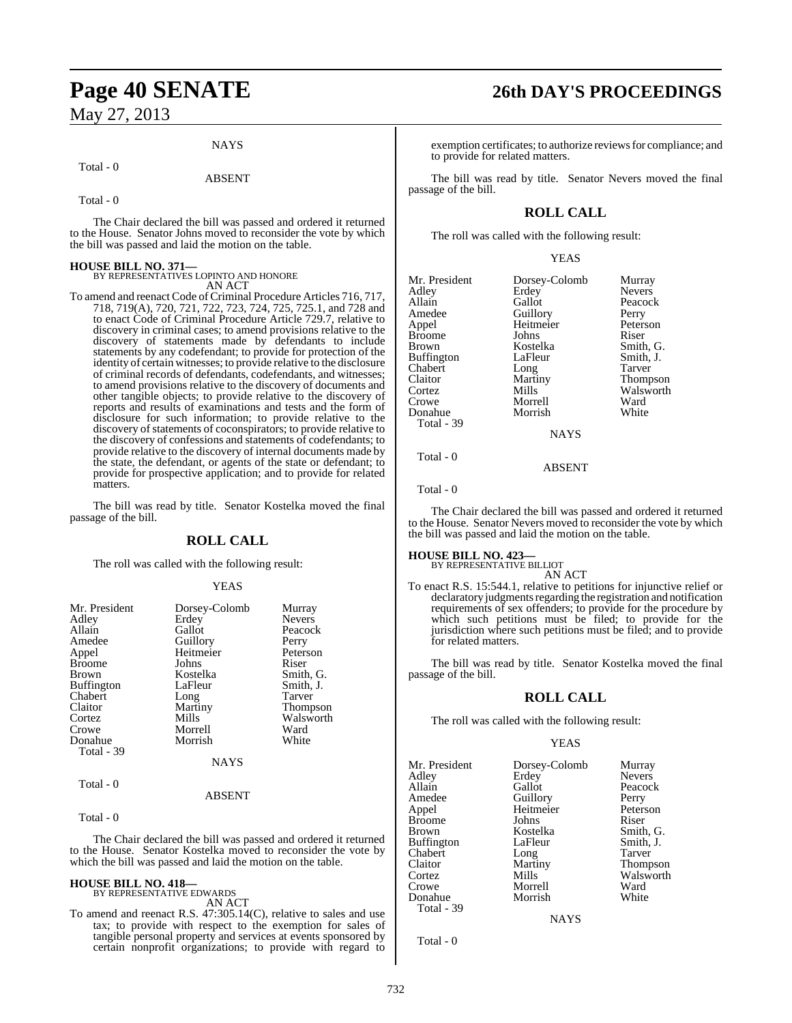#### **NAYS**

#### Total - 0

#### ABSENT

Total - 0

The Chair declared the bill was passed and ordered it returned to the House. Senator Johns moved to reconsider the vote by which the bill was passed and laid the motion on the table.

# **HOUSE BILL NO. 371—** BY REPRESENTATIVES LOPINTO AND HONORE

AN ACT

To amend and reenact Code of Criminal Procedure Articles 716, 717, 718, 719(A), 720, 721, 722, 723, 724, 725, 725.1, and 728 and to enact Code of Criminal Procedure Article 729.7, relative to discovery in criminal cases; to amend provisions relative to the discovery of statements made by defendants to include statements by any codefendant; to provide for protection of the identity of certain witnesses; to provide relative to the disclosure of criminal records of defendants, codefendants, and witnesses; to amend provisions relative to the discovery of documents and other tangible objects; to provide relative to the discovery of reports and results of examinations and tests and the form of disclosure for such information; to provide relative to the discovery of statements of coconspirators; to provide relative to the discovery of confessions and statements of codefendants; to provide relative to the discovery of internal documents made by the state, the defendant, or agents of the state or defendant; to provide for prospective application; and to provide for related matters.

The bill was read by title. Senator Kostelka moved the final passage of the bill.

#### **ROLL CALL**

The roll was called with the following result:

#### YEAS

| Mr. President     | Dorsey-Colomb | Murray          |
|-------------------|---------------|-----------------|
| Adley             | Erdey         | <b>Nevers</b>   |
| Allain            | Gallot        | Peacock         |
| Amedee            | Guillory      | Perry           |
| Appel             | Heitmeier     | Peterson        |
| <b>Broome</b>     | Johns         | Riser           |
| <b>Brown</b>      | Kostelka      | Smith, G.       |
| <b>Buffington</b> | LaFleur       | Smith, J.       |
| Chabert           | Long          | Tarver          |
| Claitor           | Martiny       | <b>Thompson</b> |
| Cortez            | Mills         | Walsworth       |
| Crowe             | Morrell       | Ward            |
| Donahue           | Morrish       | White           |
| <b>Total - 39</b> |               |                 |
|                   | <b>NAYS</b>   |                 |

#### ABSENT

Total - 0

Total - 0

The Chair declared the bill was passed and ordered it returned to the House. Senator Kostelka moved to reconsider the vote by which the bill was passed and laid the motion on the table.

#### **HOUSE BILL NO. 418—** BY REPRESENTATIVE EDWARDS

AN ACT

To amend and reenact R.S. 47:305.14(C), relative to sales and use tax; to provide with respect to the exemption for sales of tangible personal property and services at events sponsored by certain nonprofit organizations; to provide with regard to

# **Page 40 SENATE 26th DAY'S PROCEEDINGS**

exemption certificates; to authorize reviews for compliance; and to provide for related matters.

The bill was read by title. Senator Nevers moved the final passage of the bill.

### **ROLL CALL**

The roll was called with the following result:

#### YEAS

| Mr. President | Dorsey-Colomb | Murray          |
|---------------|---------------|-----------------|
| Adley         | Erdey         | <b>Nevers</b>   |
| Allain        | Gallot        | Peacock         |
| Amedee        | Guillory      | Perry           |
| Appel         | Heitmeier     | Peterson        |
| Broome        | Johns         | Riser           |
| Brown         | Kostelka      | Smith, G.       |
| Buffington    | LaFleur       | Smith, J.       |
| Chabert       | Long          | Tarver          |
| Claitor       | Martiny       | <b>Thompson</b> |
| Cortez        | Mills         | Walsworth       |
| Crowe         | Morrell       | Ward            |
| Donahue       | Morrish       | White           |
| Total - 39    |               |                 |
|               | <b>NAYS</b>   |                 |
|               |               |                 |

Total - 0

Total - 0

The Chair declared the bill was passed and ordered it returned to the House. Senator Nevers moved to reconsider the vote by which the bill was passed and laid the motion on the table.

ABSENT

#### **HOUSE BILL NO. 423—**

BY REPRESENTATIVE BILLIOT

AN ACT To enact R.S. 15:544.1, relative to petitions for injunctive relief or declaratory judgments regarding the registration and notification requirements of sex offenders; to provide for the procedure by which such petitions must be filed; to provide for the jurisdiction where such petitions must be filed; and to provide for related matters.

The bill was read by title. Senator Kostelka moved the final passage of the bill.

#### **ROLL CALL**

The roll was called with the following result:

#### YEAS

**NAYS** 

| Mr. President<br>Adley<br>Allain<br>Amedee<br>Appel<br>Broome<br>Brown<br>Buffington<br>Chabert<br>Claitor<br>Cortez<br>Crowe | Dorsey-Colomb<br>Erdey<br>Gallot<br>Guillory<br>Heitmeier<br>Johns<br>Kostelka<br>LaFleur<br>Long<br>Martiny<br>Mills<br>Morrell | Murray<br><b>Nevers</b><br>Peacock<br>Perry<br>Peterson<br>Riser<br>Smith, G.<br>Smith, J.<br>Tarver<br><b>Thompson</b><br>Walsworth<br>Ward |
|-------------------------------------------------------------------------------------------------------------------------------|----------------------------------------------------------------------------------------------------------------------------------|----------------------------------------------------------------------------------------------------------------------------------------------|
| Donahue                                                                                                                       | Morrish                                                                                                                          | White                                                                                                                                        |
| Total - 39                                                                                                                    |                                                                                                                                  |                                                                                                                                              |

Total - 0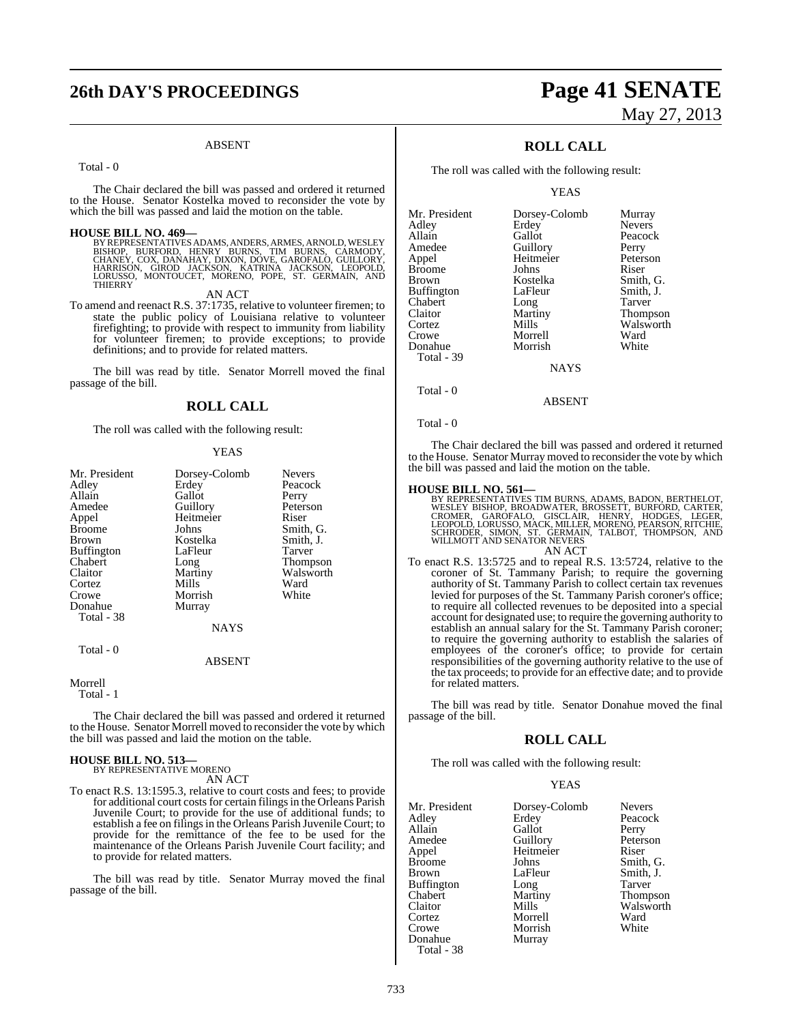# **26th DAY'S PROCEEDINGS Page 41 SENATE**

#### ABSENT

Total - 0

The Chair declared the bill was passed and ordered it returned to the House. Senator Kostelka moved to reconsider the vote by which the bill was passed and laid the motion on the table.

**HOUSE BILL NO. 469—**<br>BY REPRESENTATIVES ADAMS, ANDERS, ARMES, ARNOLD, WESLEY<br>BISHOP, BURFORD, HENRY BURNS, TIM BURNS, CARMODY,<br>CHANEY, COX, DANAHAY, DIXON, DOVE, GAROFALO, GUILLORY,<br>HARRISON, GIROD JACKSON, KATRINA JACKSO THIERRY

AN ACT

To amend and reenact R.S. 37:1735, relative to volunteer firemen; to state the public policy of Louisiana relative to volunteer firefighting; to provide with respect to immunity from liability for volunteer firemen; to provide exceptions; to provide definitions; and to provide for related matters.

The bill was read by title. Senator Morrell moved the final passage of the bill.

#### **ROLL CALL**

The roll was called with the following result:

#### YEAS

| Mr. President<br>Adley<br>Allain<br>Amedee<br>Appel<br><b>Broome</b><br>Brown<br><b>Buffington</b><br>Chabert<br>Claitor<br>Cortez<br>Crowe<br>Donahue<br>Total - 38 | Dorsey-Colomb<br>Erdey<br>Gallot<br>Guillory<br>Heitmeier<br>Johns<br>Kostelka<br>LaFleur<br>Long<br>Martiny<br>Mills<br>Morrish<br>Murray<br><b>NAYS</b> | <b>Nevers</b><br>Peacock<br>Perry<br>Peterson<br>Riser<br>Smith, G.<br>Smith, J.<br>Tarver<br>Thompson<br>Walsworth<br>Ward<br>White |
|----------------------------------------------------------------------------------------------------------------------------------------------------------------------|-----------------------------------------------------------------------------------------------------------------------------------------------------------|--------------------------------------------------------------------------------------------------------------------------------------|
| Total - 0                                                                                                                                                            |                                                                                                                                                           |                                                                                                                                      |

ABSENT

#### Morrell

Total - 1

The Chair declared the bill was passed and ordered it returned to the House. Senator Morrell moved to reconsider the vote by which the bill was passed and laid the motion on the table.

#### **HOUSE BILL NO. 513—** BY REPRESENTATIVE MORENO

AN ACT

To enact R.S. 13:1595.3, relative to court costs and fees; to provide for additional court costs for certain filings in the Orleans Parish Juvenile Court; to provide for the use of additional funds; to establish a fee on filings in the Orleans Parish Juvenile Court; to provide for the remittance of the fee to be used for the maintenance of the Orleans Parish Juvenile Court facility; and to provide for related matters.

The bill was read by title. Senator Murray moved the final passage of the bill.

# May 27, 2013

## **ROLL CALL**

The roll was called with the following result:

YEAS

| Mr. President | Dorsey-Colomb | Murray          |
|---------------|---------------|-----------------|
| Adlev         | Erdey         | <b>Nevers</b>   |
| Allain        | Gallot        | Peacock         |
| Amedee        | Guillory      | Perry           |
| Appel         | Heitmeier     | Peterson        |
| Broome        | Johns         | Riser           |
| Brown         | Kostelka      | Smith, G.       |
| Buffington    | LaFleur       | Smith, J.       |
| Chabert       | Long          | Tarver          |
| Claitor       | Martiny       | <b>Thompson</b> |
| Cortez        | Mills         | Walsworth       |
| Crowe         | Morrell       | Ward            |
| Donahue       | Morrish       | White           |
| Total - 39    |               |                 |
|               | <b>NAYS</b>   |                 |
|               |               |                 |

Total - 0

Total - 0

The Chair declared the bill was passed and ordered it returned to the House. Senator Murray moved to reconsider the vote by which the bill was passed and laid the motion on the table.

ABSENT

#### **HOUSE BILL NO. 561—**

BY REPRESENTATIVES TIM BURNS, ADAMS, BADON, BERTHELOT,<br>WESLEY BISHOP, BROADWATER, BROSSETT, BURFORD, CARTER,<br>CROMER, GAROFALO, GISCLAIR, HENRY, HODGES, LEGER,<br>LEOPOLD, LORUSSO, MACK, MILLER, MORENO, PEARSON, RITCHIE,<br>SCHRO AN ACT

To enact R.S. 13:5725 and to repeal R.S. 13:5724, relative to the coroner of St. Tammany Parish; to require the governing authority of St. Tammany Parish to collect certain tax revenues levied for purposes of the St. Tammany Parish coroner's office; to require all collected revenues to be deposited into a special account for designated use; to require the governing authority to establish an annual salary for the St. Tammany Parish coroner; to require the governing authority to establish the salaries of employees of the coroner's office; to provide for certain responsibilities of the governing authority relative to the use of the tax proceeds; to provide for an effective date; and to provide for related matters.

The bill was read by title. Senator Donahue moved the final passage of the bill.

#### **ROLL CALL**

The roll was called with the following result:

#### YEAS

| Mr. President | Dorsey-Colomb | <b>Nevers</b> |
|---------------|---------------|---------------|
| Adley         | Erdey         | Peacock       |
| Allain        | Gallot        | Perry         |
| Amedee        | Guillory      | Peterson      |
| Appel         | Heitmeier     | Riser         |
| <b>Broome</b> | Johns         | Smith, G.     |
| <b>Brown</b>  | LaFleur       | Smith, J.     |
| Buffington    | Long          | Tarver        |
| Chabert       | Martiny       | Thompson      |
| Claitor       | Mills         | Walsworth     |
| Cortez        | Morrell       | Ward          |
| Crowe         | Morrish       | White         |
| Donahue       | Murray        |               |
| Total - 38    |               |               |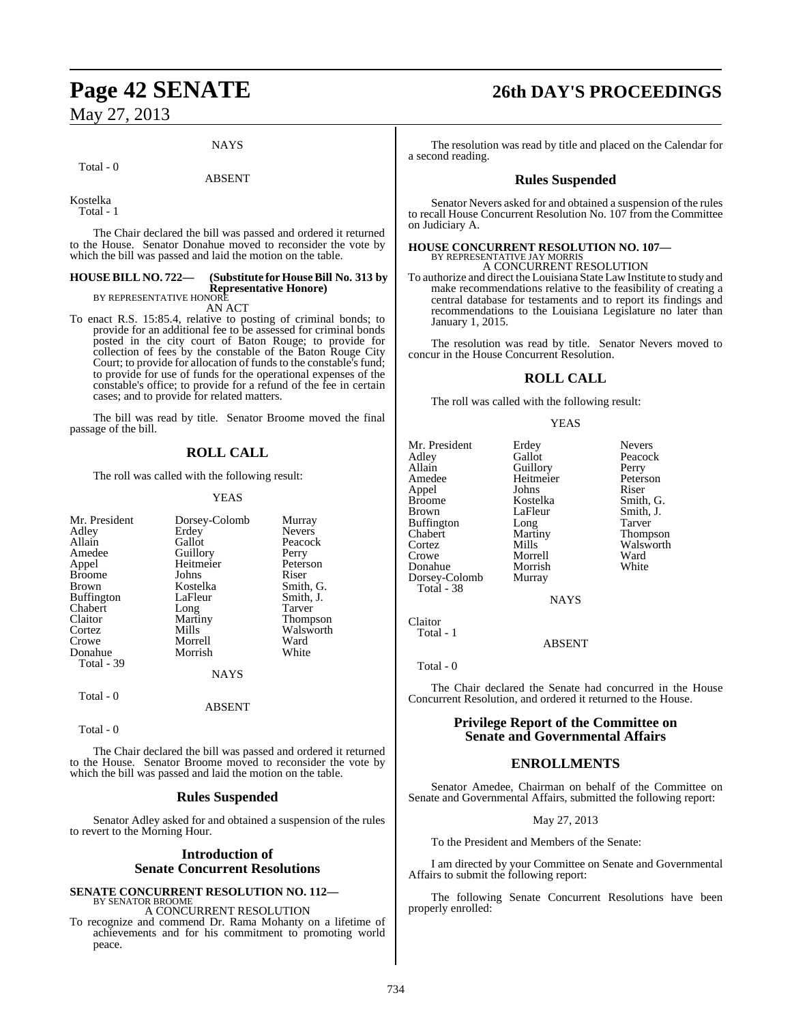#### **NAYS**

#### Total - 0

ABSENT

Kostelka

Total - 1

The Chair declared the bill was passed and ordered it returned to the House. Senator Donahue moved to reconsider the vote by which the bill was passed and laid the motion on the table.

## **HOUSE BILL NO. 722— (Substitute for HouseBill No. 313 by Representative Honore)** BY REPRESENTATIVE HONORE

AN ACT

To enact R.S. 15:85.4, relative to posting of criminal bonds; to provide for an additional fee to be assessed for criminal bonds posted in the city court of Baton Rouge; to provide for collection of fees by the constable of the Baton Rouge City Court; to provide for allocation of funds to the constable's fund; to provide for use of funds for the operational expenses of the constable's office; to provide for a refund of the fee in certain cases; and to provide for related matters.

The bill was read by title. Senator Broome moved the final passage of the bill.

## **ROLL CALL**

The roll was called with the following result:

#### YEAS

| Mr. President     | Dorsey-Colomb | Murray        |
|-------------------|---------------|---------------|
| Adley             | Erdey         | <b>Nevers</b> |
| Allain            | Gallot        | Peacock       |
| Amedee            | Guillory      | Perry         |
| Appel             | Heitmeier     | Peterson      |
| <b>Broome</b>     | Johns         | Riser         |
| Brown             | Kostelka      | Smith, G.     |
| <b>Buffington</b> | LaFleur       | Smith, J.     |
| Chabert           | Long          | Tarver        |
| Claitor           | Martiny       | Thompson      |
| Cortez            | Mills         | Walsworth     |
| Crowe             | Morrell       | Ward          |
| Donahue           | Morrish       | White         |
| Total - 39        |               |               |
|                   | <b>NAYS</b>   |               |
| Total - 0         |               |               |
|                   | ABSENT        |               |

Total - 0

The Chair declared the bill was passed and ordered it returned to the House. Senator Broome moved to reconsider the vote by which the bill was passed and laid the motion on the table.

#### **Rules Suspended**

Senator Adley asked for and obtained a suspension of the rules to revert to the Morning Hour.

#### **Introduction of Senate Concurrent Resolutions**

## **SENATE CONCURRENT RESOLUTION NO. 112—**

BY SENATOR BROOME A CONCURRENT RESOLUTION

To recognize and commend Dr. Rama Mohanty on a lifetime of achievements and for his commitment to promoting world peace.

# **Page 42 SENATE 26th DAY'S PROCEEDINGS**

The resolution was read by title and placed on the Calendar for a second reading.

#### **Rules Suspended**

Senator Nevers asked for and obtained a suspension of the rules to recall House Concurrent Resolution No. 107 from the Committee on Judiciary A.

# **HOUSE CONCURRENT RESOLUTION NO. 107—** BY REPRESENTATIVE JAY MORRIS

A CONCURRENT RESOLUTION

To authorize and direct the Louisiana State LawInstitute to study and make recommendations relative to the feasibility of creating a central database for testaments and to report its findings and recommendations to the Louisiana Legislature no later than January 1, 2015.

The resolution was read by title. Senator Nevers moved to concur in the House Concurrent Resolution.

### **ROLL CALL**

The roll was called with the following result:

YEAS

Mr. President Erdey Nevers<br>Adley Gallot Peacoc Adley Gallot Peacock Allain Guillory<br>
Amedee Heitmei Appel Johns<br>Broome Kostelka Broome Kostelka Smith, G. Buffington Long<br>Chabert Martiny Chabert Martiny Thompson Cortez Mills Walsworth<br>Crowe Morrell Ward Donahue Dorsey-Colomb Murray Total - 38

Heitmeier Peterson<br>
Johns Riser LaFleur Smith, J.<br>Long Tarver Morrell Ward<br>
Morrish White

Claitor Total - 1

ABSENT

Total - 0

The Chair declared the Senate had concurred in the House Concurrent Resolution, and ordered it returned to the House.

NAYS

### **Privilege Report of the Committee on Senate and Governmental Affairs**

### **ENROLLMENTS**

Senator Amedee, Chairman on behalf of the Committee on Senate and Governmental Affairs, submitted the following report:

May 27, 2013

To the President and Members of the Senate:

I am directed by your Committee on Senate and Governmental Affairs to submit the following report:

The following Senate Concurrent Resolutions have been properly enrolled: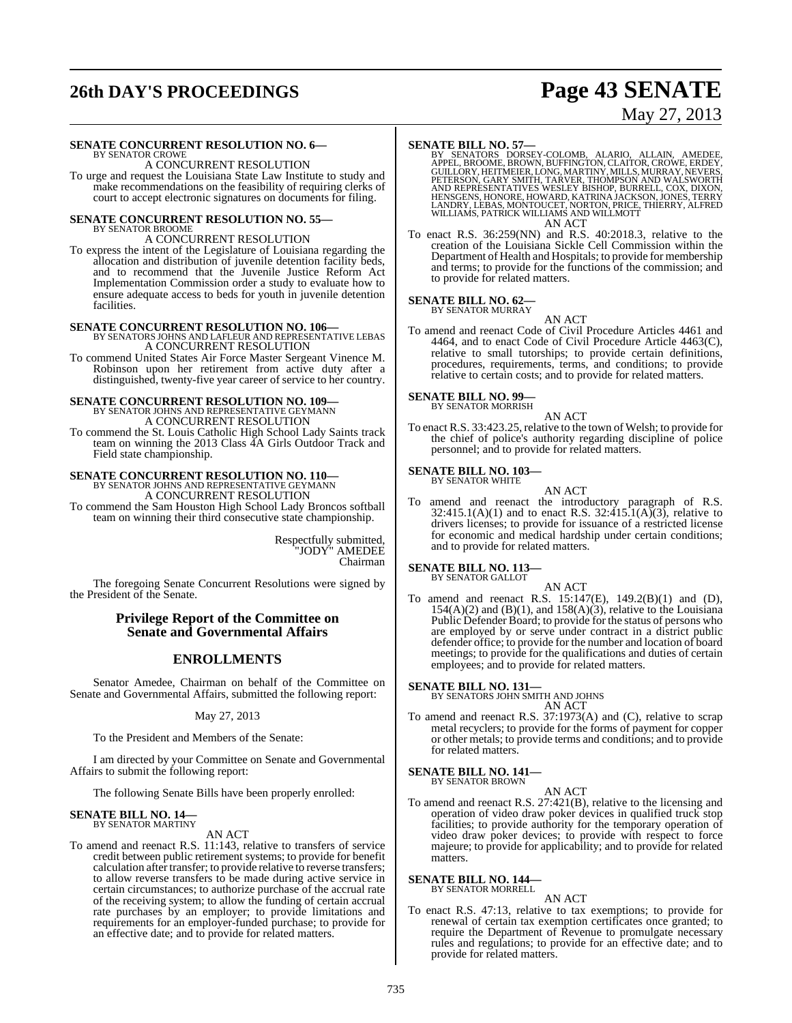# **26th DAY'S PROCEEDINGS Page 43 SENATE**

# May 27, 2013

#### **SENATE CONCURRENT RESOLUTION NO. 6—**

#### BY SENATOR CROWE A CONCURRENT RESOLUTION

To urge and request the Louisiana State Law Institute to study and make recommendations on the feasibility of requiring clerks of court to accept electronic signatures on documents for filing.

# **SENATE CONCURRENT RESOLUTION NO. 55—** BY SENATOR BROOME

### A CONCURRENT RESOLUTION

To express the intent of the Legislature of Louisiana regarding the allocation and distribution of juvenile detention facility beds, and to recommend that the Juvenile Justice Reform Act Implementation Commission order a study to evaluate how to ensure adequate access to beds for youth in juvenile detention facilities.

#### **SENATE CONCURRENT RESOLUTION NO. 106—**

BY SENATORS JOHNS AND LAFLEUR AND REPRESENTATIVE LEBAS A CONCURRENT RESOLUTION

To commend United States Air Force Master Sergeant Vinence M. Robinson upon her retirement from active duty after a distinguished, twenty-five year career of service to her country.

## **SENATE CONCURRENT RESOLUTION NO. 109—** BY SENATOR JOHNS AND REPRESENTATIVE GEYMANN A CONCURRENT RESOLUTION

To commend the St. Louis Catholic High School Lady Saints track team on winning the 2013 Class 4A Girls Outdoor Track and Field state championship.

# **SENATE CONCURRENT RESOLUTION NO. 110—**<br>BY SENATOR JOHNS AND REPRESENTATIVE GEYMANN A CONCURRENT RESOLUTION

To commend the Sam Houston High School Lady Broncos softball team on winning their third consecutive state championship.

> Respectfully submitted, "JODY" AMEDEE Chairman

The foregoing Senate Concurrent Resolutions were signed by the President of the Senate.

#### **Privilege Report of the Committee on Senate and Governmental Affairs**

### **ENROLLMENTS**

Senator Amedee, Chairman on behalf of the Committee on Senate and Governmental Affairs, submitted the following report:

May 27, 2013

To the President and Members of the Senate:

I am directed by your Committee on Senate and Governmental Affairs to submit the following report:

The following Senate Bills have been properly enrolled:

#### **SENATE BILL NO. 14—** BY SENATOR MARTINY

#### AN ACT

To amend and reenact R.S. 11:143, relative to transfers of service credit between public retirement systems; to provide for benefit calculation after transfer; to provide relative to reverse transfers; to allow reverse transfers to be made during active service in certain circumstances; to authorize purchase of the accrual rate of the receiving system; to allow the funding of certain accrual rate purchases by an employer; to provide limitations and requirements for an employer-funded purchase; to provide for an effective date; and to provide for related matters.

# **SENATE BILL NO. 57—**<br>BY SENATORS DORSEY-COLOMB, ALARIO, ALLAIN, AMEDEE,<br>APPEL, BROOME, BROWN, BUFFINGTON, CLAITOR, CROWE, ERDEY,<br>GUILLORY, HEITMEIER, LONG, MARTINY, MILLS, MURRAY, NEVERS,<br>PETERSON, GARY SMITH, TARVER, THO AN ACT

To enact R.S. 36:259(NN) and R.S. 40:2018.3, relative to the creation of the Louisiana Sickle Cell Commission within the Department of Health and Hospitals; to provide for membership and terms; to provide for the functions of the commission; and to provide for related matters.

#### **SENATE BILL NO. 62—** BY SENATOR MURRAY

AN ACT

To amend and reenact Code of Civil Procedure Articles 4461 and 4464, and to enact Code of Civil Procedure Article 4463(C), relative to small tutorships; to provide certain definitions, procedures, requirements, terms, and conditions; to provide relative to certain costs; and to provide for related matters.

# **SENATE BILL NO. 99—** BY SENATOR MORRISH

AN ACT

To enact R.S. 33:423.25, relative to the town of Welsh; to provide for the chief of police's authority regarding discipline of police personnel; and to provide for related matters.

# **SENATE BILL NO. 103—** BY SENATOR WHITE

### AN ACT

To amend and reenact the introductory paragraph of R.S.  $32:415.1(A)(1)$  and to enact R.S.  $32:415.1(A)(3)$ , relative to drivers licenses; to provide for issuance of a restricted license for economic and medical hardship under certain conditions; and to provide for related matters.

#### **SENATE BILL NO. 113—**

BY SENATOR GALLOT

AN ACT To amend and reenact R.S. 15:147(E), 149.2(B)(1) and (D),  $154(A)(2)$  and  $(B)(1)$ , and  $158(A)(3)$ , relative to the Louisiana Public Defender Board; to provide for the status of persons who are employed by or serve under contract in a district public defender office; to provide for the number and location of board meetings; to provide for the qualifications and duties of certain employees; and to provide for related matters.

**SENATE BILL NO. 131—** BY SENATORS JOHN SMITH AND JOHNS

- AN ACT
- To amend and reenact R.S. 37:1973(A) and (C), relative to scrap metal recyclers; to provide for the forms of payment for copper or other metals; to provide terms and conditions; and to provide for related matters.

# **SENATE BILL NO. 141—** BY SENATOR BROWN

AN ACT

To amend and reenact R.S. 27:421(B), relative to the licensing and operation of video draw poker devices in qualified truck stop facilities; to provide authority for the temporary operation of video draw poker devices; to provide with respect to force majeure; to provide for applicability; and to provide for related matters.

#### **SENATE BILL NO. 144—** BY SENATOR MORRELL

#### AN ACT

To enact R.S. 47:13, relative to tax exemptions; to provide for renewal of certain tax exemption certificates once granted; to require the Department of Revenue to promulgate necessary rules and regulations; to provide for an effective date; and to provide for related matters.